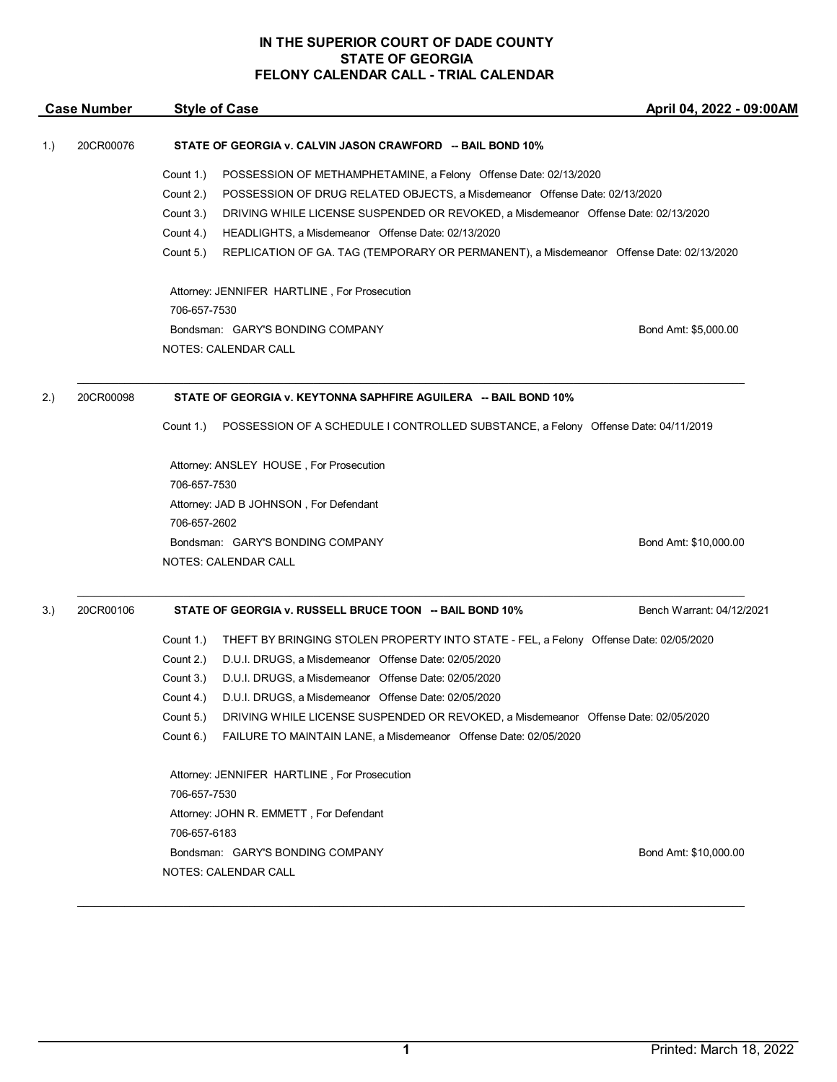| <b>Case Number</b> |           | <b>Style of Case</b>                                                                                 | April 04, 2022 - 09:00AM  |
|--------------------|-----------|------------------------------------------------------------------------------------------------------|---------------------------|
| 1.)                | 20CR00076 | STATE OF GEORGIA v. CALVIN JASON CRAWFORD -- BAIL BOND 10%                                           |                           |
|                    |           | Count 1.)<br>POSSESSION OF METHAMPHETAMINE, a Felony Offense Date: 02/13/2020                        |                           |
|                    |           | Count 2.)<br>POSSESSION OF DRUG RELATED OBJECTS, a Misdemeanor Offense Date: 02/13/2020              |                           |
|                    |           | Count 3.)<br>DRIVING WHILE LICENSE SUSPENDED OR REVOKED, a Misdemeanor Offense Date: 02/13/2020      |                           |
|                    |           | Count 4.)<br>HEADLIGHTS, a Misdemeanor Offense Date: 02/13/2020                                      |                           |
|                    |           | Count 5.)<br>REPLICATION OF GA. TAG (TEMPORARY OR PERMANENT), a Misdemeanor Offense Date: 02/13/2020 |                           |
|                    |           | Attorney: JENNIFER HARTLINE, For Prosecution                                                         |                           |
|                    |           | 706-657-7530                                                                                         |                           |
|                    |           | Bondsman: GARY'S BONDING COMPANY                                                                     | Bond Amt: \$5,000.00      |
|                    |           | NOTES: CALENDAR CALL                                                                                 |                           |
| 2.)                | 20CR00098 | STATE OF GEORGIA v. KEYTONNA SAPHFIRE AGUILERA -- BAIL BOND 10%                                      |                           |
|                    |           | POSSESSION OF A SCHEDULE I CONTROLLED SUBSTANCE, a Felony Offense Date: 04/11/2019<br>Count 1.)      |                           |
|                    |           | Attorney: ANSLEY HOUSE, For Prosecution                                                              |                           |
|                    |           | 706-657-7530                                                                                         |                           |
|                    |           | Attorney: JAD B JOHNSON, For Defendant                                                               |                           |
|                    |           | 706-657-2602                                                                                         |                           |
|                    |           | Bondsman: GARY'S BONDING COMPANY                                                                     | Bond Amt: \$10,000.00     |
|                    |           | NOTES: CALENDAR CALL                                                                                 |                           |
| 3.)                | 20CR00106 | STATE OF GEORGIA v. RUSSELL BRUCE TOON -- BAIL BOND 10%                                              | Bench Warrant: 04/12/2021 |
|                    |           | Count 1.)<br>THEFT BY BRINGING STOLEN PROPERTY INTO STATE - FEL, a Felony Offense Date: 02/05/2020   |                           |
|                    |           | D.U.I. DRUGS, a Misdemeanor Offense Date: 02/05/2020<br>Count 2.)                                    |                           |
|                    |           | Count 3.)<br>D.U.I. DRUGS, a Misdemeanor Offense Date: 02/05/2020                                    |                           |
|                    |           | Count 4.)<br>D.U.I. DRUGS, a Misdemeanor Offense Date: 02/05/2020                                    |                           |
|                    |           | Count 5.)<br>DRIVING WHILE LICENSE SUSPENDED OR REVOKED, a Misdemeanor Offense Date: 02/05/2020      |                           |
|                    |           | Count 6.)<br>FAILURE TO MAINTAIN LANE, a Misdemeanor Offense Date: 02/05/2020                        |                           |
|                    |           | Attorney: JENNIFER HARTLINE, For Prosecution                                                         |                           |
|                    |           | 706-657-7530                                                                                         |                           |
|                    |           | Attorney: JOHN R. EMMETT, For Defendant                                                              |                           |
|                    |           | 706-657-6183                                                                                         |                           |
|                    |           | Bondsman: GARY'S BONDING COMPANY                                                                     | Bond Amt: \$10,000.00     |
|                    |           | NOTES: CALENDAR CALL                                                                                 |                           |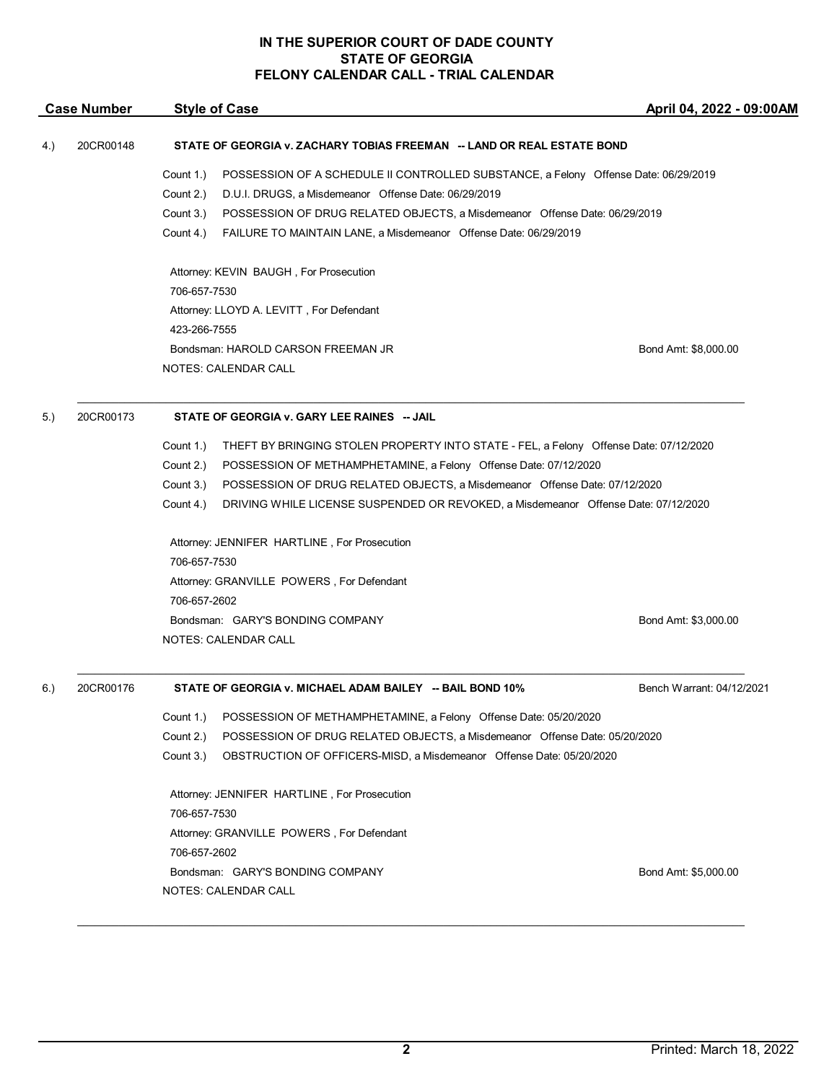| <b>Case Number</b> |           | <b>Style of Case</b>                                                                                                                                                                                                                                                                                                                                                              | April 04, 2022 - 09:00AM  |  |
|--------------------|-----------|-----------------------------------------------------------------------------------------------------------------------------------------------------------------------------------------------------------------------------------------------------------------------------------------------------------------------------------------------------------------------------------|---------------------------|--|
| 4.)                | 20CR00148 | STATE OF GEORGIA v. ZACHARY TOBIAS FREEMAN -- LAND OR REAL ESTATE BOND                                                                                                                                                                                                                                                                                                            |                           |  |
|                    |           | POSSESSION OF A SCHEDULE II CONTROLLED SUBSTANCE, a Felony Offense Date: 06/29/2019<br>Count 1.)<br>Count 2.)<br>D.U.I. DRUGS, a Misdemeanor Offense Date: 06/29/2019<br>Count 3.)<br>POSSESSION OF DRUG RELATED OBJECTS, a Misdemeanor Offense Date: 06/29/2019<br>Count 4.)<br>FAILURE TO MAINTAIN LANE, a Misdemeanor Offense Date: 06/29/2019                                 |                           |  |
|                    |           | Attorney: KEVIN BAUGH, For Prosecution<br>706-657-7530<br>Attorney: LLOYD A. LEVITT, For Defendant<br>423-266-7555<br>Bondsman: HAROLD CARSON FREEMAN JR                                                                                                                                                                                                                          | Bond Amt: \$8,000.00      |  |
|                    |           | <b>NOTES: CALENDAR CALL</b>                                                                                                                                                                                                                                                                                                                                                       |                           |  |
| 5.)                | 20CR00173 | STATE OF GEORGIA v. GARY LEE RAINES -- JAIL                                                                                                                                                                                                                                                                                                                                       |                           |  |
|                    |           | Count 1.)<br>THEFT BY BRINGING STOLEN PROPERTY INTO STATE - FEL, a Felony Offense Date: 07/12/2020<br>Count 2.)<br>POSSESSION OF METHAMPHETAMINE, a Felony Offense Date: 07/12/2020<br>Count 3.)<br>POSSESSION OF DRUG RELATED OBJECTS, a Misdemeanor Offense Date: 07/12/2020<br>Count 4.)<br>DRIVING WHILE LICENSE SUSPENDED OR REVOKED, a Misdemeanor Offense Date: 07/12/2020 |                           |  |
|                    |           | Attorney: JENNIFER HARTLINE, For Prosecution<br>706-657-7530<br>Attorney: GRANVILLE POWERS, For Defendant                                                                                                                                                                                                                                                                         |                           |  |
|                    |           | 706-657-2602<br>Bondsman: GARY'S BONDING COMPANY<br>NOTES: CALENDAR CALL                                                                                                                                                                                                                                                                                                          | Bond Amt: \$3,000.00      |  |
| 6.)                | 20CR00176 | STATE OF GEORGIA v. MICHAEL ADAM BAILEY -- BAIL BOND 10%                                                                                                                                                                                                                                                                                                                          | Bench Warrant: 04/12/2021 |  |
|                    |           | Count 1.)<br>POSSESSION OF METHAMPHETAMINE, a Felony Offense Date: 05/20/2020<br>Count 2.)<br>POSSESSION OF DRUG RELATED OBJECTS, a Misdemeanor Offense Date: 05/20/2020<br>Count 3.)<br>OBSTRUCTION OF OFFICERS-MISD, a Misdemeanor Offense Date: 05/20/2020                                                                                                                     |                           |  |
|                    |           | Attorney: JENNIFER HARTLINE, For Prosecution<br>706-657-7530<br>Attorney: GRANVILLE POWERS, For Defendant<br>706-657-2602                                                                                                                                                                                                                                                         |                           |  |
|                    |           | Bondsman: GARY'S BONDING COMPANY<br>NOTES: CALENDAR CALL                                                                                                                                                                                                                                                                                                                          | Bond Amt: \$5,000.00      |  |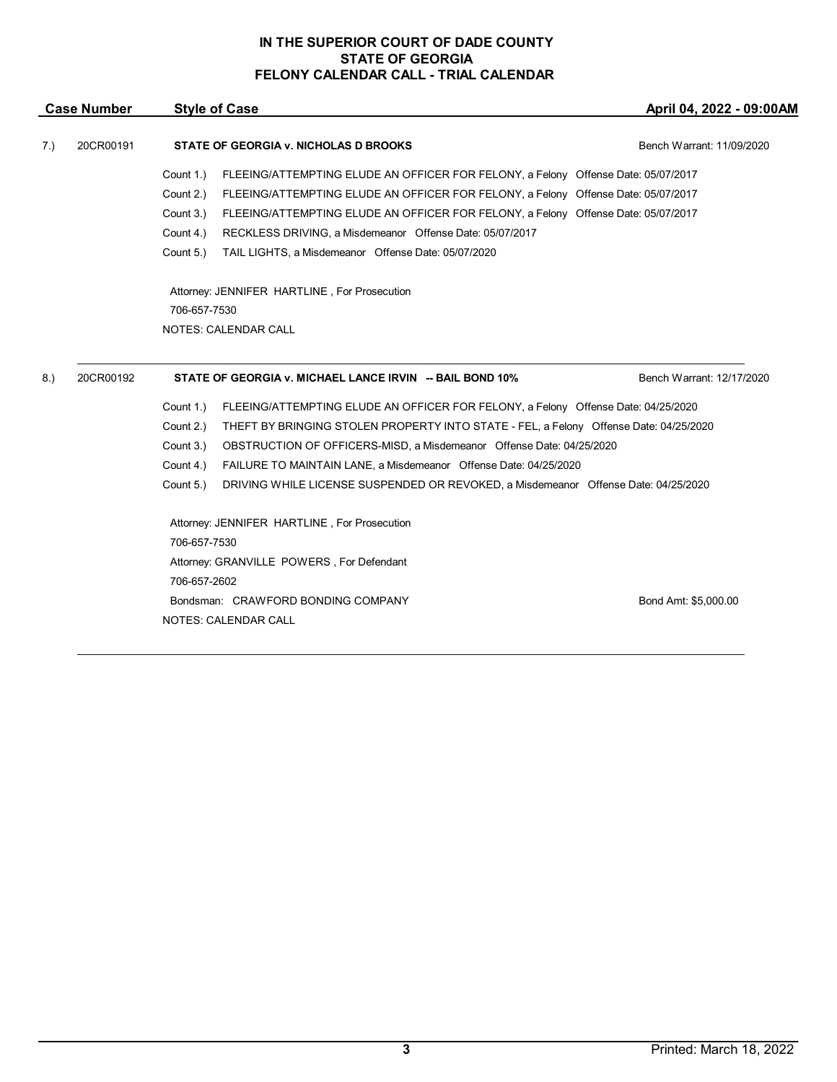| <b>Case Number</b> |           | <b>Style of Case</b> |                                                                                       | April 04, 2022 - 09:00AM  |
|--------------------|-----------|----------------------|---------------------------------------------------------------------------------------|---------------------------|
| 7.)                | 20CR00191 |                      | STATE OF GEORGIA v. NICHOLAS D BROOKS                                                 | Bench Warrant: 11/09/2020 |
|                    |           | Count 1.)            | FLEEING/ATTEMPTING ELUDE AN OFFICER FOR FELONY, a Felony Offense Date: 05/07/2017     |                           |
|                    |           | Count 2.)            | FLEEING/ATTEMPTING ELUDE AN OFFICER FOR FELONY, a Felony Offense Date: 05/07/2017     |                           |
|                    |           | Count 3.)            | FLEEING/ATTEMPTING ELUDE AN OFFICER FOR FELONY, a Felony Offense Date: 05/07/2017     |                           |
|                    |           | Count 4.)            | RECKLESS DRIVING, a Misdemeanor Offense Date: 05/07/2017                              |                           |
|                    |           | Count 5.)            | TAIL LIGHTS, a Misdemeanor Offense Date: 05/07/2020                                   |                           |
|                    |           |                      | Attorney: JENNIFER HARTLINE, For Prosecution                                          |                           |
|                    |           | 706-657-7530         |                                                                                       |                           |
|                    |           |                      | <b>NOTES: CALENDAR CALL</b>                                                           |                           |
| 8.)                | 20CR00192 |                      | STATE OF GEORGIA v. MICHAEL LANCE IRVIN -- BAIL BOND 10%                              | Bench Warrant: 12/17/2020 |
|                    |           | Count 1.)            | FLEEING/ATTEMPTING ELUDE AN OFFICER FOR FELONY, a Felony Offense Date: 04/25/2020     |                           |
|                    |           | Count 2.)            | THEFT BY BRINGING STOLEN PROPERTY INTO STATE - FEL, a Felony Offense Date: 04/25/2020 |                           |
|                    |           | Count 3.)            | OBSTRUCTION OF OFFICERS-MISD, a Misdemeanor Offense Date: 04/25/2020                  |                           |
|                    |           | Count 4.)            | FAILURE TO MAINTAIN LANE, a Misdemeanor Offense Date: 04/25/2020                      |                           |
|                    |           | Count 5.)            | DRIVING WHILE LICENSE SUSPENDED OR REVOKED, a Misdemeanor Offense Date: 04/25/2020    |                           |
|                    |           |                      | Attorney: JENNIFER HARTLINE, For Prosecution                                          |                           |
|                    |           | 706-657-7530         |                                                                                       |                           |
|                    |           |                      | Attorney: GRANVILLE POWERS, For Defendant                                             |                           |
|                    |           | 706-657-2602         |                                                                                       |                           |
|                    |           |                      | Bondsman: CRAWFORD BONDING COMPANY                                                    | Bond Amt: \$5,000.00      |
|                    |           |                      | <b>NOTES: CALENDAR CALL</b>                                                           |                           |
|                    |           |                      |                                                                                       |                           |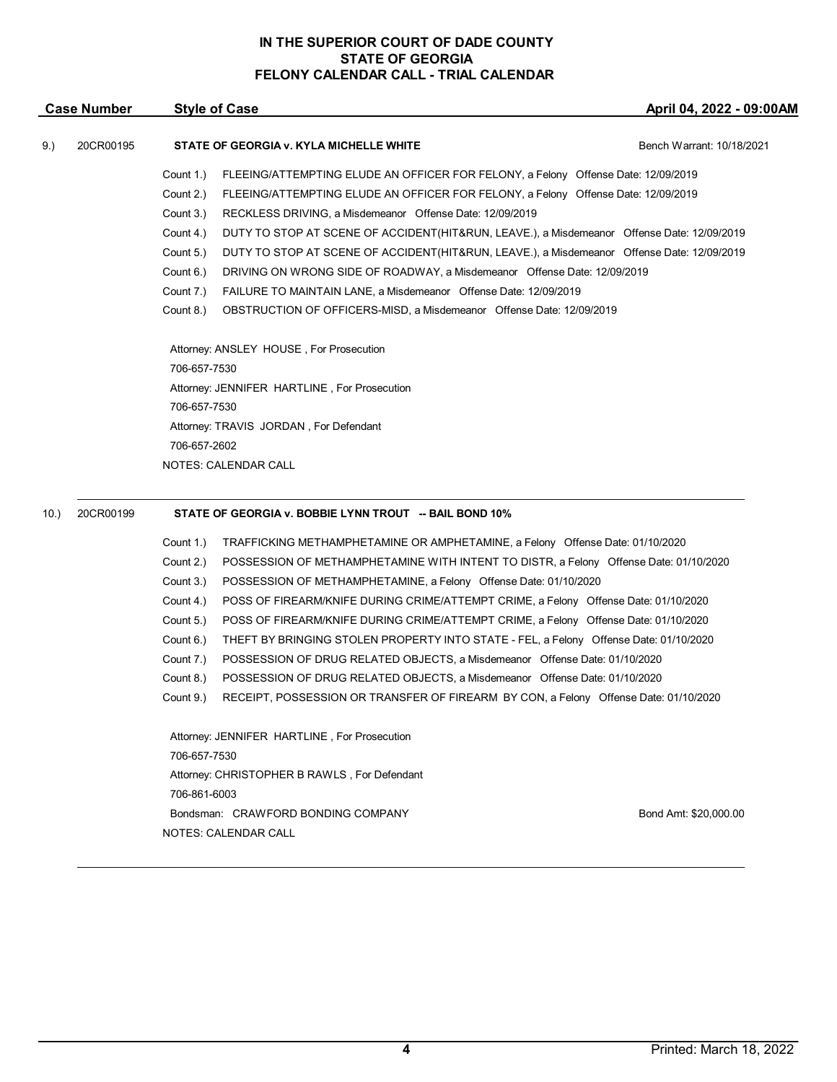|      | <b>Case Number</b> | <b>Style of Case</b>                                                                                     | April 04, 2022 - 09:00AM  |
|------|--------------------|----------------------------------------------------------------------------------------------------------|---------------------------|
| 9.)  | 20CR00195          | STATE OF GEORGIA v. KYLA MICHELLE WHITE                                                                  | Bench Warrant: 10/18/2021 |
|      |                    | Count 1.)<br>FLEEING/ATTEMPTING ELUDE AN OFFICER FOR FELONY, a Felony Offense Date: 12/09/2019           |                           |
|      |                    | Count 2.)<br>FLEEING/ATTEMPTING ELUDE AN OFFICER FOR FELONY, a Felony Offense Date: 12/09/2019           |                           |
|      |                    | Count 3.)<br>RECKLESS DRIVING, a Misdemeanor Offense Date: 12/09/2019                                    |                           |
|      |                    | Count 4.)<br>DUTY TO STOP AT SCENE OF ACCIDENT (HIT&RUN, LEAVE.), a Misdemeanor Offense Date: 12/09/2019 |                           |
|      |                    | Count 5.)<br>DUTY TO STOP AT SCENE OF ACCIDENT (HIT&RUN, LEAVE.), a Misdemeanor Offense Date: 12/09/2019 |                           |
|      |                    | Count 6.)<br>DRIVING ON WRONG SIDE OF ROADWAY, a Misdemeanor Offense Date: 12/09/2019                    |                           |
|      |                    | Count 7.)<br>FAILURE TO MAINTAIN LANE, a Misdemeanor Offense Date: 12/09/2019                            |                           |
|      |                    | Count 8.)<br>OBSTRUCTION OF OFFICERS-MISD, a Misdemeanor Offense Date: 12/09/2019                        |                           |
|      |                    | Attorney: ANSLEY HOUSE, For Prosecution                                                                  |                           |
|      |                    | 706-657-7530                                                                                             |                           |
|      |                    | Attorney: JENNIFER HARTLINE, For Prosecution                                                             |                           |
|      |                    | 706-657-7530                                                                                             |                           |
|      |                    | Attorney: TRAVIS JORDAN, For Defendant                                                                   |                           |
|      |                    | 706-657-2602                                                                                             |                           |
|      |                    | <b>NOTES: CALENDAR CALL</b>                                                                              |                           |
|      |                    |                                                                                                          |                           |
| 10.) | 20CR00199          | STATE OF GEORGIA v. BOBBIE LYNN TROUT -- BAIL BOND 10%                                                   |                           |
|      |                    | Count 1.)<br>TRAFFICKING METHAMPHETAMINE OR AMPHETAMINE, a Felony Offense Date: 01/10/2020               |                           |
|      |                    | Count 2.)<br>POSSESSION OF METHAMPHETAMINE WITH INTENT TO DISTR, a Felony Offense Date: 01/10/2020       |                           |
|      |                    | Count 3.)<br>POSSESSION OF METHAMPHETAMINE, a Felony Offense Date: 01/10/2020                            |                           |
|      |                    | Count 4.)<br>POSS OF FIREARM/KNIFE DURING CRIME/ATTEMPT CRIME, a Felony Offense Date: 01/10/2020         |                           |
|      |                    | Count 5.)<br>POSS OF FIREARM/KNIFE DURING CRIME/ATTEMPT CRIME, a Felony Offense Date: 01/10/2020         |                           |
|      |                    | Count 6.)<br>THEFT BY BRINGING STOLEN PROPERTY INTO STATE - FEL, a Felony Offense Date: 01/10/2020       |                           |
|      |                    | Count 7.)<br>POSSESSION OF DRUG RELATED OBJECTS, a Misdemeanor Offense Date: 01/10/2020                  |                           |
|      |                    | Count 8.)<br>POSSESSION OF DRUG RELATED OBJECTS, a Misdemeanor Offense Date: 01/10/2020                  |                           |
|      |                    | RECEIPT, POSSESSION OR TRANSFER OF FIREARM BY CON, a Felony Offense Date: 01/10/2020<br>Count 9.)        |                           |
|      |                    | Attorney: JENNIFER HARTLINE, For Prosecution                                                             |                           |
|      |                    | 706-657-7530                                                                                             |                           |
|      |                    | Attorney: CHRISTOPHER B RAWLS, For Defendant                                                             |                           |
|      |                    | 706-861-6003                                                                                             |                           |
|      |                    | Bondsman: CRAWFORD BONDING COMPANY                                                                       | Bond Amt: \$20,000.00     |
|      |                    | NOTES: CALENDAR CALL                                                                                     |                           |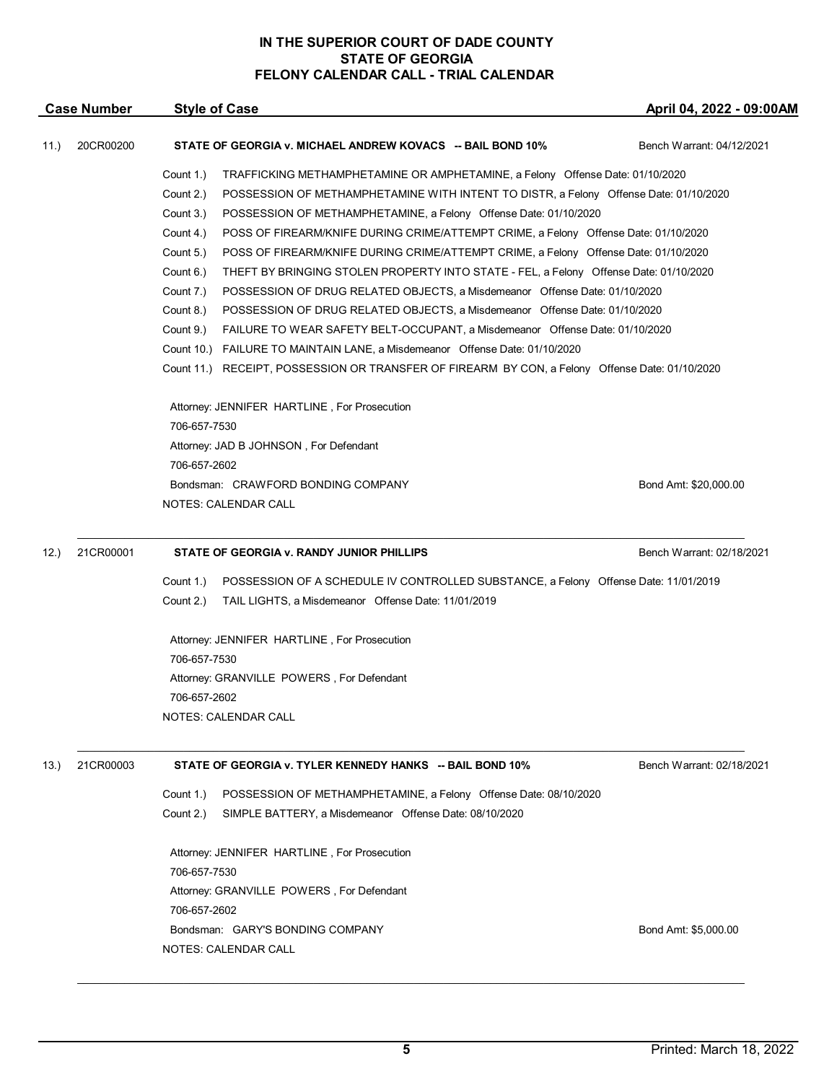| <b>Case Number</b> |           | <b>Style of Case</b>                                                                               | April 04, 2022 - 09:00AM  |  |
|--------------------|-----------|----------------------------------------------------------------------------------------------------|---------------------------|--|
| 11.)               | 20CR00200 | STATE OF GEORGIA v. MICHAEL ANDREW KOVACS -- BAIL BOND 10%                                         | Bench Warrant: 04/12/2021 |  |
|                    |           | Count 1.)<br>TRAFFICKING METHAMPHETAMINE OR AMPHETAMINE, a Felony Offense Date: 01/10/2020         |                           |  |
|                    |           | Count 2.)<br>POSSESSION OF METHAMPHETAMINE WITH INTENT TO DISTR, a Felony Offense Date: 01/10/2020 |                           |  |
|                    |           | Count 3.)<br>POSSESSION OF METHAMPHETAMINE, a Felony Offense Date: 01/10/2020                      |                           |  |
|                    |           | Count 4.)<br>POSS OF FIREARM/KNIFE DURING CRIME/ATTEMPT CRIME, a Felony Offense Date: 01/10/2020   |                           |  |
|                    |           | Count 5.)<br>POSS OF FIREARM/KNIFE DURING CRIME/ATTEMPT CRIME, a Felony Offense Date: 01/10/2020   |                           |  |
|                    |           | Count 6.)<br>THEFT BY BRINGING STOLEN PROPERTY INTO STATE - FEL, a Felony Offense Date: 01/10/2020 |                           |  |
|                    |           | Count 7.)<br>POSSESSION OF DRUG RELATED OBJECTS, a Misdemeanor Offense Date: 01/10/2020            |                           |  |
|                    |           | Count 8.)<br>POSSESSION OF DRUG RELATED OBJECTS, a Misdemeanor Offense Date: 01/10/2020            |                           |  |
|                    |           | Count 9.)<br>FAILURE TO WEAR SAFETY BELT-OCCUPANT, a Misdemeanor Offense Date: 01/10/2020          |                           |  |
|                    |           | Count 10.) FAILURE TO MAINTAIN LANE, a Misdemeanor Offense Date: 01/10/2020                        |                           |  |
|                    |           | Count 11.) RECEIPT, POSSESSION OR TRANSFER OF FIREARM BY CON, a Felony Offense Date: 01/10/2020    |                           |  |
|                    |           | Attorney: JENNIFER HARTLINE, For Prosecution                                                       |                           |  |
|                    |           | 706-657-7530                                                                                       |                           |  |
|                    |           | Attorney: JAD B JOHNSON, For Defendant                                                             |                           |  |
|                    |           | 706-657-2602                                                                                       |                           |  |
|                    |           | Bondsman: CRAWFORD BONDING COMPANY                                                                 | Bond Amt: \$20,000.00     |  |
|                    |           | NOTES: CALENDAR CALL                                                                               |                           |  |
| 12.                | 21CR00001 | STATE OF GEORGIA v. RANDY JUNIOR PHILLIPS                                                          | Bench Warrant: 02/18/2021 |  |
|                    |           | Count 1.)<br>POSSESSION OF A SCHEDULE IV CONTROLLED SUBSTANCE, a Felony Offense Date: 11/01/2019   |                           |  |
|                    |           | Count 2.)<br>TAIL LIGHTS, a Misdemeanor Offense Date: 11/01/2019                                   |                           |  |
|                    |           | Attorney: JENNIFER HARTLINE, For Prosecution                                                       |                           |  |
|                    |           | 706-657-7530                                                                                       |                           |  |
|                    |           | Attorney: GRANVILLE POWERS, For Defendant                                                          |                           |  |
|                    |           | 706-657-2602                                                                                       |                           |  |
|                    |           | NOTES: CALENDAR CALL                                                                               |                           |  |
| (13.)              | 21CR00003 | STATE OF GEORGIA v. TYLER KENNEDY HANKS -- BAIL BOND 10%                                           | Bench Warrant: 02/18/2021 |  |
|                    |           |                                                                                                    |                           |  |
|                    |           | Count 1.)<br>POSSESSION OF METHAMPHETAMINE, a Felony Offense Date: 08/10/2020                      |                           |  |
|                    |           | Count 2.)<br>SIMPLE BATTERY, a Misdemeanor Offense Date: 08/10/2020                                |                           |  |
|                    |           | Attorney: JENNIFER HARTLINE, For Prosecution                                                       |                           |  |
|                    |           | 706-657-7530                                                                                       |                           |  |
|                    |           | Attorney: GRANVILLE POWERS, For Defendant                                                          |                           |  |
|                    |           | 706-657-2602                                                                                       |                           |  |
|                    |           | Bondsman: GARY'S BONDING COMPANY                                                                   | Bond Amt: \$5,000.00      |  |
|                    |           | NOTES: CALENDAR CALL                                                                               |                           |  |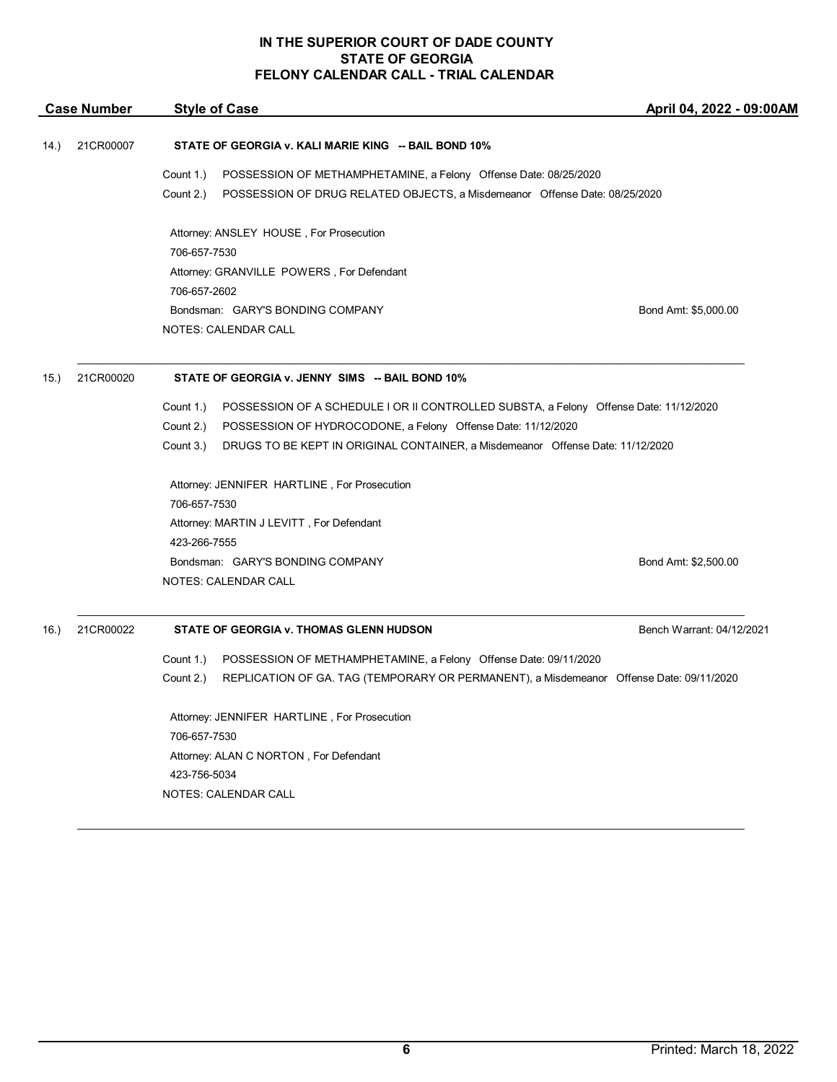| <b>Case Number</b> |           | <b>Style of Case</b>                                                                                 | April 04, 2022 - 09:00AM  |
|--------------------|-----------|------------------------------------------------------------------------------------------------------|---------------------------|
| 14.)               | 21CR00007 | STATE OF GEORGIA v. KALI MARIE KING -- BAIL BOND 10%                                                 |                           |
|                    |           | Count 1.)<br>POSSESSION OF METHAMPHETAMINE, a Felony Offense Date: 08/25/2020                        |                           |
|                    |           | Count 2.)<br>POSSESSION OF DRUG RELATED OBJECTS, a Misdemeanor Offense Date: 08/25/2020              |                           |
|                    |           | Attorney: ANSLEY HOUSE, For Prosecution                                                              |                           |
|                    |           | 706-657-7530                                                                                         |                           |
|                    |           | Attorney: GRANVILLE POWERS, For Defendant                                                            |                           |
|                    |           | 706-657-2602                                                                                         |                           |
|                    |           | Bondsman: GARY'S BONDING COMPANY                                                                     | Bond Amt: \$5,000.00      |
|                    |           | <b>NOTES: CALENDAR CALL</b>                                                                          |                           |
| 15.)               | 21CR00020 | STATE OF GEORGIA v. JENNY SIMS -- BAIL BOND 10%                                                      |                           |
|                    |           | Count 1.)<br>POSSESSION OF A SCHEDULE I OR II CONTROLLED SUBSTA, a Felony Offense Date: 11/12/2020   |                           |
|                    |           | POSSESSION OF HYDROCODONE, a Felony Offense Date: 11/12/2020<br>Count 2.)                            |                           |
|                    |           | Count 3.)<br>DRUGS TO BE KEPT IN ORIGINAL CONTAINER, a Misdemeanor Offense Date: 11/12/2020          |                           |
|                    |           | Attorney: JENNIFER HARTLINE, For Prosecution                                                         |                           |
|                    |           | 706-657-7530                                                                                         |                           |
|                    |           | Attorney: MARTIN J LEVITT, For Defendant                                                             |                           |
|                    |           | 423-266-7555                                                                                         |                           |
|                    |           | Bondsman: GARY'S BONDING COMPANY                                                                     | Bond Amt: \$2,500.00      |
|                    |           | <b>NOTES: CALENDAR CALL</b>                                                                          |                           |
| 16.                | 21CR00022 | STATE OF GEORGIA v. THOMAS GLENN HUDSON                                                              | Bench Warrant: 04/12/2021 |
|                    |           | Count 1.)<br>POSSESSION OF METHAMPHETAMINE, a Felony Offense Date: 09/11/2020                        |                           |
|                    |           | Count 2.)<br>REPLICATION OF GA. TAG (TEMPORARY OR PERMANENT), a Misdemeanor Offense Date: 09/11/2020 |                           |
|                    |           | Attorney: JENNIFER HARTLINE, For Prosecution                                                         |                           |
|                    |           | 706-657-7530                                                                                         |                           |
|                    |           | Attorney: ALAN C NORTON, For Defendant                                                               |                           |
|                    |           | 423-756-5034                                                                                         |                           |
|                    |           | <b>NOTES: CALENDAR CALL</b>                                                                          |                           |
|                    |           |                                                                                                      |                           |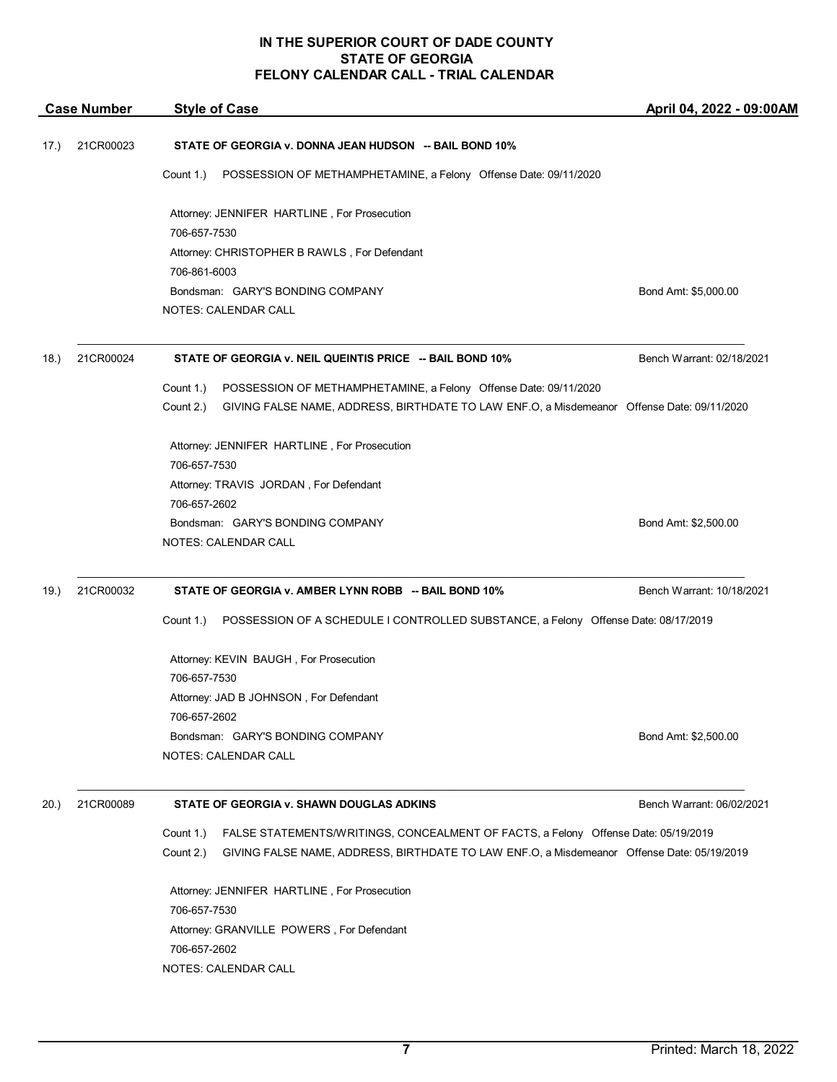| <b>Case Number</b> |           | <b>Style of Case</b>                                                                                    | April 04, 2022 - 09:00AM  |  |
|--------------------|-----------|---------------------------------------------------------------------------------------------------------|---------------------------|--|
| (17.)              | 21CR00023 | STATE OF GEORGIA v. DONNA JEAN HUDSON -- BAIL BOND 10%                                                  |                           |  |
|                    |           | Count 1.)<br>POSSESSION OF METHAMPHETAMINE, a Felony Offense Date: 09/11/2020                           |                           |  |
|                    |           | Attorney: JENNIFER HARTLINE, For Prosecution<br>706-657-7530                                            |                           |  |
|                    |           | Attorney: CHRISTOPHER B RAWLS, For Defendant                                                            |                           |  |
|                    |           | 706-861-6003                                                                                            |                           |  |
|                    |           | Bondsman: GARY'S BONDING COMPANY                                                                        | Bond Amt: \$5,000.00      |  |
|                    |           | NOTES: CALENDAR CALL                                                                                    |                           |  |
| 18.)               | 21CR00024 | STATE OF GEORGIA v. NEIL QUEINTIS PRICE -- BAIL BOND 10%                                                | Bench Warrant: 02/18/2021 |  |
|                    |           | Count 1.)<br>POSSESSION OF METHAMPHETAMINE, a Felony Offense Date: 09/11/2020                           |                           |  |
|                    |           | Count 2.)<br>GIVING FALSE NAME, ADDRESS, BIRTHDATE TO LAW ENF.O, a Misdemeanor Offense Date: 09/11/2020 |                           |  |
|                    |           | Attorney: JENNIFER HARTLINE, For Prosecution                                                            |                           |  |
|                    |           | 706-657-7530                                                                                            |                           |  |
|                    |           | Attorney: TRAVIS JORDAN, For Defendant                                                                  |                           |  |
|                    |           | 706-657-2602<br>Bondsman: GARY'S BONDING COMPANY                                                        | Bond Amt: \$2,500.00      |  |
|                    |           | NOTES: CALENDAR CALL                                                                                    |                           |  |
| 19.)               | 21CR00032 | STATE OF GEORGIA v. AMBER LYNN ROBB -- BAIL BOND 10%                                                    | Bench Warrant: 10/18/2021 |  |
|                    |           | Count 1.)<br>POSSESSION OF A SCHEDULE I CONTROLLED SUBSTANCE, a Felony Offense Date: 08/17/2019         |                           |  |
|                    |           | Attorney: KEVIN BAUGH, For Prosecution                                                                  |                           |  |
|                    |           | 706-657-7530                                                                                            |                           |  |
|                    |           | Attorney: JAD B JOHNSON, For Defendant                                                                  |                           |  |
|                    |           | 706-657-2602                                                                                            |                           |  |
|                    |           | Bondsman: GARY'S BONDING COMPANY                                                                        | Bond Amt: \$2,500.00      |  |
|                    |           | NOTES: CALENDAR CALL                                                                                    |                           |  |
| 20.)               | 21CR00089 | STATE OF GEORGIA v. SHAWN DOUGLAS ADKINS                                                                | Bench Warrant: 06/02/2021 |  |
|                    |           | FALSE STATEMENTS/WRITINGS, CONCEALMENT OF FACTS, a Felony Offense Date: 05/19/2019<br>Count 1.)         |                           |  |
|                    |           | Count 2.)<br>GIVING FALSE NAME, ADDRESS, BIRTHDATE TO LAW ENF.O, a Misdemeanor Offense Date: 05/19/2019 |                           |  |
|                    |           | Attorney: JENNIFER HARTLINE, For Prosecution                                                            |                           |  |
|                    |           | 706-657-7530                                                                                            |                           |  |
|                    |           | Attorney: GRANVILLE POWERS, For Defendant                                                               |                           |  |
|                    |           | 706-657-2602<br><b>NOTES: CALENDAR CALL</b>                                                             |                           |  |
|                    |           |                                                                                                         |                           |  |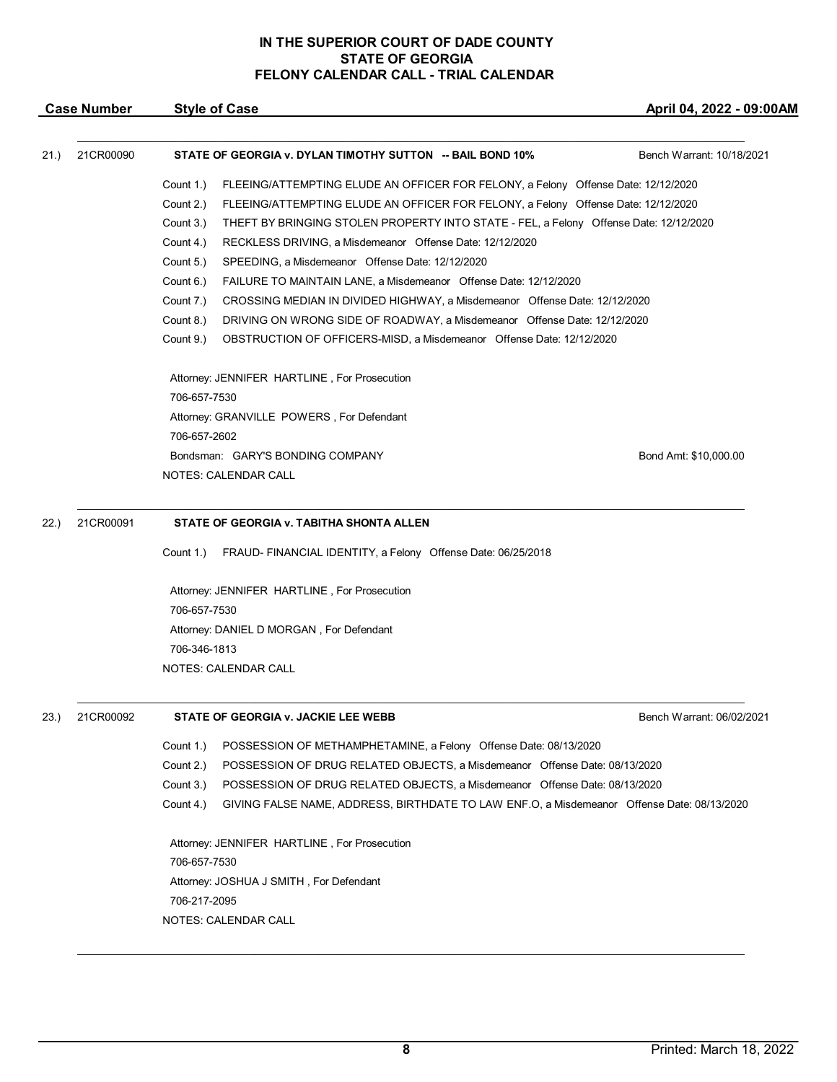|      | <b>Case Number</b> | <b>Style of Case</b>                                                                                    | April 04, 2022 - 09:00AM  |
|------|--------------------|---------------------------------------------------------------------------------------------------------|---------------------------|
| 21.) | 21CR00090          | STATE OF GEORGIA v. DYLAN TIMOTHY SUTTON -- BAIL BOND 10%                                               | Bench Warrant: 10/18/2021 |
|      |                    | Count 1.)<br>FLEEING/ATTEMPTING ELUDE AN OFFICER FOR FELONY, a Felony Offense Date: 12/12/2020          |                           |
|      |                    | Count 2.)<br>FLEEING/ATTEMPTING ELUDE AN OFFICER FOR FELONY, a Felony Offense Date: 12/12/2020          |                           |
|      |                    | Count 3.)<br>THEFT BY BRINGING STOLEN PROPERTY INTO STATE - FEL, a Felony Offense Date: 12/12/2020      |                           |
|      |                    | Count 4.)<br>RECKLESS DRIVING, a Misdemeanor Offense Date: 12/12/2020                                   |                           |
|      |                    | Count 5.)<br>SPEEDING, a Misdemeanor Offense Date: 12/12/2020                                           |                           |
|      |                    | Count 6.)<br>FAILURE TO MAINTAIN LANE, a Misdemeanor Offense Date: 12/12/2020                           |                           |
|      |                    | Count 7.)<br>CROSSING MEDIAN IN DIVIDED HIGHWAY, a Misdemeanor Offense Date: 12/12/2020                 |                           |
|      |                    | Count 8.)<br>DRIVING ON WRONG SIDE OF ROADWAY, a Misdemeanor Offense Date: 12/12/2020                   |                           |
|      |                    | Count 9.)<br>OBSTRUCTION OF OFFICERS-MISD, a Misdemeanor Offense Date: 12/12/2020                       |                           |
|      |                    | Attorney: JENNIFER HARTLINE, For Prosecution                                                            |                           |
|      |                    | 706-657-7530                                                                                            |                           |
|      |                    | Attorney: GRANVILLE POWERS, For Defendant                                                               |                           |
|      |                    | 706-657-2602                                                                                            |                           |
|      |                    | Bondsman: GARY'S BONDING COMPANY                                                                        | Bond Amt: \$10,000.00     |
|      |                    | <b>NOTES: CALENDAR CALL</b>                                                                             |                           |
| 22.) | 21CR00091          | STATE OF GEORGIA v. TABITHA SHONTA ALLEN                                                                |                           |
|      |                    | FRAUD- FINANCIAL IDENTITY, a Felony Offense Date: 06/25/2018<br>Count 1.)                               |                           |
|      |                    | Attorney: JENNIFER HARTLINE, For Prosecution                                                            |                           |
|      |                    | 706-657-7530                                                                                            |                           |
|      |                    | Attorney: DANIEL D MORGAN, For Defendant                                                                |                           |
|      |                    | 706-346-1813                                                                                            |                           |
|      |                    | <b>NOTES: CALENDAR CALL</b>                                                                             |                           |
| 23.) | 21CR00092          | STATE OF GEORGIA v. JACKIE LEE WEBB                                                                     | Bench Warrant: 06/02/2021 |
|      |                    | Count 1.)<br>POSSESSION OF METHAMPHETAMINE, a Felony Offense Date: 08/13/2020                           |                           |
|      |                    | Count 2.)<br>POSSESSION OF DRUG RELATED OBJECTS, a Misdemeanor Offense Date: 08/13/2020                 |                           |
|      |                    | Count 3.)<br>POSSESSION OF DRUG RELATED OBJECTS, a Misdemeanor Offense Date: 08/13/2020                 |                           |
|      |                    | Count 4.)<br>GIVING FALSE NAME, ADDRESS, BIRTHDATE TO LAW ENF.O, a Misdemeanor Offense Date: 08/13/2020 |                           |
|      |                    | Attorney: JENNIFER HARTLINE, For Prosecution                                                            |                           |
|      |                    | 706-657-7530                                                                                            |                           |
|      |                    | Attorney: JOSHUA J SMITH, For Defendant                                                                 |                           |
|      |                    | 706-217-2095                                                                                            |                           |
|      |                    | NOTES: CALENDAR CALL                                                                                    |                           |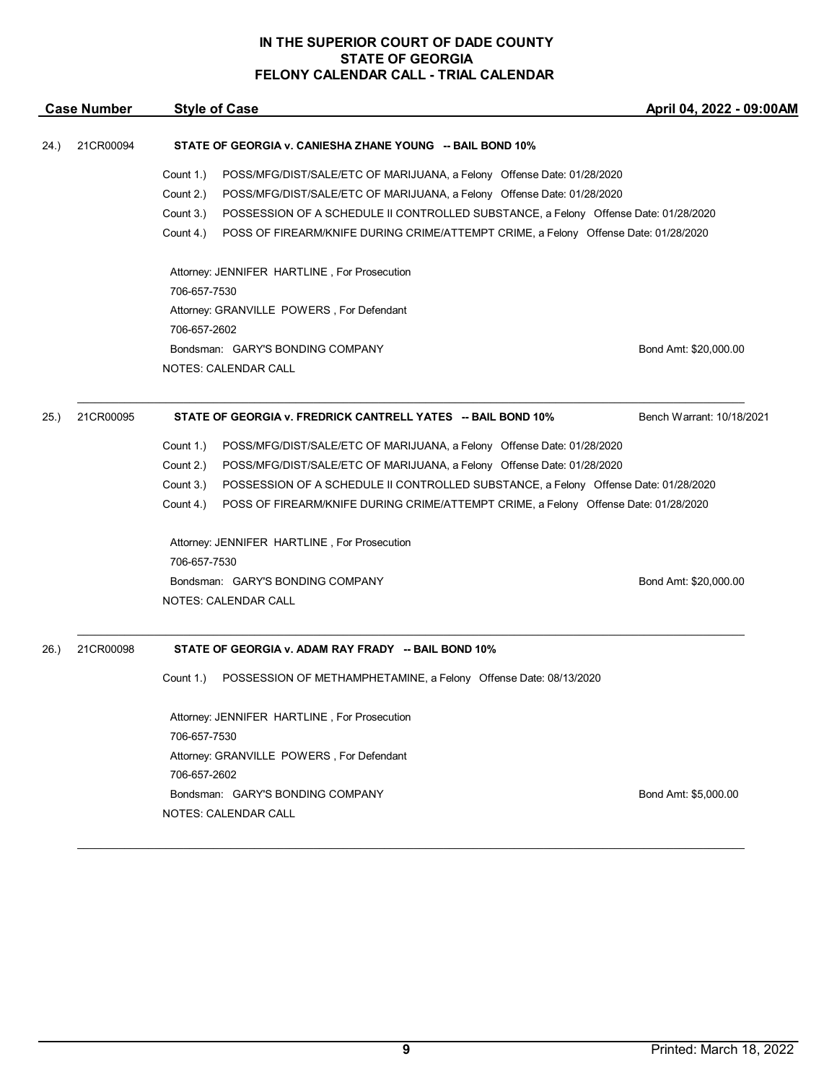| <b>Case Number</b> |           | <b>Style of Case</b>                                                                             | April 04, 2022 - 09:00AM  |
|--------------------|-----------|--------------------------------------------------------------------------------------------------|---------------------------|
| 24.)               | 21CR00094 | STATE OF GEORGIA v. CANIESHA ZHANE YOUNG -- BAIL BOND 10%                                        |                           |
|                    |           | Count 1.)<br>POSS/MFG/DIST/SALE/ETC OF MARIJUANA, a Felony Offense Date: 01/28/2020              |                           |
|                    |           | Count 2.)<br>POSS/MFG/DIST/SALE/ETC OF MARIJUANA, a Felony Offense Date: 01/28/2020              |                           |
|                    |           | Count 3.)<br>POSSESSION OF A SCHEDULE II CONTROLLED SUBSTANCE, a Felony Offense Date: 01/28/2020 |                           |
|                    |           | Count 4.)<br>POSS OF FIREARM/KNIFE DURING CRIME/ATTEMPT CRIME, a Felony Offense Date: 01/28/2020 |                           |
|                    |           | Attorney: JENNIFER HARTLINE, For Prosecution                                                     |                           |
|                    |           | 706-657-7530                                                                                     |                           |
|                    |           | Attorney: GRANVILLE POWERS, For Defendant                                                        |                           |
|                    |           | 706-657-2602                                                                                     |                           |
|                    |           | Bondsman: GARY'S BONDING COMPANY                                                                 | Bond Amt: \$20,000.00     |
|                    |           | NOTES: CALENDAR CALL                                                                             |                           |
| 25.)               | 21CR00095 | STATE OF GEORGIA v. FREDRICK CANTRELL YATES -- BAIL BOND 10%                                     | Bench Warrant: 10/18/2021 |
|                    |           | Count 1.)<br>POSS/MFG/DIST/SALE/ETC OF MARIJUANA, a Felony Offense Date: 01/28/2020              |                           |
|                    |           | Count 2.)<br>POSS/MFG/DIST/SALE/ETC OF MARIJUANA, a Felony Offense Date: 01/28/2020              |                           |
|                    |           | Count 3.)<br>POSSESSION OF A SCHEDULE II CONTROLLED SUBSTANCE, a Felony Offense Date: 01/28/2020 |                           |
|                    |           | Count 4.)<br>POSS OF FIREARM/KNIFE DURING CRIME/ATTEMPT CRIME, a Felony Offense Date: 01/28/2020 |                           |
|                    |           | Attorney: JENNIFER HARTLINE, For Prosecution                                                     |                           |
|                    |           | 706-657-7530                                                                                     |                           |
|                    |           | Bondsman: GARY'S BONDING COMPANY                                                                 | Bond Amt: \$20,000.00     |
|                    |           | NOTES: CALENDAR CALL                                                                             |                           |
| 26.                | 21CR00098 | STATE OF GEORGIA v. ADAM RAY FRADY -- BAIL BOND 10%                                              |                           |
|                    |           | Count 1.)<br>POSSESSION OF METHAMPHETAMINE, a Felony Offense Date: 08/13/2020                    |                           |
|                    |           | Attorney: JENNIFER HARTLINE, For Prosecution                                                     |                           |
|                    |           | 706-657-7530                                                                                     |                           |
|                    |           | Attorney: GRANVILLE POWERS, For Defendant                                                        |                           |
|                    |           | 706-657-2602                                                                                     |                           |
|                    |           | Bondsman: GARY'S BONDING COMPANY                                                                 | Bond Amt: \$5,000.00      |
|                    |           | NOTES: CALENDAR CALL                                                                             |                           |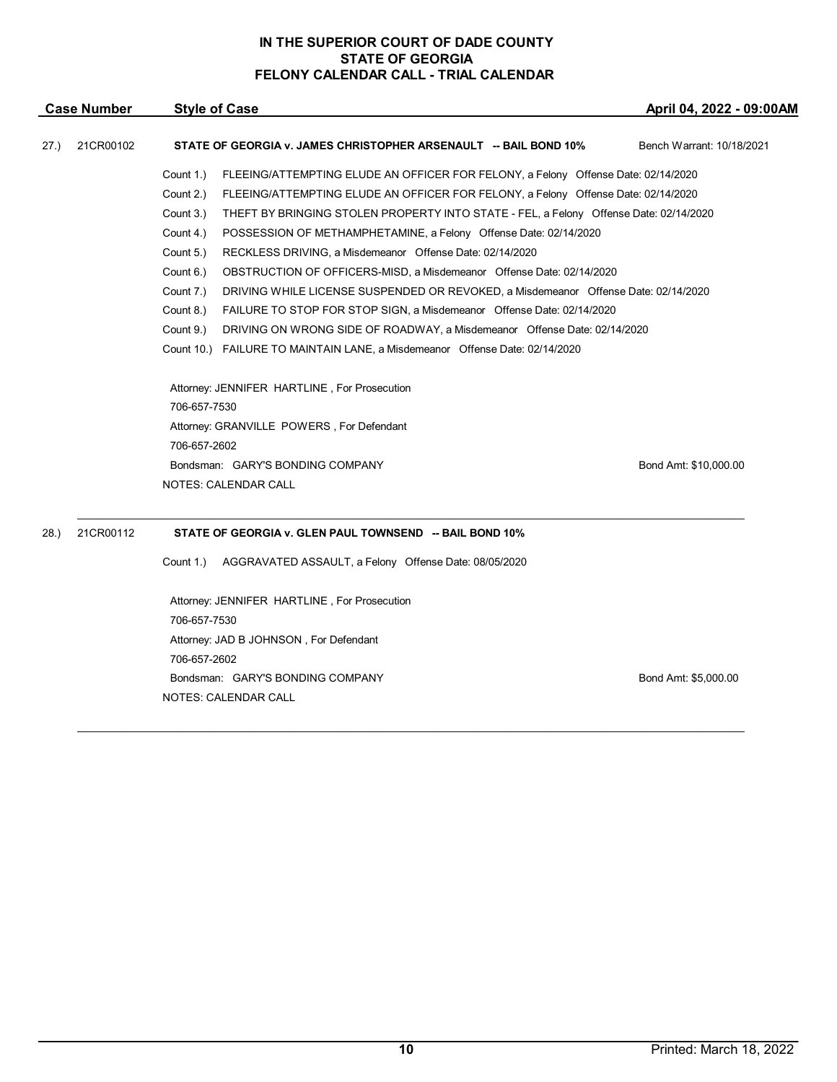|      | <b>Case Number</b> | <b>Style of Case</b>                                                                               | April 04, 2022 - 09:00AM  |
|------|--------------------|----------------------------------------------------------------------------------------------------|---------------------------|
| 27.) | 21CR00102          | STATE OF GEORGIA v. JAMES CHRISTOPHER ARSENAULT -- BAIL BOND 10%                                   | Bench Warrant: 10/18/2021 |
|      |                    | Count 1.)<br>FLEEING/ATTEMPTING ELUDE AN OFFICER FOR FELONY, a Felony Offense Date: 02/14/2020     |                           |
|      |                    | Count 2.)<br>FLEEING/ATTEMPTING ELUDE AN OFFICER FOR FELONY, a Felony Offense Date: 02/14/2020     |                           |
|      |                    | Count 3.)<br>THEFT BY BRINGING STOLEN PROPERTY INTO STATE - FEL, a Felony Offense Date: 02/14/2020 |                           |
|      |                    | Count 4.)<br>POSSESSION OF METHAMPHETAMINE, a Felony Offense Date: 02/14/2020                      |                           |
|      |                    | Count 5.)<br>RECKLESS DRIVING, a Misdemeanor Offense Date: 02/14/2020                              |                           |
|      |                    | Count 6.)<br>OBSTRUCTION OF OFFICERS-MISD, a Misdemeanor Offense Date: 02/14/2020                  |                           |
|      |                    | Count 7.)<br>DRIVING WHILE LICENSE SUSPENDED OR REVOKED, a Misdemeanor Offense Date: 02/14/2020    |                           |
|      |                    | Count 8.)<br>FAILURE TO STOP FOR STOP SIGN, a Misdemeanor Offense Date: 02/14/2020                 |                           |
|      |                    | Count 9.)<br>DRIVING ON WRONG SIDE OF ROADWAY, a Misdemeanor Offense Date: 02/14/2020              |                           |
|      |                    | Count 10.) FAILURE TO MAINTAIN LANE, a Misdemeanor Offense Date: 02/14/2020                        |                           |
|      |                    | Attorney: JENNIFER HARTLINE, For Prosecution                                                       |                           |
|      |                    | 706-657-7530                                                                                       |                           |
|      |                    | Attorney: GRANVILLE POWERS, For Defendant                                                          |                           |
|      |                    | 706-657-2602                                                                                       |                           |
|      |                    | Bondsman: GARY'S BONDING COMPANY                                                                   | Bond Amt: \$10,000.00     |
|      |                    | <b>NOTES: CALENDAR CALL</b>                                                                        |                           |
| 28.  | 21CR00112          | STATE OF GEORGIA v. GLEN PAUL TOWNSEND -- BAIL BOND 10%                                            |                           |
|      |                    | Count 1.)<br>AGGRAVATED ASSAULT, a Felony Offense Date: 08/05/2020                                 |                           |
|      |                    | Attorney: JENNIFER HARTLINE, For Prosecution                                                       |                           |

706-657-7530 Attorney: JAD B JOHNSON , For Defendant 706-657-2602 Bondsman: GARY'S BONDING COMPANY Bond Amt: \$5,000.00 NOTES: CALENDAR CALL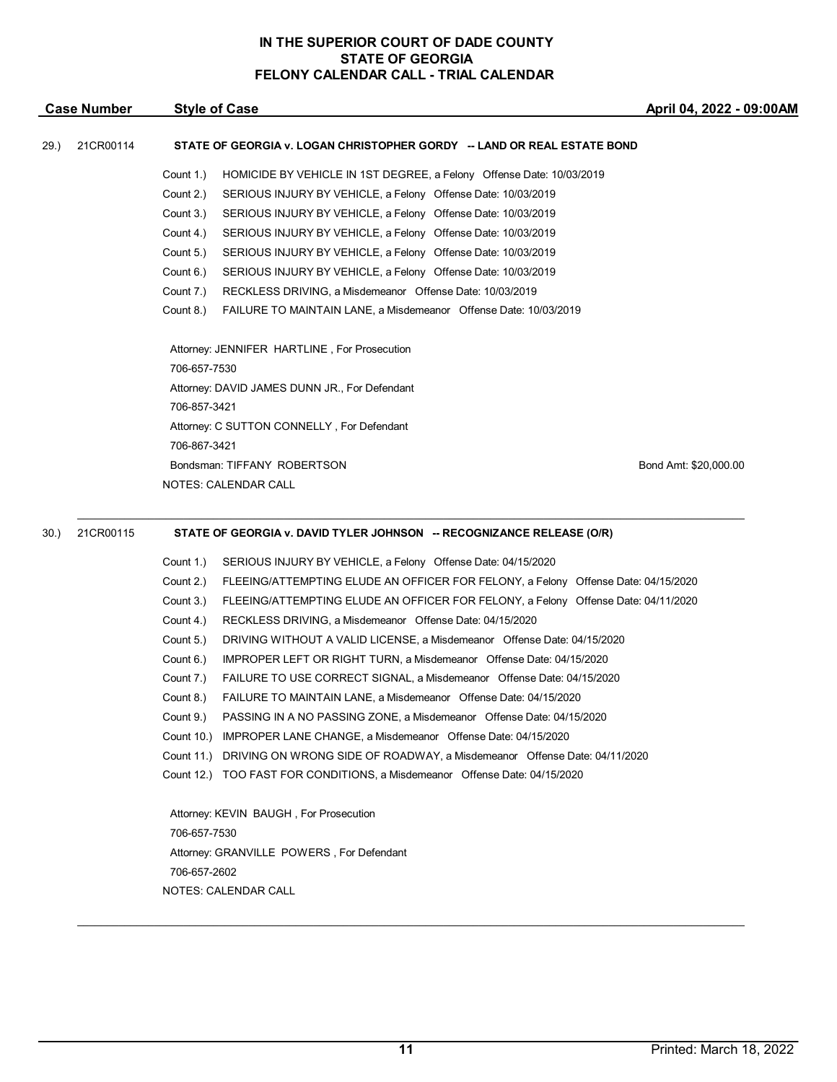|      | <b>Case Number</b> |              | <b>Style of Case</b>                                                    | April 04, 2022 - 09:0 |
|------|--------------------|--------------|-------------------------------------------------------------------------|-----------------------|
| 29.) | 21CR00114          |              | STATE OF GEORGIA v. LOGAN CHRISTOPHER GORDY -- LAND OR REAL ESTATE BOND |                       |
|      |                    | Count 1.)    | HOMICIDE BY VEHICLE IN 1ST DEGREE, a Felony Offense Date: 10/03/2019    |                       |
|      |                    | Count 2.)    | SERIOUS INJURY BY VEHICLE, a Felony Offense Date: 10/03/2019            |                       |
|      |                    | Count 3.)    | SERIOUS INJURY BY VEHICLE, a Felony Offense Date: 10/03/2019            |                       |
|      |                    | Count 4.)    | SERIOUS INJURY BY VEHICLE, a Felony Offense Date: 10/03/2019            |                       |
|      |                    | Count 5.)    | SERIOUS INJURY BY VEHICLE, a Felony Offense Date: 10/03/2019            |                       |
|      |                    | Count 6.)    | SERIOUS INJURY BY VEHICLE, a Felony Offense Date: 10/03/2019            |                       |
|      |                    | Count 7.)    | RECKLESS DRIVING, a Misdemeanor Offense Date: 10/03/2019                |                       |
|      |                    | Count 8.)    | FAILURE TO MAINTAIN LANE, a Misdemeanor Offense Date: 10/03/2019        |                       |
|      |                    |              | Attorney: JENNIFER HARTLINE, For Prosecution                            |                       |
|      |                    | 706-657-7530 |                                                                         |                       |
|      |                    |              | Attorney: DAVID JAMES DUNN JR., For Defendant                           |                       |
|      |                    | 706-857-3421 |                                                                         |                       |
|      |                    |              | Attorney: C SUTTON CONNELLY, For Defendant                              |                       |
|      |                    | 706-867-3421 |                                                                         |                       |
|      |                    |              | Bondsman: TIFFANY ROBERTSON                                             | Bond Amt: \$20,000.00 |
|      |                    |              | <b>NOTES: CALENDAR CALL</b>                                             |                       |
|      |                    |              |                                                                         |                       |
|      |                    |              |                                                                         |                       |

#### 30.) 21CR00115 **STATE OF GEORGIA v. DAVID TYLER JOHNSON -- RECOGNIZANCE RELEASE (O/R)**

Count 1.) SERIOUS INJURY BY VEHICLE, a Felony Offense Date: 04/15/2020

Count 2.) FLEEING/ATTEMPTING ELUDE AN OFFICER FOR FELONY, a Felony Offense Date: 04/15/2020

- Count 3.) FLEEING/ATTEMPTING ELUDE AN OFFICER FOR FELONY, a Felony Offense Date: 04/11/2020
- Count 4.) RECKLESS DRIVING, a Misdemeanor Offense Date: 04/15/2020
- Count 5.) DRIVING WITHOUT A VALID LICENSE, a Misdemeanor Offense Date: 04/15/2020
- Count 6.) IMPROPER LEFT OR RIGHT TURN, a Misdemeanor Offense Date: 04/15/2020
- Count 7.) FAILURE TO USE CORRECT SIGNAL, a Misdemeanor Offense Date: 04/15/2020
- Count 8.) FAILURE TO MAINTAIN LANE, a Misdemeanor Offense Date: 04/15/2020
- Count 9.) PASSING IN A NO PASSING ZONE, a Misdemeanor Offense Date: 04/15/2020
- Count 10.) IMPROPER LANE CHANGE, a Misdemeanor Offense Date: 04/15/2020
- Count 11.) DRIVING ON WRONG SIDE OF ROADWAY, a Misdemeanor Offense Date: 04/11/2020
- Count 12.) TOO FAST FOR CONDITIONS, a Misdemeanor Offense Date: 04/15/2020

Attorney: KEVIN BAUGH , For Prosecution 706-657-7530 Attorney: GRANVILLE POWERS , For Defendant 706-657-2602 NOTES: CALENDAR CALL

\_\_\_\_\_\_\_\_\_\_\_\_\_\_\_\_\_\_\_\_\_\_\_\_\_\_\_\_\_\_\_\_\_\_\_\_\_\_\_\_\_\_\_\_\_\_\_\_\_\_\_\_\_\_\_\_\_\_\_\_\_\_\_\_\_\_\_\_\_\_\_\_\_\_\_\_\_\_\_\_\_\_\_\_\_\_\_\_\_\_\_\_\_\_\_\_\_\_\_\_\_\_\_\_\_\_\_\_\_\_\_\_\_

**April 04, 2022 - 09:00AM**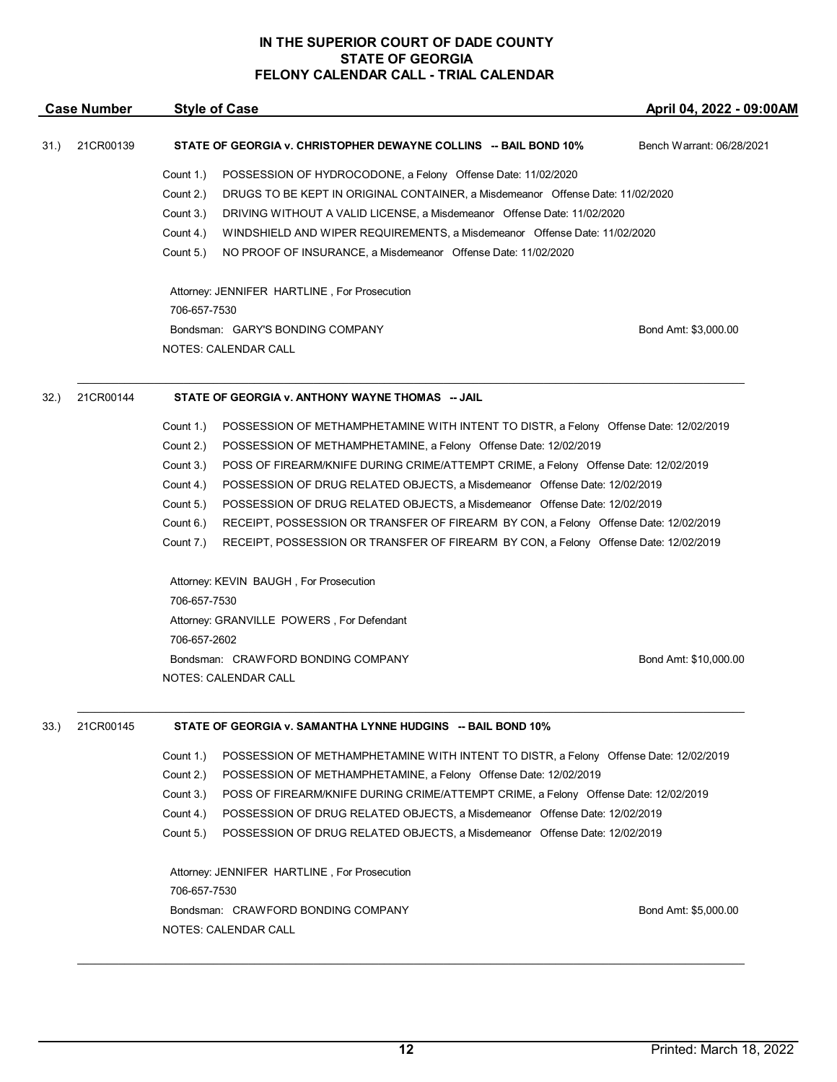|      | <b>Case Number</b> | <b>Style of Case</b>                                                                               | April 04, 2022 - 09:00AM  |
|------|--------------------|----------------------------------------------------------------------------------------------------|---------------------------|
| 31.) | 21CR00139          | STATE OF GEORGIA v. CHRISTOPHER DEWAYNE COLLINS -- BAIL BOND 10%                                   | Bench Warrant: 06/28/2021 |
|      |                    | Count 1.)<br>POSSESSION OF HYDROCODONE, a Felony Offense Date: 11/02/2020                          |                           |
|      |                    | Count 2.)<br>DRUGS TO BE KEPT IN ORIGINAL CONTAINER, a Misdemeanor Offense Date: 11/02/2020        |                           |
|      |                    | Count 3.)<br>DRIVING WITHOUT A VALID LICENSE, a Misdemeanor Offense Date: 11/02/2020               |                           |
|      |                    | Count 4.)<br>WINDSHIELD AND WIPER REQUIREMENTS, a Misdemeanor Offense Date: 11/02/2020             |                           |
|      |                    | Count 5.)<br>NO PROOF OF INSURANCE, a Misdemeanor Offense Date: 11/02/2020                         |                           |
|      |                    | Attorney: JENNIFER HARTLINE, For Prosecution                                                       |                           |
|      |                    | 706-657-7530                                                                                       |                           |
|      |                    | Bondsman: GARY'S BONDING COMPANY<br>NOTES: CALENDAR CALL                                           | Bond Amt: \$3,000.00      |
|      |                    |                                                                                                    |                           |
| 32.) | 21CR00144          | STATE OF GEORGIA v. ANTHONY WAYNE THOMAS -- JAIL                                                   |                           |
|      |                    | Count 1.)<br>POSSESSION OF METHAMPHETAMINE WITH INTENT TO DISTR, a Felony Offense Date: 12/02/2019 |                           |
|      |                    | Count 2.)<br>POSSESSION OF METHAMPHETAMINE, a Felony Offense Date: 12/02/2019                      |                           |
|      |                    | Count 3.)<br>POSS OF FIREARM/KNIFE DURING CRIME/ATTEMPT CRIME, a Felony Offense Date: 12/02/2019   |                           |
|      |                    | Count 4.)<br>POSSESSION OF DRUG RELATED OBJECTS, a Misdemeanor Offense Date: 12/02/2019            |                           |
|      |                    | Count 5.)<br>POSSESSION OF DRUG RELATED OBJECTS, a Misdemeanor Offense Date: 12/02/2019            |                           |
|      |                    | Count 6.)<br>RECEIPT, POSSESSION OR TRANSFER OF FIREARM BY CON, a Felony Offense Date: 12/02/2019  |                           |
|      |                    | Count 7.)<br>RECEIPT, POSSESSION OR TRANSFER OF FIREARM BY CON, a Felony Offense Date: 12/02/2019  |                           |
|      |                    | Attorney: KEVIN BAUGH, For Prosecution<br>706-657-7530                                             |                           |
|      |                    | Attorney: GRANVILLE POWERS, For Defendant                                                          |                           |
|      |                    | 706-657-2602                                                                                       |                           |
|      |                    | Bondsman: CRAWFORD BONDING COMPANY                                                                 | Bond Amt: \$10,000.00     |
|      |                    | NOTES: CALENDAR CALL                                                                               |                           |
| 33.) | 21CR00145          | STATE OF GEORGIA v. SAMANTHA LYNNE HUDGINS -- BAIL BOND 10%                                        |                           |
|      |                    |                                                                                                    |                           |
|      |                    | Count 1.)<br>POSSESSION OF METHAMPHETAMINE WITH INTENT TO DISTR, a Felony Offense Date: 12/02/2019 |                           |
|      |                    | Count 2.)<br>POSSESSION OF METHAMPHETAMINE, a Felony Offense Date: 12/02/2019                      |                           |
|      |                    | Count 3.)<br>POSS OF FIREARM/KNIFE DURING CRIME/ATTEMPT CRIME, a Felony Offense Date: 12/02/2019   |                           |
|      |                    | Count 4.)<br>POSSESSION OF DRUG RELATED OBJECTS, a Misdemeanor Offense Date: 12/02/2019            |                           |
|      |                    | Count 5.)<br>POSSESSION OF DRUG RELATED OBJECTS, a Misdemeanor Offense Date: 12/02/2019            |                           |
|      |                    | Attorney: JENNIFER HARTLINE, For Prosecution<br>706-657-7530                                       |                           |
|      |                    | Bondsman: CRAWFORD BONDING COMPANY                                                                 | Bond Amt: \$5,000.00      |
|      |                    | NOTES: CALENDAR CALL                                                                               |                           |
|      |                    |                                                                                                    |                           |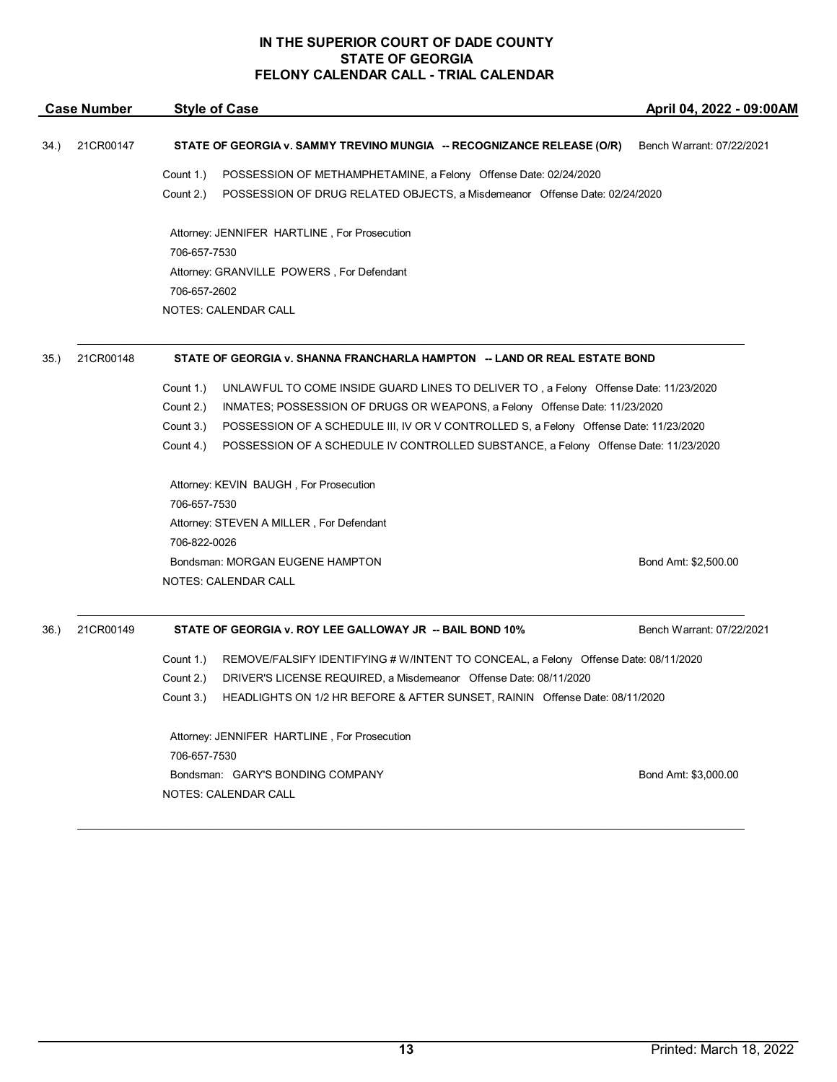|      | <b>Case Number</b> | <b>Style of Case</b>                                                                               | April 04, 2022 - 09:00AM  |  |
|------|--------------------|----------------------------------------------------------------------------------------------------|---------------------------|--|
| 34.) | 21CR00147          | STATE OF GEORGIA v. SAMMY TREVINO MUNGIA -- RECOGNIZANCE RELEASE (O/R)                             | Bench Warrant: 07/22/2021 |  |
|      |                    | Count 1.)<br>POSSESSION OF METHAMPHETAMINE, a Felony Offense Date: 02/24/2020                      |                           |  |
|      |                    | Count 2.)<br>POSSESSION OF DRUG RELATED OBJECTS, a Misdemeanor Offense Date: 02/24/2020            |                           |  |
|      |                    | Attorney: JENNIFER HARTLINE, For Prosecution                                                       |                           |  |
|      |                    | 706-657-7530                                                                                       |                           |  |
|      |                    | Attorney: GRANVILLE POWERS, For Defendant                                                          |                           |  |
|      |                    | 706-657-2602                                                                                       |                           |  |
|      |                    | <b>NOTES: CALENDAR CALL</b>                                                                        |                           |  |
| 35.) | 21CR00148          | STATE OF GEORGIA v. SHANNA FRANCHARLA HAMPTON -- LAND OR REAL ESTATE BOND                          |                           |  |
|      |                    | UNLAWFUL TO COME INSIDE GUARD LINES TO DELIVER TO, a Felony Offense Date: 11/23/2020<br>Count 1.)  |                           |  |
|      |                    | Count 2.)<br>INMATES; POSSESSION OF DRUGS OR WEAPONS, a Felony Offense Date: 11/23/2020            |                           |  |
|      |                    | Count 3.)<br>POSSESSION OF A SCHEDULE III, IV OR V CONTROLLED S, a Felony Offense Date: 11/23/2020 |                           |  |
|      |                    | Count 4.)<br>POSSESSION OF A SCHEDULE IV CONTROLLED SUBSTANCE, a Felony Offense Date: 11/23/2020   |                           |  |
|      |                    | Attorney: KEVIN BAUGH, For Prosecution                                                             |                           |  |
|      |                    | 706-657-7530                                                                                       |                           |  |
|      |                    | Attorney: STEVEN A MILLER, For Defendant                                                           |                           |  |
|      |                    | 706-822-0026                                                                                       |                           |  |
|      |                    | Bondsman: MORGAN EUGENE HAMPTON                                                                    | Bond Amt: \$2,500.00      |  |
|      |                    | <b>NOTES: CALENDAR CALL</b>                                                                        |                           |  |
| 36.) | 21CR00149          | STATE OF GEORGIA v. ROY LEE GALLOWAY JR -- BAIL BOND 10%                                           | Bench Warrant: 07/22/2021 |  |
|      |                    | REMOVE/FALSIFY IDENTIFYING # W/INTENT TO CONCEAL, a Felony Offense Date: 08/11/2020<br>Count 1.)   |                           |  |
|      |                    | Count 2.)<br>DRIVER'S LICENSE REQUIRED, a Misdemeanor Offense Date: 08/11/2020                     |                           |  |
|      |                    | Count 3.)<br>HEADLIGHTS ON 1/2 HR BEFORE & AFTER SUNSET, RAININ Offense Date: 08/11/2020           |                           |  |
|      |                    | Attorney: JENNIFER HARTLINE, For Prosecution                                                       |                           |  |
|      |                    | 706-657-7530                                                                                       |                           |  |
|      |                    | Bondsman: GARY'S BONDING COMPANY                                                                   | Bond Amt: \$3,000.00      |  |
|      |                    | <b>NOTES: CALENDAR CALL</b>                                                                        |                           |  |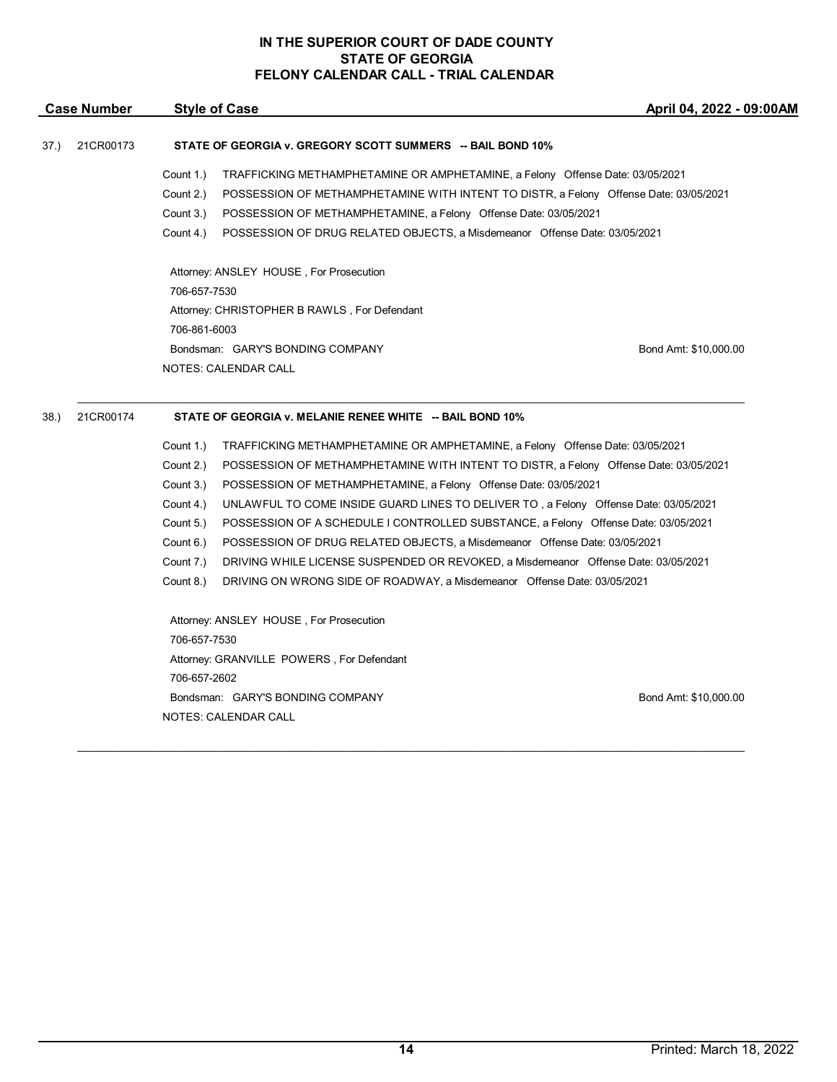| <b>Case Number</b> | <b>Style of Case</b> | April |
|--------------------|----------------------|-------|
|                    |                      |       |

# 37.) 21CR00173 **STATE OF GEORGIA v. GREGORY SCOTT SUMMERS -- BAIL BOND 10%**

- Count 1.) TRAFFICKING METHAMPHETAMINE OR AMPHETAMINE, a Felony Offense Date: 03/05/2021
- Count 2.) POSSESSION OF METHAMPHETAMINE WITH INTENT TO DISTR, a Felony Offense Date: 03/05/2021
- Count 3.) POSSESSION OF METHAMPHETAMINE, a Felony Offense Date: 03/05/2021
- Count 4.) POSSESSION OF DRUG RELATED OBJECTS, a Misdemeanor Offense Date: 03/05/2021

\_\_\_\_\_\_\_\_\_\_\_\_\_\_\_\_\_\_\_\_\_\_\_\_\_\_\_\_\_\_\_\_\_\_\_\_\_\_\_\_\_\_\_\_\_\_\_\_\_\_\_\_\_\_\_\_\_\_\_\_\_\_\_\_\_\_\_\_\_\_\_\_\_\_\_\_\_\_\_\_\_\_\_\_\_\_\_\_\_\_\_\_\_\_\_\_\_\_\_\_\_\_\_\_\_\_\_\_\_\_\_\_\_

Attorney: ANSLEY HOUSE , For Prosecution 706-657-7530 Attorney: CHRISTOPHER B RAWLS , For Defendant 706-861-6003 Bondsman: GARY'S BONDING COMPANY Bond Amt: \$10,000.00 NOTES: CALENDAR CALL

#### 38.) 21CR00174 **STATE OF GEORGIA v. MELANIE RENEE WHITE -- BAIL BOND 10%**

Count 1.) TRAFFICKING METHAMPHETAMINE OR AMPHETAMINE, a Felony Offense Date: 03/05/2021 Count 2.) POSSESSION OF METHAMPHETAMINE WITH INTENT TO DISTR, a Felony Offense Date: 03/05/2021 Count 3.) POSSESSION OF METHAMPHETAMINE, a Felony Offense Date: 03/05/2021 Count 4.) UNLAWFUL TO COME INSIDE GUARD LINES TO DELIVER TO , a Felony Offense Date: 03/05/2021 Count 5.) POSSESSION OF A SCHEDULE I CONTROLLED SUBSTANCE, a Felony Offense Date: 03/05/2021 Count 6.) POSSESSION OF DRUG RELATED OBJECTS, a Misdemeanor Offense Date: 03/05/2021 Count 7.) DRIVING WHILE LICENSE SUSPENDED OR REVOKED, a Misdemeanor Offense Date: 03/05/2021 Count 8.) DRIVING ON WRONG SIDE OF ROADWAY, a Misdemeanor Offense Date: 03/05/2021 Attorney: ANSLEY HOUSE , For Prosecution 706-657-7530 Attorney: GRANVILLE POWERS , For Defendant 706-657-2602 Bondsman: GARY'S BONDING COMPANY BOND AME: \$10,000.00

\_\_\_\_\_\_\_\_\_\_\_\_\_\_\_\_\_\_\_\_\_\_\_\_\_\_\_\_\_\_\_\_\_\_\_\_\_\_\_\_\_\_\_\_\_\_\_\_\_\_\_\_\_\_\_\_\_\_\_\_\_\_\_\_\_\_\_\_\_\_\_\_\_\_\_\_\_\_\_\_\_\_\_\_\_\_\_\_\_\_\_\_\_\_\_\_\_\_\_\_\_\_\_\_\_\_\_\_\_\_\_\_\_

NOTES: CALENDAR CALL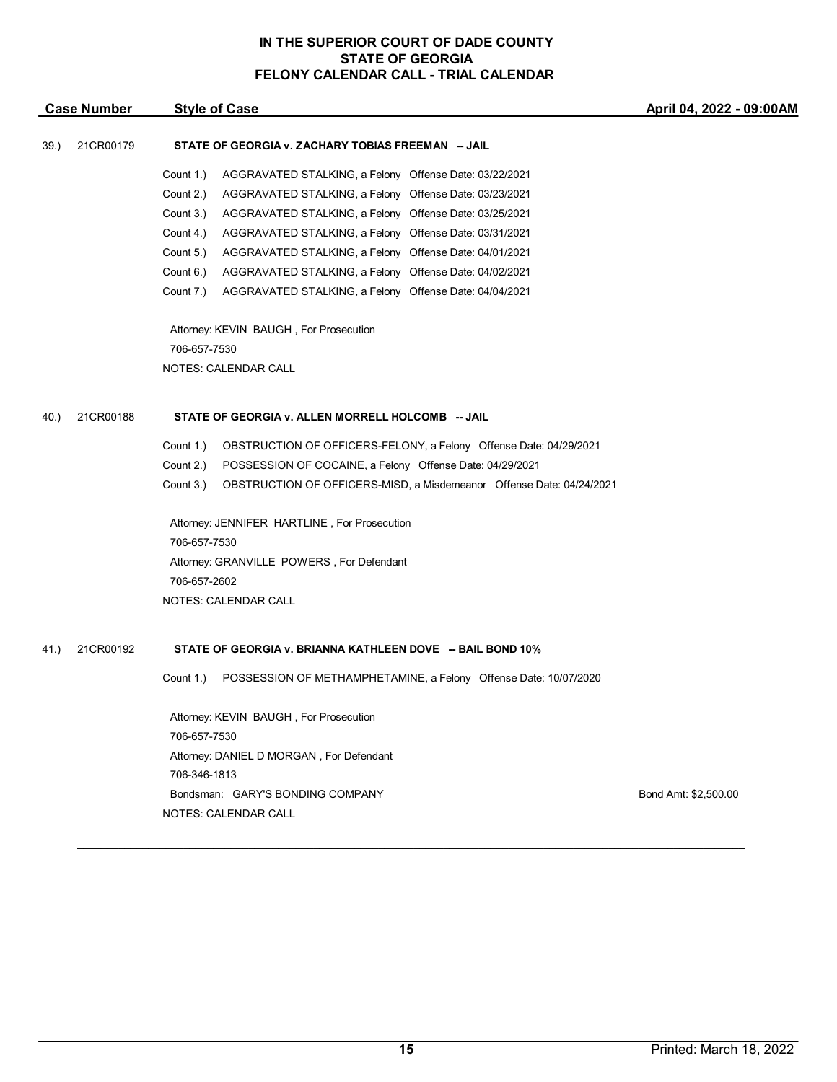| <b>Case Number</b> |           | <b>Style of Case</b>                                                              | April 04, 2022 - 09:00AM |  |
|--------------------|-----------|-----------------------------------------------------------------------------------|--------------------------|--|
| 39.)               | 21CR00179 | STATE OF GEORGIA v. ZACHARY TOBIAS FREEMAN -- JAIL                                |                          |  |
|                    |           | Count 1.)<br>AGGRAVATED STALKING, a Felony Offense Date: 03/22/2021               |                          |  |
|                    |           | Count 2.)<br>AGGRAVATED STALKING, a Felony Offense Date: 03/23/2021               |                          |  |
|                    |           | Count 3.)<br>AGGRAVATED STALKING, a Felony Offense Date: 03/25/2021               |                          |  |
|                    |           | Count 4.)<br>AGGRAVATED STALKING, a Felony Offense Date: 03/31/2021               |                          |  |
|                    |           | Count 5.)<br>AGGRAVATED STALKING, a Felony Offense Date: 04/01/2021               |                          |  |
|                    |           | Count 6.)<br>AGGRAVATED STALKING, a Felony Offense Date: 04/02/2021               |                          |  |
|                    |           | Count 7.)<br>AGGRAVATED STALKING, a Felony Offense Date: 04/04/2021               |                          |  |
|                    |           | Attorney: KEVIN BAUGH, For Prosecution                                            |                          |  |
|                    |           | 706-657-7530                                                                      |                          |  |
|                    |           | NOTES: CALENDAR CALL                                                              |                          |  |
| 40.)               | 21CR00188 | STATE OF GEORGIA v. ALLEN MORRELL HOLCOMB -- JAIL                                 |                          |  |
|                    |           | Count 1.)<br>OBSTRUCTION OF OFFICERS-FELONY, a Felony Offense Date: 04/29/2021    |                          |  |
|                    |           | Count 2.)<br>POSSESSION OF COCAINE, a Felony Offense Date: 04/29/2021             |                          |  |
|                    |           | Count 3.)<br>OBSTRUCTION OF OFFICERS-MISD, a Misdemeanor Offense Date: 04/24/2021 |                          |  |
|                    |           | Attorney: JENNIFER HARTLINE, For Prosecution                                      |                          |  |
|                    |           | 706-657-7530                                                                      |                          |  |
|                    |           | Attorney: GRANVILLE POWERS, For Defendant                                         |                          |  |
|                    |           | 706-657-2602                                                                      |                          |  |
|                    |           | NOTES: CALENDAR CALL                                                              |                          |  |
| 41.)               | 21CR00192 | STATE OF GEORGIA v. BRIANNA KATHLEEN DOVE -- BAIL BOND 10%                        |                          |  |
|                    |           | Count 1.)<br>POSSESSION OF METHAMPHETAMINE, a Felony Offense Date: 10/07/2020     |                          |  |
|                    |           | Attorney: KEVIN BAUGH, For Prosecution                                            |                          |  |
|                    |           | 706-657-7530                                                                      |                          |  |
|                    |           | Attorney: DANIEL D MORGAN, For Defendant                                          |                          |  |
|                    |           | 706-346-1813                                                                      |                          |  |
|                    |           | Bondsman: GARY'S BONDING COMPANY                                                  | Bond Amt: \$2,500.00     |  |
|                    |           | NOTES: CALENDAR CALL                                                              |                          |  |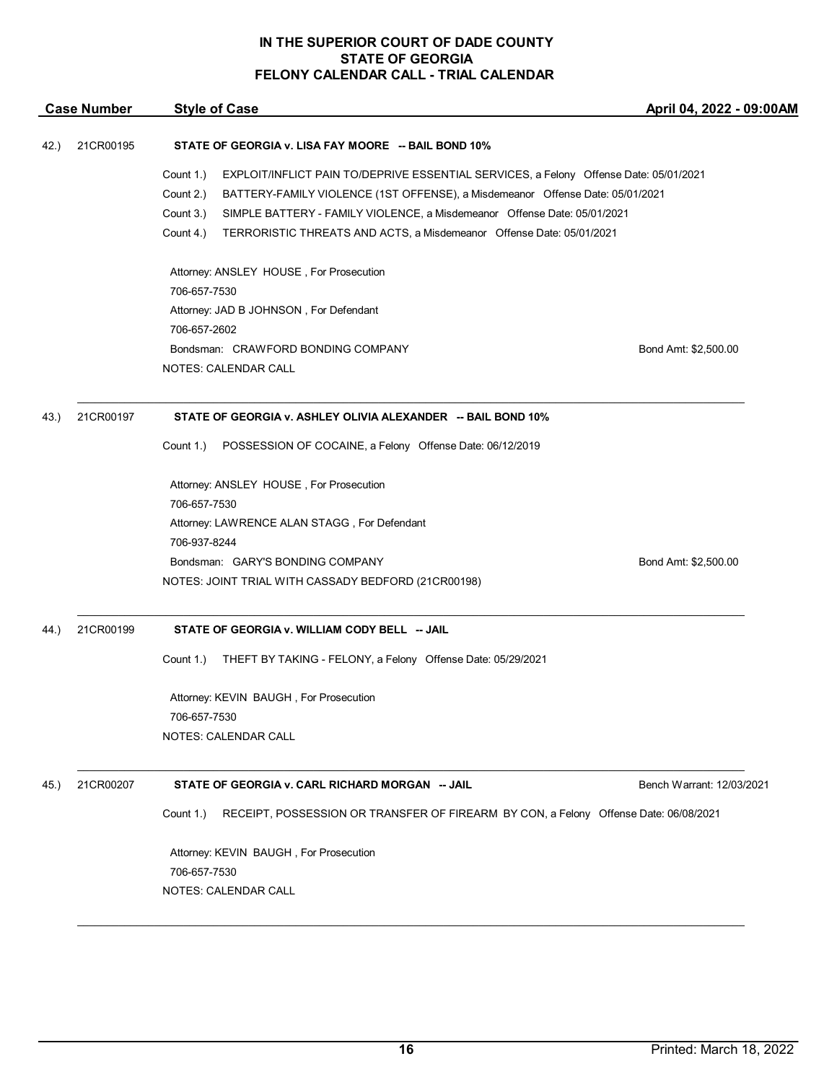| <b>Case Number</b> |           | <b>Style of Case</b>                                                                                                                                                                                                                                                                                                                                                           | April 04, 2022 - 09:00AM  |  |
|--------------------|-----------|--------------------------------------------------------------------------------------------------------------------------------------------------------------------------------------------------------------------------------------------------------------------------------------------------------------------------------------------------------------------------------|---------------------------|--|
| 42.)               | 21CR00195 | STATE OF GEORGIA v. LISA FAY MOORE -- BAIL BOND 10%                                                                                                                                                                                                                                                                                                                            |                           |  |
|                    |           | Count 1.)<br>EXPLOIT/INFLICT PAIN TO/DEPRIVE ESSENTIAL SERVICES, a Felony Offense Date: 05/01/2021<br>Count 2.)<br>BATTERY-FAMILY VIOLENCE (1ST OFFENSE), a Misdemeanor Offense Date: 05/01/2021<br>Count 3.)<br>SIMPLE BATTERY - FAMILY VIOLENCE, a Misdemeanor Offense Date: 05/01/2021<br>TERRORISTIC THREATS AND ACTS, a Misdemeanor Offense Date: 05/01/2021<br>Count 4.) |                           |  |
|                    |           | Attorney: ANSLEY HOUSE, For Prosecution<br>706-657-7530<br>Attorney: JAD B JOHNSON, For Defendant<br>706-657-2602<br>Bondsman: CRAWFORD BONDING COMPANY<br>NOTES: CALENDAR CALL                                                                                                                                                                                                | Bond Amt: \$2,500.00      |  |
|                    |           |                                                                                                                                                                                                                                                                                                                                                                                |                           |  |
| 43.)               | 21CR00197 | STATE OF GEORGIA v. ASHLEY OLIVIA ALEXANDER -- BAIL BOND 10%                                                                                                                                                                                                                                                                                                                   |                           |  |
|                    |           | POSSESSION OF COCAINE, a Felony Offense Date: 06/12/2019<br>Count 1.)                                                                                                                                                                                                                                                                                                          |                           |  |
|                    |           | Attorney: ANSLEY HOUSE, For Prosecution<br>706-657-7530<br>Attorney: LAWRENCE ALAN STAGG, For Defendant<br>706-937-8244<br>Bondsman: GARY'S BONDING COMPANY                                                                                                                                                                                                                    | Bond Amt: \$2,500.00      |  |
|                    |           | NOTES: JOINT TRIAL WITH CASSADY BEDFORD (21CR00198)                                                                                                                                                                                                                                                                                                                            |                           |  |
| 44.)               | 21CR00199 | STATE OF GEORGIA v. WILLIAM CODY BELL -- JAIL                                                                                                                                                                                                                                                                                                                                  |                           |  |
|                    |           | THEFT BY TAKING - FELONY, a Felony Offense Date: 05/29/2021<br>Count 1.)                                                                                                                                                                                                                                                                                                       |                           |  |
|                    |           | Attorney: KEVIN BAUGH, For Prosecution<br>706-657-7530<br><b>NOTES: CALENDAR CALL</b>                                                                                                                                                                                                                                                                                          |                           |  |
| 45.)               | 21CR00207 | STATE OF GEORGIA v. CARL RICHARD MORGAN -- JAIL                                                                                                                                                                                                                                                                                                                                | Bench Warrant: 12/03/2021 |  |
|                    |           | RECEIPT, POSSESSION OR TRANSFER OF FIREARM BY CON, a Felony Offense Date: 06/08/2021<br>Count 1.)                                                                                                                                                                                                                                                                              |                           |  |
|                    |           | Attorney: KEVIN BAUGH, For Prosecution<br>706-657-7530<br><b>NOTES: CALENDAR CALL</b>                                                                                                                                                                                                                                                                                          |                           |  |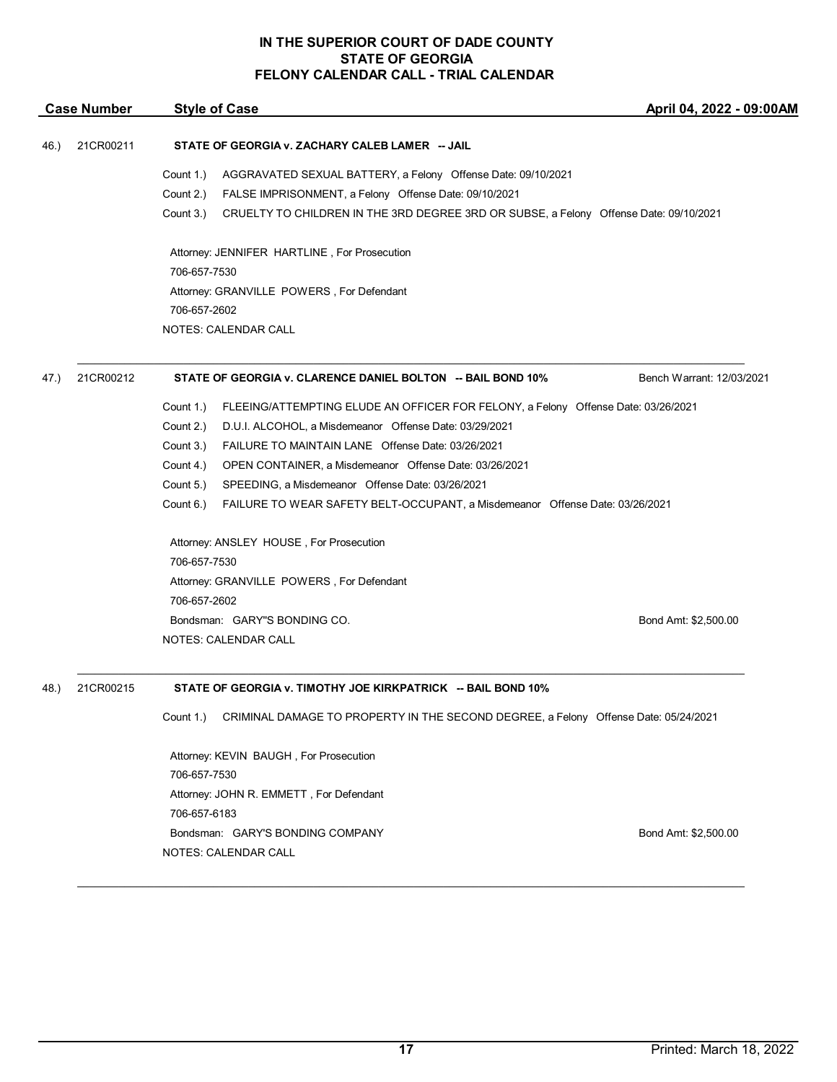| <b>Case Number</b> |           | <b>Style of Case</b>                                                                               | April 04, 2022 - 09:00AM  |
|--------------------|-----------|----------------------------------------------------------------------------------------------------|---------------------------|
| 46.)               | 21CR00211 | STATE OF GEORGIA v. ZACHARY CALEB LAMER -- JAIL                                                    |                           |
|                    |           | Count 1.)<br>AGGRAVATED SEXUAL BATTERY, a Felony Offense Date: 09/10/2021                          |                           |
|                    |           | Count 2.)<br>FALSE IMPRISONMENT, a Felony Offense Date: 09/10/2021                                 |                           |
|                    |           | Count 3.)<br>CRUELTY TO CHILDREN IN THE 3RD DEGREE 3RD OR SUBSE, a Felony Offense Date: 09/10/2021 |                           |
|                    |           | Attorney: JENNIFER HARTLINE, For Prosecution                                                       |                           |
|                    |           | 706-657-7530                                                                                       |                           |
|                    |           | Attorney: GRANVILLE POWERS, For Defendant                                                          |                           |
|                    |           | 706-657-2602                                                                                       |                           |
|                    |           | <b>NOTES: CALENDAR CALL</b>                                                                        |                           |
| 47.)               | 21CR00212 | STATE OF GEORGIA v. CLARENCE DANIEL BOLTON -- BAIL BOND 10%                                        | Bench Warrant: 12/03/2021 |
|                    |           | Count 1.)<br>FLEEING/ATTEMPTING ELUDE AN OFFICER FOR FELONY, a Felony Offense Date: 03/26/2021     |                           |
|                    |           | Count 2.)<br>D.U.I. ALCOHOL, a Misdemeanor Offense Date: 03/29/2021                                |                           |
|                    |           | Count 3.)<br>FAILURE TO MAINTAIN LANE Offense Date: 03/26/2021                                     |                           |
|                    |           | Count 4.)<br>OPEN CONTAINER, a Misdemeanor Offense Date: 03/26/2021                                |                           |
|                    |           | Count 5.)<br>SPEEDING, a Misdemeanor Offense Date: 03/26/2021                                      |                           |
|                    |           | Count 6.)<br>FAILURE TO WEAR SAFETY BELT-OCCUPANT, a Misdemeanor Offense Date: 03/26/2021          |                           |
|                    |           | Attorney: ANSLEY HOUSE, For Prosecution                                                            |                           |
|                    |           | 706-657-7530                                                                                       |                           |
|                    |           | Attorney: GRANVILLE POWERS, For Defendant                                                          |                           |
|                    |           | 706-657-2602                                                                                       |                           |
|                    |           | Bondsman: GARY"S BONDING CO.                                                                       | Bond Amt: \$2,500.00      |
|                    |           | <b>NOTES: CALENDAR CALL</b>                                                                        |                           |
| 48.)               | 21CR00215 | STATE OF GEORGIA v. TIMOTHY JOE KIRKPATRICK -- BAIL BOND 10%                                       |                           |
|                    |           | CRIMINAL DAMAGE TO PROPERTY IN THE SECOND DEGREE, a Felony Offense Date: 05/24/2021<br>Count 1.)   |                           |

Attorney: KEVIN BAUGH , For Prosecution 706-657-7530 Attorney: JOHN R. EMMETT , For Defendant 706-657-6183 Bondsman: GARY'S BONDING COMPANY Bond Amt: \$2,500.00 NOTES: CALENDAR CALL

 $\mathcal{L}_\mathcal{L} = \mathcal{L}_\mathcal{L} = \mathcal{L}_\mathcal{L} = \mathcal{L}_\mathcal{L} = \mathcal{L}_\mathcal{L} = \mathcal{L}_\mathcal{L} = \mathcal{L}_\mathcal{L} = \mathcal{L}_\mathcal{L} = \mathcal{L}_\mathcal{L} = \mathcal{L}_\mathcal{L} = \mathcal{L}_\mathcal{L} = \mathcal{L}_\mathcal{L} = \mathcal{L}_\mathcal{L} = \mathcal{L}_\mathcal{L} = \mathcal{L}_\mathcal{L} = \mathcal{L}_\mathcal{L} = \mathcal{L}_\mathcal{L}$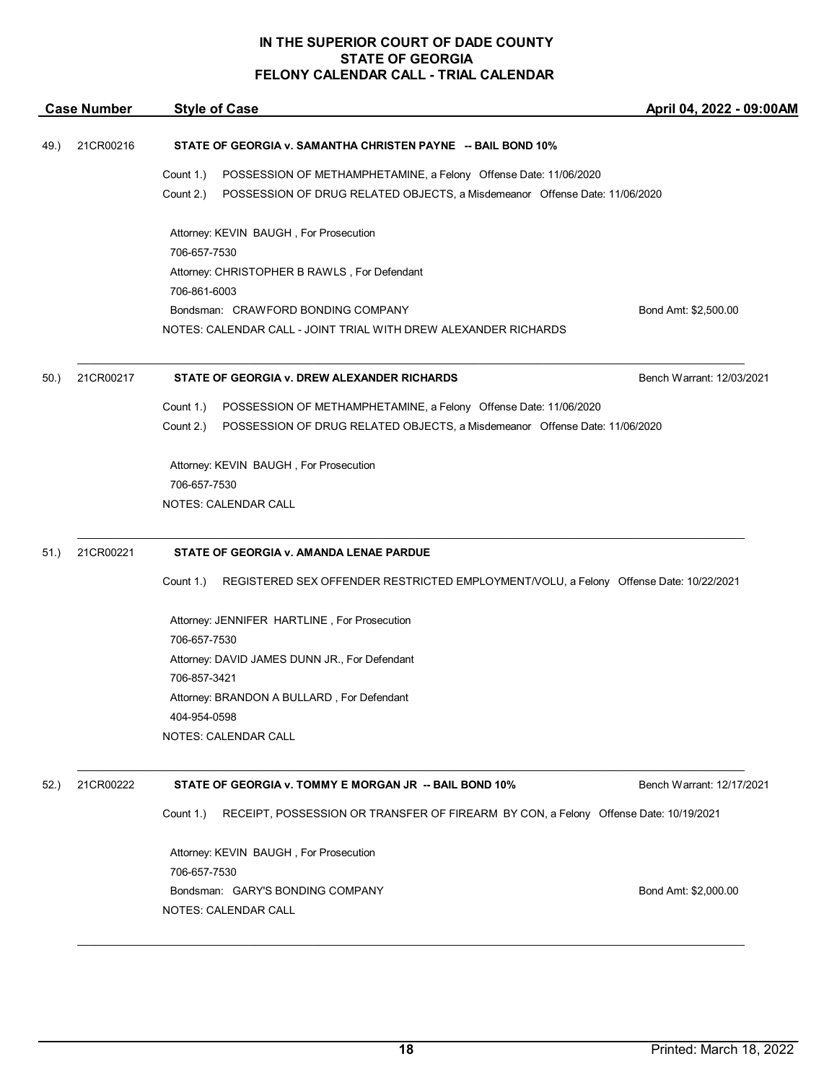| <b>Case Number</b> |           | <b>Style of Case</b>                                                                               | April 04, 2022 - 09:00AM  |  |
|--------------------|-----------|----------------------------------------------------------------------------------------------------|---------------------------|--|
| 49.)               | 21CR00216 | STATE OF GEORGIA v. SAMANTHA CHRISTEN PAYNE -- BAIL BOND 10%                                       |                           |  |
|                    |           | Count 1.)<br>POSSESSION OF METHAMPHETAMINE, a Felony Offense Date: 11/06/2020                      |                           |  |
|                    |           | Count 2.)<br>POSSESSION OF DRUG RELATED OBJECTS, a Misdemeanor Offense Date: 11/06/2020            |                           |  |
|                    |           | Attorney: KEVIN BAUGH, For Prosecution<br>706-657-7530                                             |                           |  |
|                    |           | Attorney: CHRISTOPHER B RAWLS, For Defendant                                                       |                           |  |
|                    |           | 706-861-6003                                                                                       |                           |  |
|                    |           | Bondsman: CRAWFORD BONDING COMPANY                                                                 | Bond Amt: \$2,500.00      |  |
|                    |           | NOTES: CALENDAR CALL - JOINT TRIAL WITH DREW ALEXANDER RICHARDS                                    |                           |  |
| 50.)               | 21CR00217 | STATE OF GEORGIA v. DREW ALEXANDER RICHARDS                                                        | Bench Warrant: 12/03/2021 |  |
|                    |           | Count 1.)<br>POSSESSION OF METHAMPHETAMINE, a Felony Offense Date: 11/06/2020                      |                           |  |
|                    |           | Count 2.)<br>POSSESSION OF DRUG RELATED OBJECTS, a Misdemeanor Offense Date: 11/06/2020            |                           |  |
|                    |           | Attorney: KEVIN BAUGH, For Prosecution                                                             |                           |  |
|                    |           | 706-657-7530                                                                                       |                           |  |
|                    |           | <b>NOTES: CALENDAR CALL</b>                                                                        |                           |  |
| 51.)               | 21CR00221 | STATE OF GEORGIA v. AMANDA LENAE PARDUE                                                            |                           |  |
|                    |           | Count 1.)<br>REGISTERED SEX OFFENDER RESTRICTED EMPLOYMENT/VOLU, a Felony Offense Date: 10/22/2021 |                           |  |
|                    |           | Attorney: JENNIFER HARTLINE, For Prosecution                                                       |                           |  |
|                    |           | 706-657-7530                                                                                       |                           |  |
|                    |           | Attorney: DAVID JAMES DUNN JR., For Defendant                                                      |                           |  |
|                    |           | 706-857-3421<br>Attorney: BRANDON A BULLARD, For Defendant                                         |                           |  |
|                    |           | 404-954-0598                                                                                       |                           |  |
|                    |           | <b>NOTES: CALENDAR CALL</b>                                                                        |                           |  |
| 52.)               | 21CR00222 | STATE OF GEORGIA v. TOMMY E MORGAN JR -- BAIL BOND 10%                                             | Bench Warrant: 12/17/2021 |  |
|                    |           | RECEIPT, POSSESSION OR TRANSFER OF FIREARM BY CON, a Felony Offense Date: 10/19/2021<br>Count 1.)  |                           |  |
|                    |           |                                                                                                    |                           |  |
|                    |           | Attorney: KEVIN BAUGH, For Prosecution                                                             |                           |  |
|                    |           | 706-657-7530                                                                                       |                           |  |
|                    |           | Bondsman: GARY'S BONDING COMPANY                                                                   | Bond Amt: \$2,000.00      |  |
|                    |           | NOTES: CALENDAR CALL                                                                               |                           |  |
|                    |           |                                                                                                    |                           |  |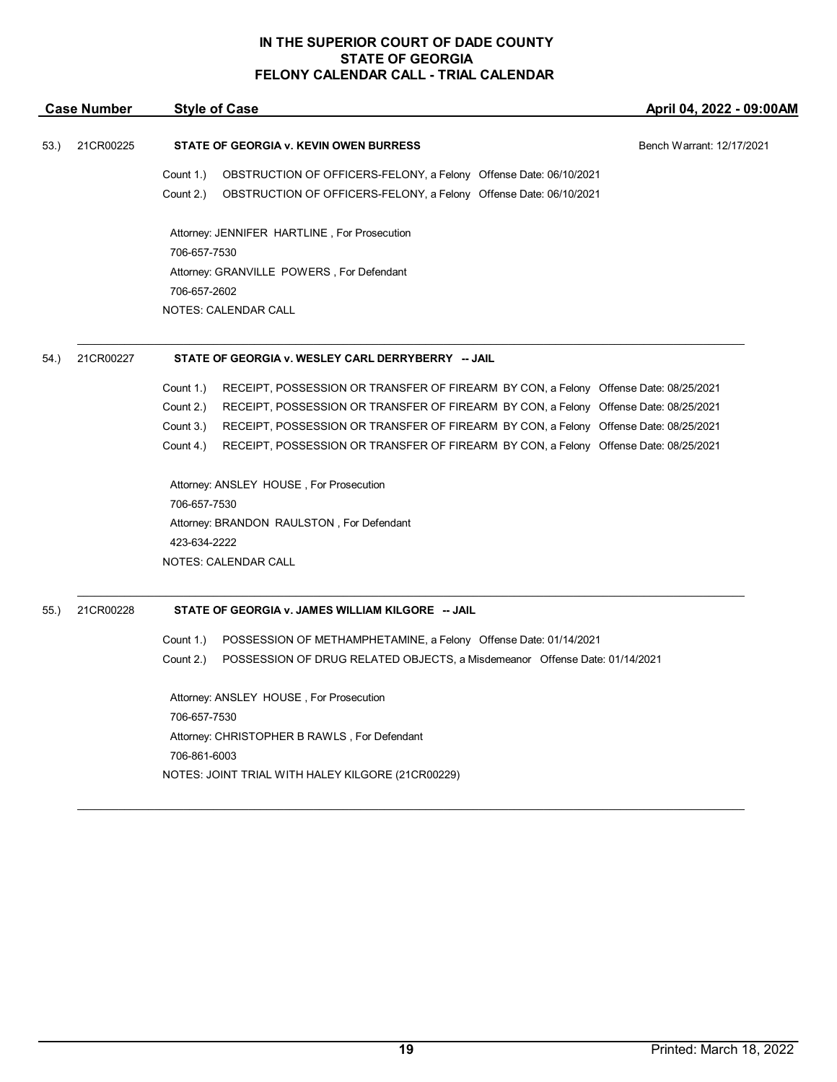| 53.) |           |                                                                                                   |                           |
|------|-----------|---------------------------------------------------------------------------------------------------|---------------------------|
|      | 21CR00225 | <b>STATE OF GEORGIA v. KEVIN OWEN BURRESS</b>                                                     | Bench Warrant: 12/17/2021 |
|      |           | Count 1.)<br>OBSTRUCTION OF OFFICERS-FELONY, a Felony Offense Date: 06/10/2021                    |                           |
|      |           | Count 2.)<br>OBSTRUCTION OF OFFICERS-FELONY, a Felony Offense Date: 06/10/2021                    |                           |
|      |           | Attorney: JENNIFER HARTLINE, For Prosecution                                                      |                           |
|      |           | 706-657-7530                                                                                      |                           |
|      |           | Attorney: GRANVILLE POWERS, For Defendant                                                         |                           |
|      |           | 706-657-2602                                                                                      |                           |
|      |           | NOTES: CALENDAR CALL                                                                              |                           |
| 54.) | 21CR00227 | STATE OF GEORGIA v. WESLEY CARL DERRYBERRY -- JAIL                                                |                           |
|      |           | Count 1.)<br>RECEIPT, POSSESSION OR TRANSFER OF FIREARM BY CON, a Felony Offense Date: 08/25/2021 |                           |
|      |           | Count 2.)<br>RECEIPT, POSSESSION OR TRANSFER OF FIREARM BY CON, a Felony Offense Date: 08/25/2021 |                           |
|      |           | RECEIPT, POSSESSION OR TRANSFER OF FIREARM BY CON, a Felony Offense Date: 08/25/2021<br>Count 3.) |                           |
|      |           | Count 4.)<br>RECEIPT, POSSESSION OR TRANSFER OF FIREARM BY CON, a Felony Offense Date: 08/25/2021 |                           |
|      |           | Attorney: ANSLEY HOUSE, For Prosecution                                                           |                           |
|      |           | 706-657-7530                                                                                      |                           |
|      |           | Attorney: BRANDON RAULSTON, For Defendant                                                         |                           |
|      |           | 423-634-2222                                                                                      |                           |
|      |           | <b>NOTES: CALENDAR CALL</b>                                                                       |                           |

# 55.) 21CR00228 **STATE OF GEORGIA v. JAMES WILLIAM KILGORE -- JAIL**

Count 1.) POSSESSION OF METHAMPHETAMINE, a Felony Offense Date: 01/14/2021 Count 2.) POSSESSION OF DRUG RELATED OBJECTS, a Misdemeanor Offense Date: 01/14/2021

 $\mathcal{L}_\mathcal{L} = \mathcal{L}_\mathcal{L} = \mathcal{L}_\mathcal{L} = \mathcal{L}_\mathcal{L} = \mathcal{L}_\mathcal{L} = \mathcal{L}_\mathcal{L} = \mathcal{L}_\mathcal{L} = \mathcal{L}_\mathcal{L} = \mathcal{L}_\mathcal{L} = \mathcal{L}_\mathcal{L} = \mathcal{L}_\mathcal{L} = \mathcal{L}_\mathcal{L} = \mathcal{L}_\mathcal{L} = \mathcal{L}_\mathcal{L} = \mathcal{L}_\mathcal{L} = \mathcal{L}_\mathcal{L} = \mathcal{L}_\mathcal{L}$ 

Attorney: ANSLEY HOUSE , For Prosecution 706-657-7530 Attorney: CHRISTOPHER B RAWLS , For Defendant 706-861-6003 NOTES: JOINT TRIAL WITH HALEY KILGORE (21CR00229)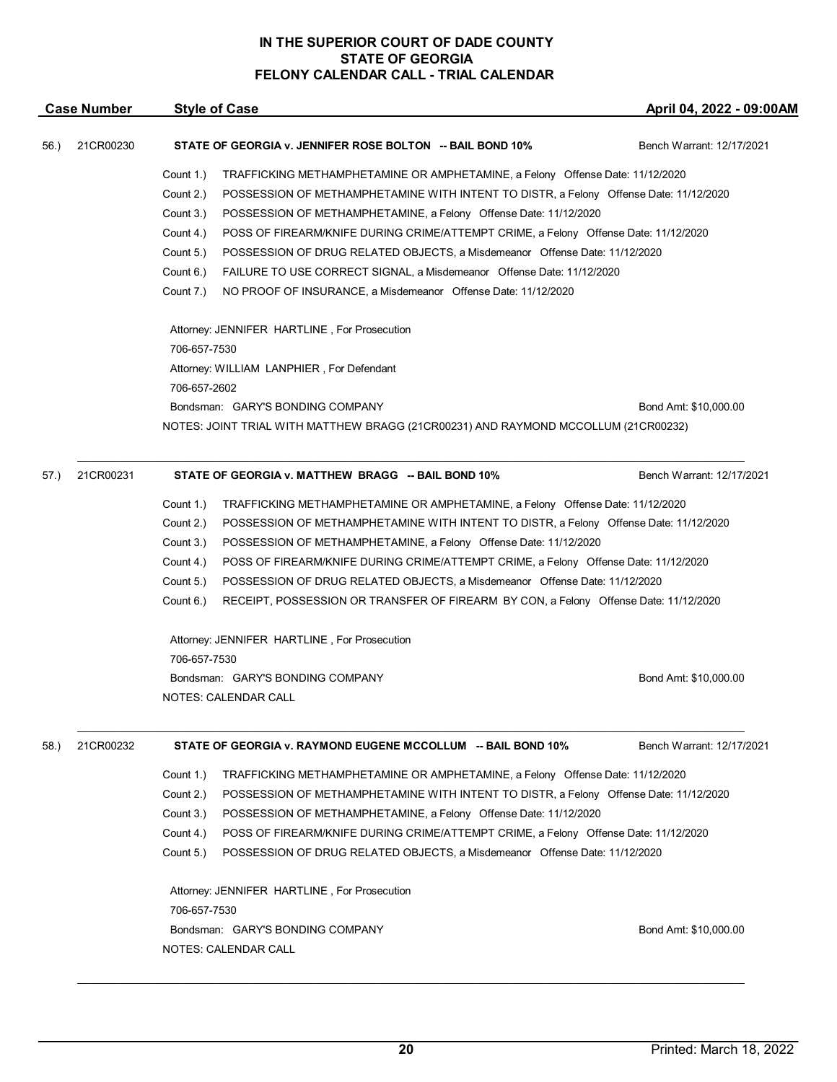|      | <b>Case Number</b> | <b>Style of Case</b>                                                                               | April 04, 2022 - 09:00AM                                                              |  |  |  |
|------|--------------------|----------------------------------------------------------------------------------------------------|---------------------------------------------------------------------------------------|--|--|--|
| 56.) | 21CR00230          | STATE OF GEORGIA v. JENNIFER ROSE BOLTON -- BAIL BOND 10%                                          | Bench Warrant: 12/17/2021                                                             |  |  |  |
|      |                    | Count 1.)<br>TRAFFICKING METHAMPHETAMINE OR AMPHETAMINE, a Felony Offense Date: 11/12/2020         |                                                                                       |  |  |  |
|      |                    | Count 2.)<br>POSSESSION OF METHAMPHETAMINE WITH INTENT TO DISTR, a Felony Offense Date: 11/12/2020 |                                                                                       |  |  |  |
|      |                    | Count 3.)<br>POSSESSION OF METHAMPHETAMINE, a Felony Offense Date: 11/12/2020                      |                                                                                       |  |  |  |
|      |                    | Count 4.)<br>POSS OF FIREARM/KNIFE DURING CRIME/ATTEMPT CRIME, a Felony Offense Date: 11/12/2020   |                                                                                       |  |  |  |
|      |                    | Count 5.)<br>POSSESSION OF DRUG RELATED OBJECTS, a Misdemeanor Offense Date: 11/12/2020            |                                                                                       |  |  |  |
|      |                    | Count 6.)<br>FAILURE TO USE CORRECT SIGNAL, a Misdemeanor Offense Date: 11/12/2020                 |                                                                                       |  |  |  |
|      |                    | Count 7.)<br>NO PROOF OF INSURANCE, a Misdemeanor Offense Date: 11/12/2020                         |                                                                                       |  |  |  |
|      |                    | Attorney: JENNIFER HARTLINE, For Prosecution<br>706-657-7530                                       |                                                                                       |  |  |  |
|      |                    | Attorney: WILLIAM LANPHIER, For Defendant                                                          |                                                                                       |  |  |  |
|      |                    | 706-657-2602                                                                                       |                                                                                       |  |  |  |
|      |                    | Bondsman: GARY'S BONDING COMPANY                                                                   | Bond Amt: \$10,000.00                                                                 |  |  |  |
|      |                    | NOTES: JOINT TRIAL WITH MATTHEW BRAGG (21CR00231) AND RAYMOND MCCOLLUM (21CR00232)                 |                                                                                       |  |  |  |
|      |                    |                                                                                                    |                                                                                       |  |  |  |
| 57.) | 21CR00231          | STATE OF GEORGIA v. MATTHEW BRAGG -- BAIL BOND 10%                                                 | Bench Warrant: 12/17/2021                                                             |  |  |  |
|      |                    | Count 1.)                                                                                          | TRAFFICKING METHAMPHETAMINE OR AMPHETAMINE, a Felony Offense Date: 11/12/2020         |  |  |  |
|      |                    | Count 2.)                                                                                          | POSSESSION OF METHAMPHETAMINE WITH INTENT TO DISTR, a Felony Offense Date: 11/12/2020 |  |  |  |
|      |                    | Count 3.)<br>POSSESSION OF METHAMPHETAMINE, a Felony Offense Date: 11/12/2020                      |                                                                                       |  |  |  |
|      |                    | Count 4.)                                                                                          | POSS OF FIREARM/KNIFE DURING CRIME/ATTEMPT CRIME, a Felony Offense Date: 11/12/2020   |  |  |  |
|      |                    | Count 5.)                                                                                          | POSSESSION OF DRUG RELATED OBJECTS, a Misdemeanor Offense Date: 11/12/2020            |  |  |  |
|      |                    | Count 6.)<br>RECEIPT, POSSESSION OR TRANSFER OF FIREARM BY CON, a Felony Offense Date: 11/12/2020  |                                                                                       |  |  |  |
|      |                    | Attorney: JENNIFER HARTLINE, For Prosecution                                                       |                                                                                       |  |  |  |
|      |                    | 706-657-7530                                                                                       |                                                                                       |  |  |  |
|      |                    | Bondsman: GARY'S BONDING COMPANY                                                                   | Bond Amt: \$10,000.00                                                                 |  |  |  |
|      |                    | <b>NOTES: CALENDAR CALL</b>                                                                        |                                                                                       |  |  |  |
| 58.) | 21CR00232          | STATE OF GEORGIA v. RAYMOND EUGENE MCCOLLUM -- BAIL BOND 10%                                       | Bench Warrant: 12/17/2021                                                             |  |  |  |
|      |                    | Count 1.)<br>TRAFFICKING METHAMPHETAMINE OR AMPHETAMINE, a Felony Offense Date: 11/12/2020         |                                                                                       |  |  |  |
|      |                    | Count 2.)<br>POSSESSION OF METHAMPHETAMINE WITH INTENT TO DISTR, a Felony Offense Date: 11/12/2020 |                                                                                       |  |  |  |
|      |                    | Count 3.)<br>POSSESSION OF METHAMPHETAMINE, a Felony Offense Date: 11/12/2020                      |                                                                                       |  |  |  |
|      |                    | Count 4.)<br>POSS OF FIREARM/KNIFE DURING CRIME/ATTEMPT CRIME, a Felony Offense Date: 11/12/2020   |                                                                                       |  |  |  |
|      |                    | Count 5.)<br>POSSESSION OF DRUG RELATED OBJECTS, a Misdemeanor Offense Date: 11/12/2020            |                                                                                       |  |  |  |
|      |                    | Attorney: JENNIFER HARTLINE, For Prosecution                                                       |                                                                                       |  |  |  |
|      |                    | 706-657-7530                                                                                       |                                                                                       |  |  |  |
|      |                    | Bondsman: GARY'S BONDING COMPANY                                                                   | Bond Amt: \$10,000.00                                                                 |  |  |  |
|      |                    | NOTES: CALENDAR CALL                                                                               |                                                                                       |  |  |  |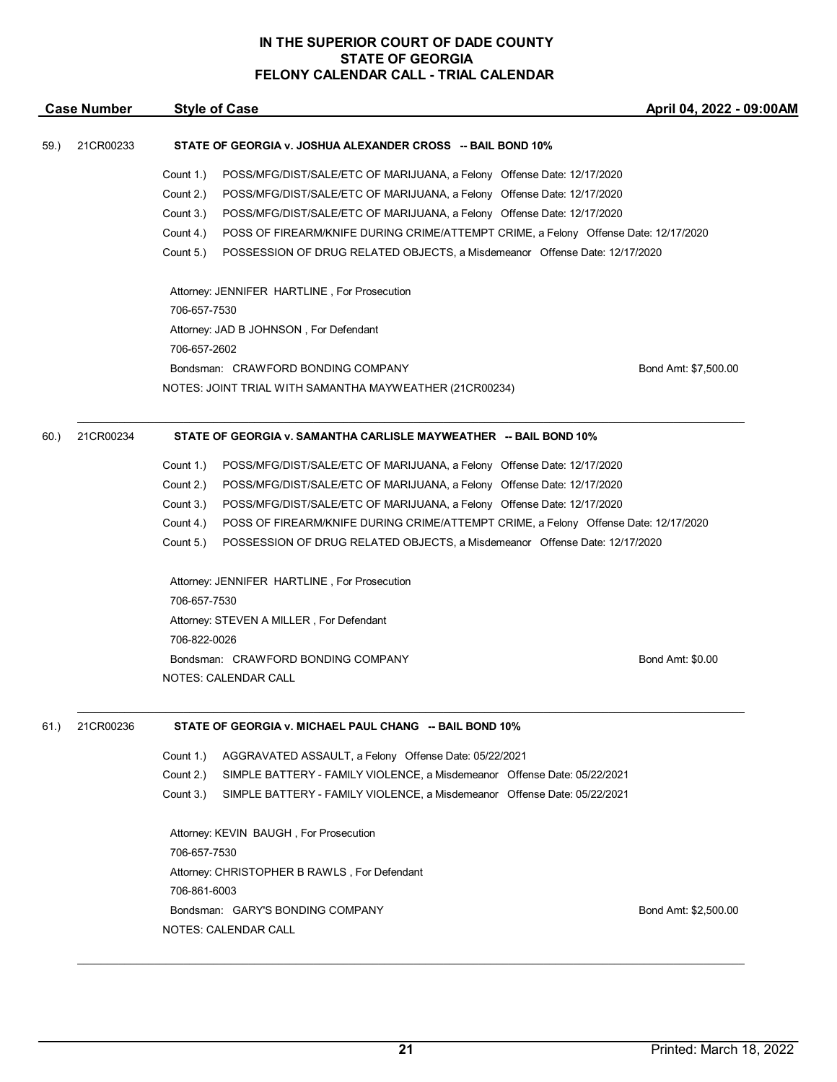|      | <b>Case Number</b> | <b>Style of Case</b>                                                                                                                                                                                                                                                                                                                                                                                                                                                                                                                                                       | April 04, 2022 - 09:00AM |
|------|--------------------|----------------------------------------------------------------------------------------------------------------------------------------------------------------------------------------------------------------------------------------------------------------------------------------------------------------------------------------------------------------------------------------------------------------------------------------------------------------------------------------------------------------------------------------------------------------------------|--------------------------|
| 59.) | 21CR00233          | STATE OF GEORGIA v. JOSHUA ALEXANDER CROSS -- BAIL BOND 10%                                                                                                                                                                                                                                                                                                                                                                                                                                                                                                                |                          |
|      |                    | Count 1.)<br>POSS/MFG/DIST/SALE/ETC OF MARIJUANA, a Felony Offense Date: 12/17/2020<br>Count 2.)<br>POSS/MFG/DIST/SALE/ETC OF MARIJUANA, a Felony Offense Date: 12/17/2020<br>Count 3.)<br>POSS/MFG/DIST/SALE/ETC OF MARIJUANA, a Felony Offense Date: 12/17/2020<br>Count 4.)<br>POSS OF FIREARM/KNIFE DURING CRIME/ATTEMPT CRIME, a Felony Offense Date: 12/17/2020<br>Count 5.)<br>POSSESSION OF DRUG RELATED OBJECTS, a Misdemeanor Offense Date: 12/17/2020<br>Attorney: JENNIFER HARTLINE, For Prosecution<br>706-657-7530<br>Attorney: JAD B JOHNSON, For Defendant |                          |
|      |                    | 706-657-2602<br>Bondsman: CRAWFORD BONDING COMPANY<br>NOTES: JOINT TRIAL WITH SAMANTHA MAYWEATHER (21CR00234)                                                                                                                                                                                                                                                                                                                                                                                                                                                              | Bond Amt: \$7,500.00     |
| 60.) | 21CR00234          | STATE OF GEORGIA v. SAMANTHA CARLISLE MAYWEATHER -- BAIL BOND 10%                                                                                                                                                                                                                                                                                                                                                                                                                                                                                                          |                          |
|      |                    | Count 1.)<br>POSS/MFG/DIST/SALE/ETC OF MARIJUANA, a Felony Offense Date: 12/17/2020<br>Count 2.)<br>POSS/MFG/DIST/SALE/ETC OF MARIJUANA, a Felony Offense Date: 12/17/2020<br>Count 3.)<br>POSS/MFG/DIST/SALE/ETC OF MARIJUANA, a Felony Offense Date: 12/17/2020<br>Count 4.)<br>POSS OF FIREARM/KNIFE DURING CRIME/ATTEMPT CRIME, a Felony Offense Date: 12/17/2020<br>Count 5.)<br>POSSESSION OF DRUG RELATED OBJECTS, a Misdemeanor Offense Date: 12/17/2020                                                                                                           |                          |
|      |                    | Attorney: JENNIFER HARTLINE, For Prosecution<br>706-657-7530<br>Attorney: STEVEN A MILLER, For Defendant                                                                                                                                                                                                                                                                                                                                                                                                                                                                   |                          |
|      |                    | 706-822-0026<br>Bondsman: CRAWFORD BONDING COMPANY<br>NOTES: CALENDAR CALL                                                                                                                                                                                                                                                                                                                                                                                                                                                                                                 | Bond Amt: \$0.00         |
| 61.) | 21CR00236          | STATE OF GEORGIA v. MICHAEL PAUL CHANG -- BAIL BOND 10%                                                                                                                                                                                                                                                                                                                                                                                                                                                                                                                    |                          |
|      |                    | Count 1.)<br>AGGRAVATED ASSAULT, a Felony Offense Date: 05/22/2021<br>Count 2.)<br>SIMPLE BATTERY - FAMILY VIOLENCE, a Misdemeanor Offense Date: 05/22/2021<br>Count 3.)<br>SIMPLE BATTERY - FAMILY VIOLENCE, a Misdemeanor Offense Date: 05/22/2021<br>Attorney: KEVIN BAUGH, For Prosecution<br>706-657-7530<br>Attorney: CHRISTOPHER B RAWLS, For Defendant<br>706-861-6003<br>Bondsman: GARY'S BONDING COMPANY                                                                                                                                                         | Bond Amt: \$2,500.00     |
|      |                    | NOTES: CALENDAR CALL                                                                                                                                                                                                                                                                                                                                                                                                                                                                                                                                                       |                          |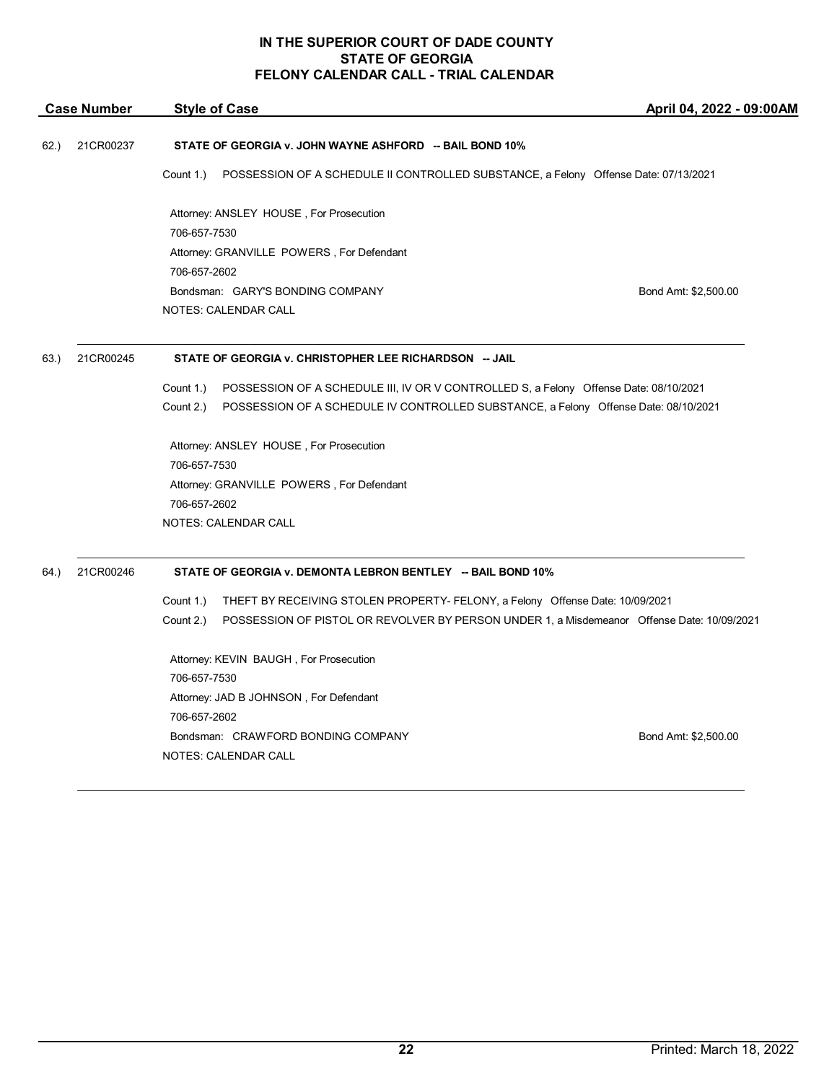| <b>Case Number</b> |           | <b>Style of Case</b>                                                                                    | April 04, 2022 - 09:00AM |
|--------------------|-----------|---------------------------------------------------------------------------------------------------------|--------------------------|
| 62.)               | 21CR00237 | STATE OF GEORGIA v. JOHN WAYNE ASHFORD -- BAIL BOND 10%                                                 |                          |
|                    |           | Count 1.)<br>POSSESSION OF A SCHEDULE II CONTROLLED SUBSTANCE, a Felony Offense Date: 07/13/2021        |                          |
|                    |           | Attorney: ANSLEY HOUSE, For Prosecution                                                                 |                          |
|                    |           | 706-657-7530                                                                                            |                          |
|                    |           | Attorney: GRANVILLE POWERS, For Defendant                                                               |                          |
|                    |           | 706-657-2602                                                                                            |                          |
|                    |           | Bondsman: GARY'S BONDING COMPANY                                                                        | Bond Amt: \$2,500.00     |
|                    |           | <b>NOTES: CALENDAR CALL</b>                                                                             |                          |
| 63.)               | 21CR00245 | STATE OF GEORGIA v. CHRISTOPHER LEE RICHARDSON -- JAIL                                                  |                          |
|                    |           | Count 1.)<br>POSSESSION OF A SCHEDULE III, IV OR V CONTROLLED S, a Felony Offense Date: 08/10/2021      |                          |
|                    |           | Count 2.)<br>POSSESSION OF A SCHEDULE IV CONTROLLED SUBSTANCE, a Felony Offense Date: 08/10/2021        |                          |
|                    |           | Attorney: ANSLEY HOUSE, For Prosecution                                                                 |                          |
|                    |           | 706-657-7530                                                                                            |                          |
|                    |           | Attorney: GRANVILLE POWERS, For Defendant                                                               |                          |
|                    |           | 706-657-2602                                                                                            |                          |
|                    |           | <b>NOTES: CALENDAR CALL</b>                                                                             |                          |
| 64.                | 21CR00246 | STATE OF GEORGIA v. DEMONTA LEBRON BENTLEY -- BAIL BOND 10%                                             |                          |
|                    |           | THEFT BY RECEIVING STOLEN PROPERTY- FELONY, a Felony Offense Date: 10/09/2021<br>Count 1.)              |                          |
|                    |           | Count 2.)<br>POSSESSION OF PISTOL OR REVOLVER BY PERSON UNDER 1, a Misdemeanor Offense Date: 10/09/2021 |                          |
|                    |           | Attorney: KEVIN BAUGH, For Prosecution                                                                  |                          |
|                    |           | 706-657-7530                                                                                            |                          |
|                    |           | Attorney: JAD B JOHNSON, For Defendant                                                                  |                          |
|                    |           | 706-657-2602                                                                                            |                          |
|                    |           | Bondsman: CRAWFORD BONDING COMPANY                                                                      | Bond Amt: \$2,500.00     |
|                    |           | NOTES: CALENDAR CALL                                                                                    |                          |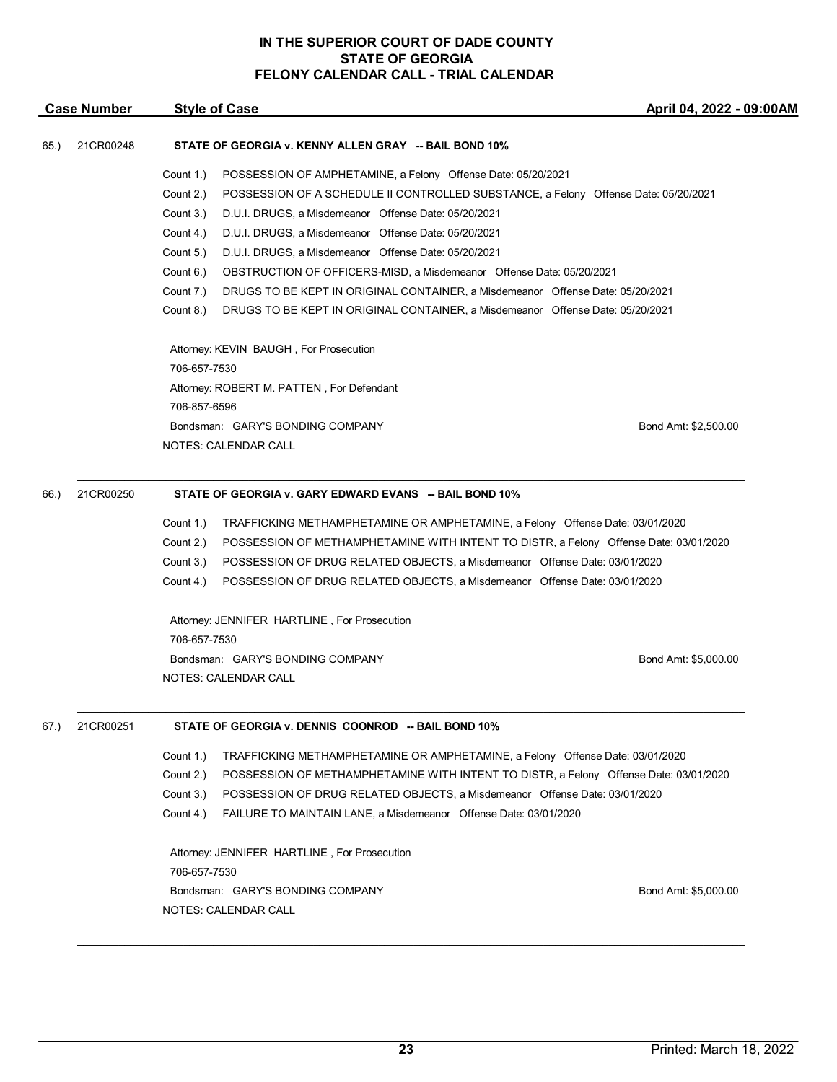| <b>Case Number</b> |           | <b>Style of Case</b>                                   |                                                                                       | April 04, 2022 - 09:00AM |  |  |
|--------------------|-----------|--------------------------------------------------------|---------------------------------------------------------------------------------------|--------------------------|--|--|
| 65.)               | 21CR00248 | STATE OF GEORGIA v. KENNY ALLEN GRAY -- BAIL BOND 10%  |                                                                                       |                          |  |  |
|                    |           | Count 1.)                                              | POSSESSION OF AMPHETAMINE, a Felony Offense Date: 05/20/2021                          |                          |  |  |
|                    |           | Count 2.)                                              | POSSESSION OF A SCHEDULE II CONTROLLED SUBSTANCE, a Felony Offense Date: 05/20/2021   |                          |  |  |
|                    |           | Count 3.)                                              | D.U.I. DRUGS, a Misdemeanor Offense Date: 05/20/2021                                  |                          |  |  |
|                    |           | Count 4.)                                              | D.U.I. DRUGS, a Misdemeanor Offense Date: 05/20/2021                                  |                          |  |  |
|                    |           | Count 5.)                                              | D.U.I. DRUGS, a Misdemeanor Offense Date: 05/20/2021                                  |                          |  |  |
|                    |           | Count 6.)                                              | OBSTRUCTION OF OFFICERS-MISD, a Misdemeanor Offense Date: 05/20/2021                  |                          |  |  |
|                    |           | Count 7.)                                              | DRUGS TO BE KEPT IN ORIGINAL CONTAINER, a Misdemeanor Offense Date: 05/20/2021        |                          |  |  |
|                    |           | Count 8.)                                              | DRUGS TO BE KEPT IN ORIGINAL CONTAINER, a Misdemeanor Offense Date: 05/20/2021        |                          |  |  |
|                    |           |                                                        | Attorney: KEVIN BAUGH, For Prosecution                                                |                          |  |  |
|                    |           | 706-657-7530                                           |                                                                                       |                          |  |  |
|                    |           |                                                        | Attorney: ROBERT M. PATTEN, For Defendant                                             |                          |  |  |
|                    |           | 706-857-6596                                           |                                                                                       |                          |  |  |
|                    |           |                                                        | Bondsman: GARY'S BONDING COMPANY                                                      | Bond Amt: \$2,500.00     |  |  |
|                    |           |                                                        | NOTES: CALENDAR CALL                                                                  |                          |  |  |
| 66.)               | 21CR00250 | STATE OF GEORGIA v. GARY EDWARD EVANS -- BAIL BOND 10% |                                                                                       |                          |  |  |
|                    |           | Count 1.)                                              | TRAFFICKING METHAMPHETAMINE OR AMPHETAMINE, a Felony Offense Date: 03/01/2020         |                          |  |  |
|                    |           | Count 2.)                                              | POSSESSION OF METHAMPHETAMINE WITH INTENT TO DISTR, a Felony Offense Date: 03/01/2020 |                          |  |  |
|                    |           | Count 3.)                                              | POSSESSION OF DRUG RELATED OBJECTS, a Misdemeanor Offense Date: 03/01/2020            |                          |  |  |
|                    |           | Count 4.)                                              | POSSESSION OF DRUG RELATED OBJECTS, a Misdemeanor Offense Date: 03/01/2020            |                          |  |  |
|                    |           |                                                        | Attorney: JENNIFER HARTLINE, For Prosecution                                          |                          |  |  |
|                    |           | 706-657-7530                                           |                                                                                       |                          |  |  |
|                    |           |                                                        | Bondsman: GARY'S BONDING COMPANY                                                      | Bond Amt: \$5,000.00     |  |  |
|                    |           |                                                        | NOTES: CALENDAR CALL                                                                  |                          |  |  |
| 67.)               | 21CR00251 |                                                        | STATE OF GEORGIA v. DENNIS COONROD -- BAIL BOND 10%                                   |                          |  |  |
|                    |           | Count 1.)                                              | TRAFFICKING METHAMPHETAMINE OR AMPHETAMINE, a Felony Offense Date: 03/01/2020         |                          |  |  |
|                    |           | Count 2.)                                              | POSSESSION OF METHAMPHETAMINE WITH INTENT TO DISTR, a Felony Offense Date: 03/01/2020 |                          |  |  |
|                    |           | Count 3.)                                              | POSSESSION OF DRUG RELATED OBJECTS, a Misdemeanor Offense Date: 03/01/2020            |                          |  |  |
|                    |           | Count 4.)                                              | FAILURE TO MAINTAIN LANE, a Misdemeanor Offense Date: 03/01/2020                      |                          |  |  |
|                    |           |                                                        | Attorney: JENNIFER HARTLINE, For Prosecution                                          |                          |  |  |
|                    |           | 706-657-7530                                           |                                                                                       |                          |  |  |
|                    |           |                                                        | Bondsman: GARY'S BONDING COMPANY<br>NOTES: CALENDAR CALL                              | Bond Amt: \$5,000.00     |  |  |
|                    |           |                                                        |                                                                                       |                          |  |  |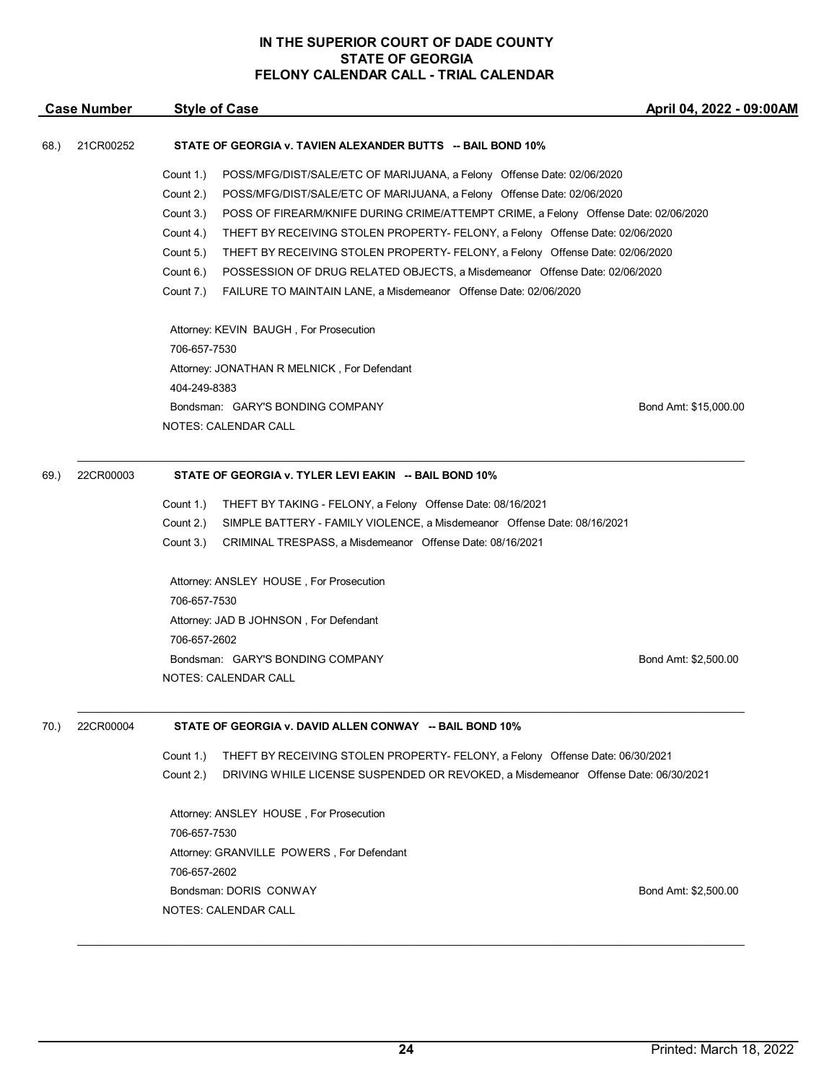| <b>Case Number</b> |           | <b>Style of Case</b>                                                                             | April 04, 2022 - 09:00AM |
|--------------------|-----------|--------------------------------------------------------------------------------------------------|--------------------------|
| 68.)               | 21CR00252 | STATE OF GEORGIA v. TAVIEN ALEXANDER BUTTS -- BAIL BOND 10%                                      |                          |
|                    |           | Count 1.)<br>POSS/MFG/DIST/SALE/ETC OF MARIJUANA, a Felony Offense Date: 02/06/2020              |                          |
|                    |           | Count 2.)<br>POSS/MFG/DIST/SALE/ETC OF MARIJUANA, a Felony Offense Date: 02/06/2020              |                          |
|                    |           | Count 3.)<br>POSS OF FIREARM/KNIFE DURING CRIME/ATTEMPT CRIME, a Felony Offense Date: 02/06/2020 |                          |
|                    |           | Count 4.)<br>THEFT BY RECEIVING STOLEN PROPERTY- FELONY, a Felony Offense Date: 02/06/2020       |                          |
|                    |           | Count 5.)<br>THEFT BY RECEIVING STOLEN PROPERTY- FELONY, a Felony Offense Date: 02/06/2020       |                          |
|                    |           | Count 6.)<br>POSSESSION OF DRUG RELATED OBJECTS, a Misdemeanor Offense Date: 02/06/2020          |                          |
|                    |           | Count 7.)<br>FAILURE TO MAINTAIN LANE, a Misdemeanor Offense Date: 02/06/2020                    |                          |
|                    |           | Attorney: KEVIN BAUGH, For Prosecution                                                           |                          |
|                    |           | 706-657-7530                                                                                     |                          |
|                    |           | Attorney: JONATHAN R MELNICK, For Defendant                                                      |                          |
|                    |           | 404-249-8383                                                                                     |                          |
|                    |           | Bondsman: GARY'S BONDING COMPANY                                                                 | Bond Amt: \$15,000.00    |
|                    |           | <b>NOTES: CALENDAR CALL</b>                                                                      |                          |
| 69.)               | 22CR00003 | STATE OF GEORGIA v. TYLER LEVI EAKIN -- BAIL BOND 10%                                            |                          |
|                    |           | Count 1.)<br>THEFT BY TAKING - FELONY, a Felony Offense Date: 08/16/2021                         |                          |
|                    |           | Count 2.)<br>SIMPLE BATTERY - FAMILY VIOLENCE, a Misdemeanor Offense Date: 08/16/2021            |                          |
|                    |           | Count 3.)<br>CRIMINAL TRESPASS, a Misdemeanor Offense Date: 08/16/2021                           |                          |
|                    |           | Attorney: ANSLEY HOUSE, For Prosecution                                                          |                          |
|                    |           | 706-657-7530                                                                                     |                          |
|                    |           | Attorney: JAD B JOHNSON, For Defendant                                                           |                          |
|                    |           | 706-657-2602                                                                                     |                          |
|                    |           | Bondsman: GARY'S BONDING COMPANY                                                                 | Bond Amt: \$2,500.00     |
|                    |           | NOTES: CALENDAR CALL                                                                             |                          |
| 70.)               | 22CR00004 | STATE OF GEORGIA v. DAVID ALLEN CONWAY -- BAIL BOND 10%                                          |                          |
|                    |           | Count 1.)<br>THEFT BY RECEIVING STOLEN PROPERTY- FELONY, a Felony Offense Date: 06/30/2021       |                          |
|                    |           | Count 2.)<br>DRIVING WHILE LICENSE SUSPENDED OR REVOKED, a Misdemeanor Offense Date: 06/30/2021  |                          |
|                    |           | Attorney: ANSLEY HOUSE, For Prosecution                                                          |                          |
|                    |           | 706-657-7530                                                                                     |                          |
|                    |           | Attorney: GRANVILLE POWERS, For Defendant                                                        |                          |
|                    |           | 706-657-2602                                                                                     |                          |
|                    |           | Bondsman: DORIS CONWAY                                                                           | Bond Amt: \$2,500.00     |
|                    |           | NOTES: CALENDAR CALL                                                                             |                          |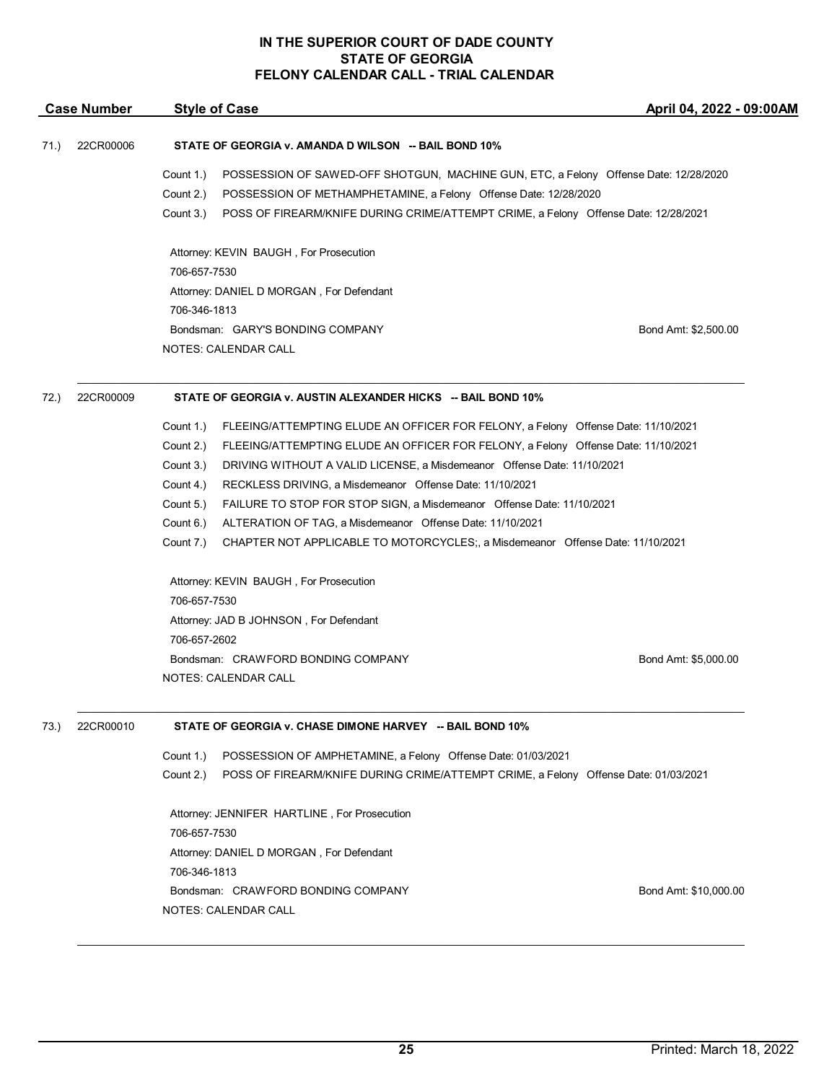|      | <b>Case Number</b> | <b>Style of Case</b><br>April 04, 2022 - 09:00AM                                                                                                                                                                                                                                       |  |
|------|--------------------|----------------------------------------------------------------------------------------------------------------------------------------------------------------------------------------------------------------------------------------------------------------------------------------|--|
| 71.) | 22CR00006          | STATE OF GEORGIA v. AMANDA D WILSON -- BAIL BOND 10%                                                                                                                                                                                                                                   |  |
|      |                    | Count 1.)<br>POSSESSION OF SAWED-OFF SHOTGUN, MACHINE GUN, ETC, a Felony Offense Date: 12/28/2020<br>Count 2.)<br>POSSESSION OF METHAMPHETAMINE, a Felony Offense Date: 12/28/2020<br>Count 3.)<br>POSS OF FIREARM/KNIFE DURING CRIME/ATTEMPT CRIME, a Felony Offense Date: 12/28/2021 |  |
|      |                    | Attorney: KEVIN BAUGH, For Prosecution<br>706-657-7530                                                                                                                                                                                                                                 |  |
|      |                    | Attorney: DANIEL D MORGAN, For Defendant                                                                                                                                                                                                                                               |  |
|      |                    | 706-346-1813<br>Bondsman: GARY'S BONDING COMPANY<br>Bond Amt: \$2,500.00<br>NOTES: CALENDAR CALL                                                                                                                                                                                       |  |
| 72.) | 22CR00009          | STATE OF GEORGIA v. AUSTIN ALEXANDER HICKS -- BAIL BOND 10%                                                                                                                                                                                                                            |  |
|      |                    | Count 1.)<br>FLEEING/ATTEMPTING ELUDE AN OFFICER FOR FELONY, a Felony Offense Date: 11/10/2021<br>Count 2.)<br>FLEEING/ATTEMPTING ELUDE AN OFFICER FOR FELONY, a Felony Offense Date: 11/10/2021                                                                                       |  |
|      |                    | Count 3.)<br>DRIVING WITHOUT A VALID LICENSE, a Misdemeanor Offense Date: 11/10/2021                                                                                                                                                                                                   |  |
|      |                    | Count 4.)<br>RECKLESS DRIVING, a Misdemeanor Offense Date: 11/10/2021<br>Count 5.)<br>FAILURE TO STOP FOR STOP SIGN, a Misdemeanor Offense Date: 11/10/2021                                                                                                                            |  |
|      |                    | Count 6.)<br>ALTERATION OF TAG, a Misdemeanor Offense Date: 11/10/2021                                                                                                                                                                                                                 |  |
|      |                    | Count 7.)<br>CHAPTER NOT APPLICABLE TO MOTORCYCLES;, a Misdemeanor Offense Date: 11/10/2021                                                                                                                                                                                            |  |
|      |                    | Attorney: KEVIN BAUGH, For Prosecution<br>706-657-7530                                                                                                                                                                                                                                 |  |
|      |                    | Attorney: JAD B JOHNSON, For Defendant                                                                                                                                                                                                                                                 |  |
|      |                    | 706-657-2602                                                                                                                                                                                                                                                                           |  |
|      |                    | Bondsman: CRAWFORD BONDING COMPANY<br>Bond Amt: \$5,000.00                                                                                                                                                                                                                             |  |
|      |                    | NOTES: CALENDAR CALL                                                                                                                                                                                                                                                                   |  |
| 73.) | 22CR00010          | STATE OF GEORGIA v. CHASE DIMONE HARVEY -- BAIL BOND 10%                                                                                                                                                                                                                               |  |
|      |                    | Count 1.)<br>POSSESSION OF AMPHETAMINE, a Felony Offense Date: 01/03/2021                                                                                                                                                                                                              |  |
|      |                    | Count 2.)<br>POSS OF FIREARM/KNIFE DURING CRIME/ATTEMPT CRIME, a Felony Offense Date: 01/03/2021                                                                                                                                                                                       |  |
|      |                    | Attorney: JENNIFER HARTLINE, For Prosecution<br>706-657-7530                                                                                                                                                                                                                           |  |
|      |                    | Attorney: DANIEL D MORGAN, For Defendant                                                                                                                                                                                                                                               |  |
|      |                    | 706-346-1813                                                                                                                                                                                                                                                                           |  |
|      |                    | Bondsman: CRAWFORD BONDING COMPANY<br>Bond Amt: \$10,000.00                                                                                                                                                                                                                            |  |
|      |                    | NOTES: CALENDAR CALL                                                                                                                                                                                                                                                                   |  |
|      |                    |                                                                                                                                                                                                                                                                                        |  |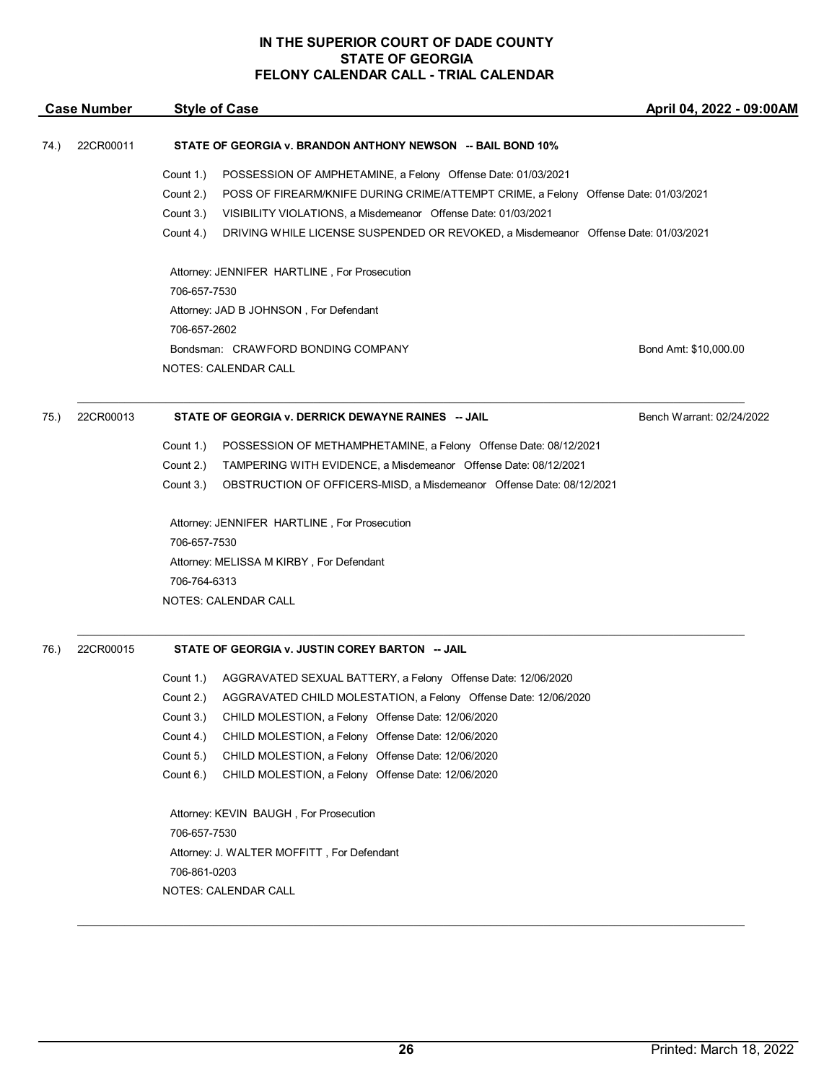|      | <b>Case Number</b> | <b>Style of Case</b>                                                                                                                                                                                                                                                                                                                                           | April 04, 2022 - 09:00AM  |
|------|--------------------|----------------------------------------------------------------------------------------------------------------------------------------------------------------------------------------------------------------------------------------------------------------------------------------------------------------------------------------------------------------|---------------------------|
| 74.) | 22CR00011          | STATE OF GEORGIA v. BRANDON ANTHONY NEWSON -- BAIL BOND 10%                                                                                                                                                                                                                                                                                                    |                           |
|      |                    | Count 1.)<br>POSSESSION OF AMPHETAMINE, a Felony Offense Date: 01/03/2021<br>Count 2.)<br>POSS OF FIREARM/KNIFE DURING CRIME/ATTEMPT CRIME, a Felony Offense Date: 01/03/2021<br>Count 3.)<br>VISIBILITY VIOLATIONS, a Misdemeanor Offense Date: 01/03/2021<br>Count 4.)<br>DRIVING WHILE LICENSE SUSPENDED OR REVOKED, a Misdemeanor Offense Date: 01/03/2021 |                           |
|      |                    | Attorney: JENNIFER HARTLINE, For Prosecution<br>706-657-7530                                                                                                                                                                                                                                                                                                   |                           |
|      |                    | Attorney: JAD B JOHNSON, For Defendant<br>706-657-2602                                                                                                                                                                                                                                                                                                         |                           |
|      |                    | Bondsman: CRAWFORD BONDING COMPANY<br>NOTES: CALENDAR CALL                                                                                                                                                                                                                                                                                                     | Bond Amt: \$10,000.00     |
| 75.) | 22CR00013          | STATE OF GEORGIA v. DERRICK DEWAYNE RAINES -- JAIL                                                                                                                                                                                                                                                                                                             | Bench Warrant: 02/24/2022 |
|      |                    | Count 1.)<br>POSSESSION OF METHAMPHETAMINE, a Felony Offense Date: 08/12/2021<br>TAMPERING WITH EVIDENCE, a Misdemeanor Offense Date: 08/12/2021<br>Count 2.)<br>Count 3.)<br>OBSTRUCTION OF OFFICERS-MISD, a Misdemeanor Offense Date: 08/12/2021                                                                                                             |                           |
|      |                    | Attorney: JENNIFER HARTLINE, For Prosecution<br>706-657-7530                                                                                                                                                                                                                                                                                                   |                           |
|      |                    | Attorney: MELISSA M KIRBY, For Defendant<br>706-764-6313                                                                                                                                                                                                                                                                                                       |                           |
|      |                    | NOTES: CALENDAR CALL                                                                                                                                                                                                                                                                                                                                           |                           |
| 76.) | 22CR00015          | STATE OF GEORGIA v. JUSTIN COREY BARTON -- JAIL                                                                                                                                                                                                                                                                                                                |                           |
|      |                    | AGGRAVATED SEXUAL BATTERY, a Felony Offense Date: 12/06/2020<br>Count 1.)                                                                                                                                                                                                                                                                                      |                           |
|      |                    | AGGRAVATED CHILD MOLESTATION, a Felony Offense Date: 12/06/2020<br>Count 2.)                                                                                                                                                                                                                                                                                   |                           |
|      |                    | Count 3.)<br>CHILD MOLESTION, a Felony Offense Date: 12/06/2020                                                                                                                                                                                                                                                                                                |                           |
|      |                    | Count 4.)<br>CHILD MOLESTION, a Felony Offense Date: 12/06/2020<br>Count 5.)<br>CHILD MOLESTION, a Felony Offense Date: 12/06/2020                                                                                                                                                                                                                             |                           |
|      |                    | Count 6.)<br>CHILD MOLESTION, a Felony Offense Date: 12/06/2020                                                                                                                                                                                                                                                                                                |                           |
|      |                    | Attorney: KEVIN BAUGH, For Prosecution<br>706-657-7530<br>Attorney: J. WALTER MOFFITT, For Defendant<br>706-861-0203<br>NOTES: CALENDAR CALL                                                                                                                                                                                                                   |                           |
|      |                    |                                                                                                                                                                                                                                                                                                                                                                |                           |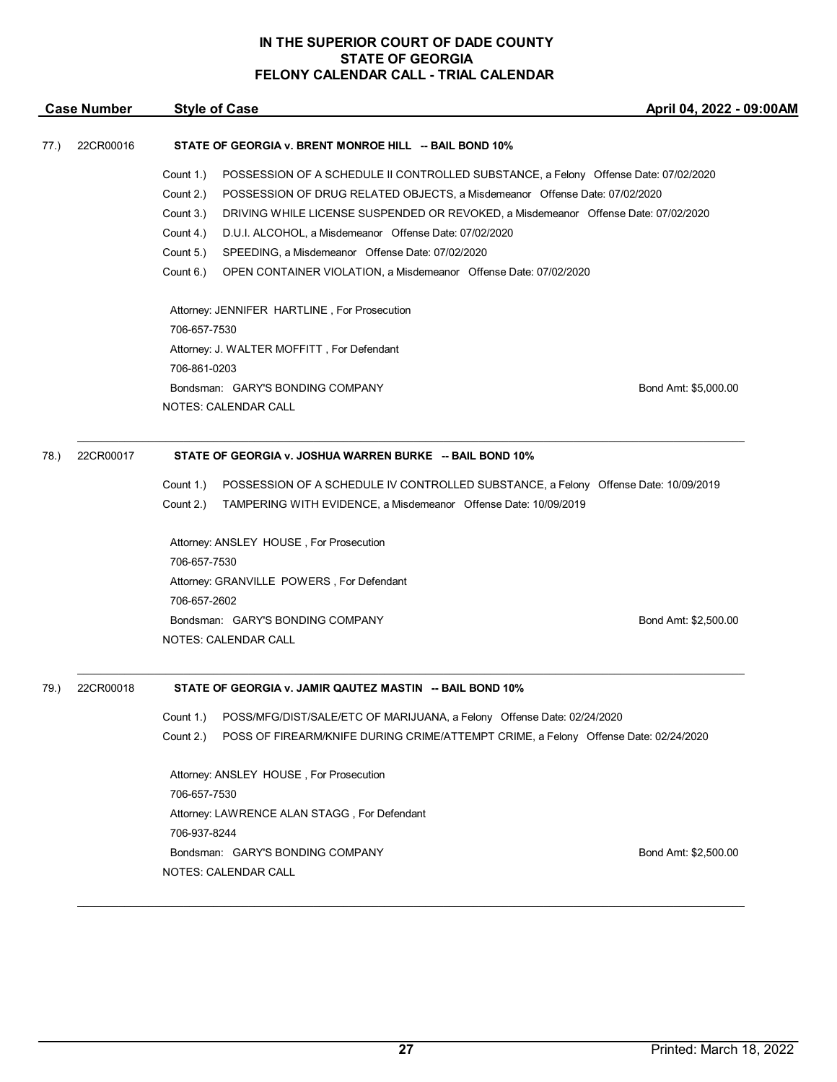|      | <b>Case Number</b> | <b>Style of Case</b>                                                                             | April 04, 2022 - 09:00AM |
|------|--------------------|--------------------------------------------------------------------------------------------------|--------------------------|
| 77.) | 22CR00016          | STATE OF GEORGIA v. BRENT MONROE HILL -- BAIL BOND 10%                                           |                          |
|      |                    | Count 1.)<br>POSSESSION OF A SCHEDULE II CONTROLLED SUBSTANCE, a Felony Offense Date: 07/02/2020 |                          |
|      |                    | POSSESSION OF DRUG RELATED OBJECTS, a Misdemeanor Offense Date: 07/02/2020<br>Count 2.)          |                          |
|      |                    | Count 3.)<br>DRIVING WHILE LICENSE SUSPENDED OR REVOKED, a Misdemeanor Offense Date: 07/02/2020  |                          |
|      |                    | D.U.I. ALCOHOL, a Misdemeanor Offense Date: 07/02/2020<br>Count 4.)                              |                          |
|      |                    | Count 5.)<br>SPEEDING, a Misdemeanor Offense Date: 07/02/2020                                    |                          |
|      |                    | Count 6.)<br>OPEN CONTAINER VIOLATION, a Misdemeanor Offense Date: 07/02/2020                    |                          |
|      |                    | Attorney: JENNIFER HARTLINE, For Prosecution                                                     |                          |
|      |                    | 706-657-7530                                                                                     |                          |
|      |                    | Attorney: J. WALTER MOFFITT, For Defendant                                                       |                          |
|      |                    | 706-861-0203                                                                                     |                          |
|      |                    | Bondsman: GARY'S BONDING COMPANY                                                                 | Bond Amt: \$5,000.00     |
|      |                    | NOTES: CALENDAR CALL                                                                             |                          |
| 78.) | 22CR00017          | STATE OF GEORGIA v. JOSHUA WARREN BURKE -- BAIL BOND 10%                                         |                          |
|      |                    | Count 1.)<br>POSSESSION OF A SCHEDULE IV CONTROLLED SUBSTANCE, a Felony Offense Date: 10/09/2019 |                          |
|      |                    | Count 2.)<br>TAMPERING WITH EVIDENCE, a Misdemeanor Offense Date: 10/09/2019                     |                          |
|      |                    | Attorney: ANSLEY HOUSE, For Prosecution                                                          |                          |
|      |                    | 706-657-7530                                                                                     |                          |
|      |                    | Attorney: GRANVILLE POWERS, For Defendant                                                        |                          |
|      |                    | 706-657-2602                                                                                     |                          |
|      |                    | Bondsman: GARY'S BONDING COMPANY                                                                 | Bond Amt: \$2,500.00     |
|      |                    | NOTES: CALENDAR CALL                                                                             |                          |
| 79.) | 22CR00018          | STATE OF GEORGIA v. JAMIR QAUTEZ MASTIN -- BAIL BOND 10%                                         |                          |
|      |                    | POSS/MFG/DIST/SALE/ETC OF MARIJUANA, a Felony Offense Date: 02/24/2020<br>Count 1.)              |                          |
|      |                    | Count 2.)<br>POSS OF FIREARM/KNIFE DURING CRIME/ATTEMPT CRIME, a Felony Offense Date: 02/24/2020 |                          |
|      |                    | Attorney: ANSLEY HOUSE, For Prosecution                                                          |                          |
|      |                    | 706-657-7530                                                                                     |                          |
|      |                    | Attorney: LAWRENCE ALAN STAGG, For Defendant                                                     |                          |
|      |                    | 706-937-8244                                                                                     |                          |
|      |                    | Bondsman: GARY'S BONDING COMPANY                                                                 | Bond Amt: \$2,500.00     |
|      |                    | NOTES: CALENDAR CALL                                                                             |                          |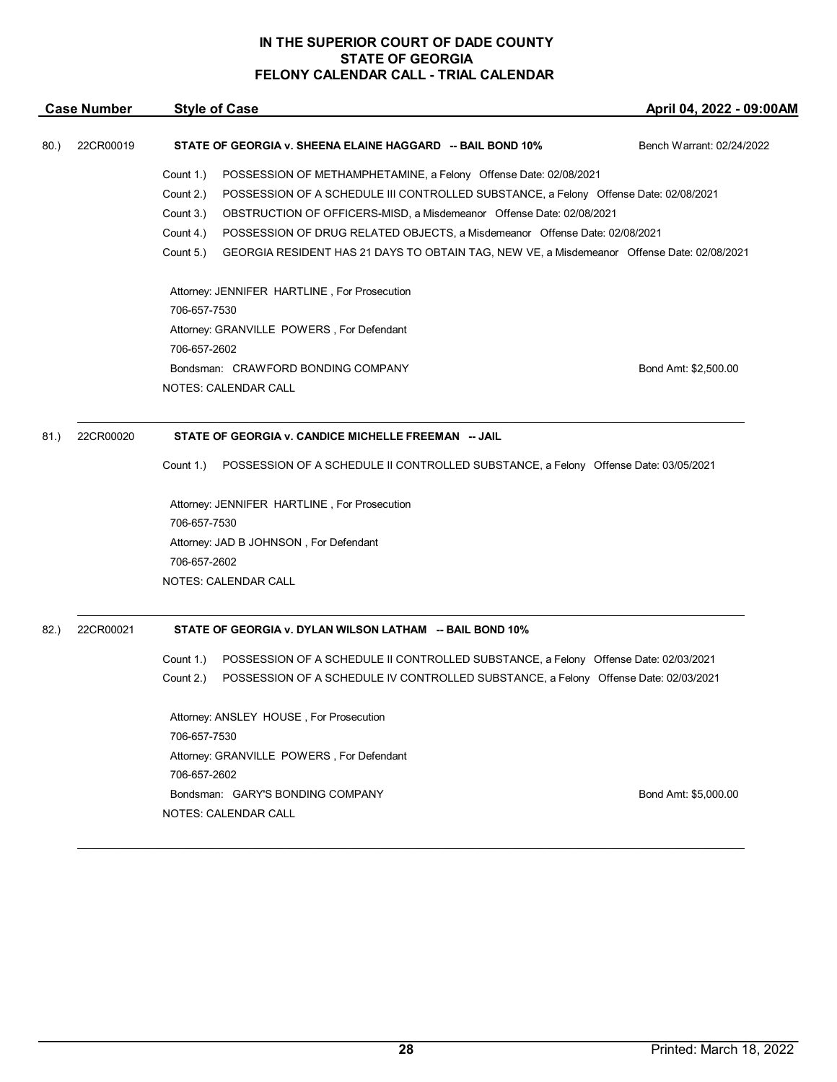|      | <b>Case Number</b> | <b>Style of Case</b>                                                                                    | April 04, 2022 - 09:00AM  |
|------|--------------------|---------------------------------------------------------------------------------------------------------|---------------------------|
| 80.  | 22CR00019          | STATE OF GEORGIA v. SHEENA ELAINE HAGGARD -- BAIL BOND 10%                                              | Bench Warrant: 02/24/2022 |
|      |                    | Count 1.)<br>POSSESSION OF METHAMPHETAMINE, a Felony Offense Date: 02/08/2021                           |                           |
|      |                    | Count 2.)<br>POSSESSION OF A SCHEDULE III CONTROLLED SUBSTANCE, a Felony Offense Date: 02/08/2021       |                           |
|      |                    | Count 3.)<br>OBSTRUCTION OF OFFICERS-MISD, a Misdemeanor Offense Date: 02/08/2021                       |                           |
|      |                    | Count 4.)<br>POSSESSION OF DRUG RELATED OBJECTS, a Misdemeanor Offense Date: 02/08/2021                 |                           |
|      |                    | Count 5.)<br>GEORGIA RESIDENT HAS 21 DAYS TO OBTAIN TAG, NEW VE, a Misdemeanor Offense Date: 02/08/2021 |                           |
|      |                    | Attorney: JENNIFER HARTLINE, For Prosecution                                                            |                           |
|      |                    | 706-657-7530                                                                                            |                           |
|      |                    | Attorney: GRANVILLE POWERS, For Defendant                                                               |                           |
|      |                    | 706-657-2602                                                                                            |                           |
|      |                    | Bondsman: CRAWFORD BONDING COMPANY<br>NOTES: CALENDAR CALL                                              | Bond Amt: \$2,500.00      |
|      |                    |                                                                                                         |                           |
| 81.) | 22CR00020          | STATE OF GEORGIA v. CANDICE MICHELLE FREEMAN -- JAIL                                                    |                           |
|      |                    | POSSESSION OF A SCHEDULE II CONTROLLED SUBSTANCE, a Felony Offense Date: 03/05/2021<br>Count 1.)        |                           |
|      |                    | Attorney: JENNIFER HARTLINE, For Prosecution                                                            |                           |
|      |                    | 706-657-7530                                                                                            |                           |
|      |                    | Attorney: JAD B JOHNSON, For Defendant                                                                  |                           |
|      |                    | 706-657-2602                                                                                            |                           |
|      |                    | NOTES: CALENDAR CALL                                                                                    |                           |
| 82.  | 22CR00021          | STATE OF GEORGIA v. DYLAN WILSON LATHAM -- BAIL BOND 10%                                                |                           |
|      |                    | Count 1.)<br>POSSESSION OF A SCHEDULE II CONTROLLED SUBSTANCE, a Felony Offense Date: 02/03/2021        |                           |
|      |                    | POSSESSION OF A SCHEDULE IV CONTROLLED SUBSTANCE, a Felony Offense Date: 02/03/2021<br>Count 2.)        |                           |
|      |                    | Attorney: ANSLEY HOUSE, For Prosecution                                                                 |                           |
|      |                    | 706-657-7530                                                                                            |                           |
|      |                    | Attorney: GRANVILLE POWERS, For Defendant                                                               |                           |
|      |                    | 706-657-2602                                                                                            |                           |
|      |                    | Bondsman: GARY'S BONDING COMPANY                                                                        | Bond Amt: \$5,000.00      |
|      |                    | NOTES: CALENDAR CALL                                                                                    |                           |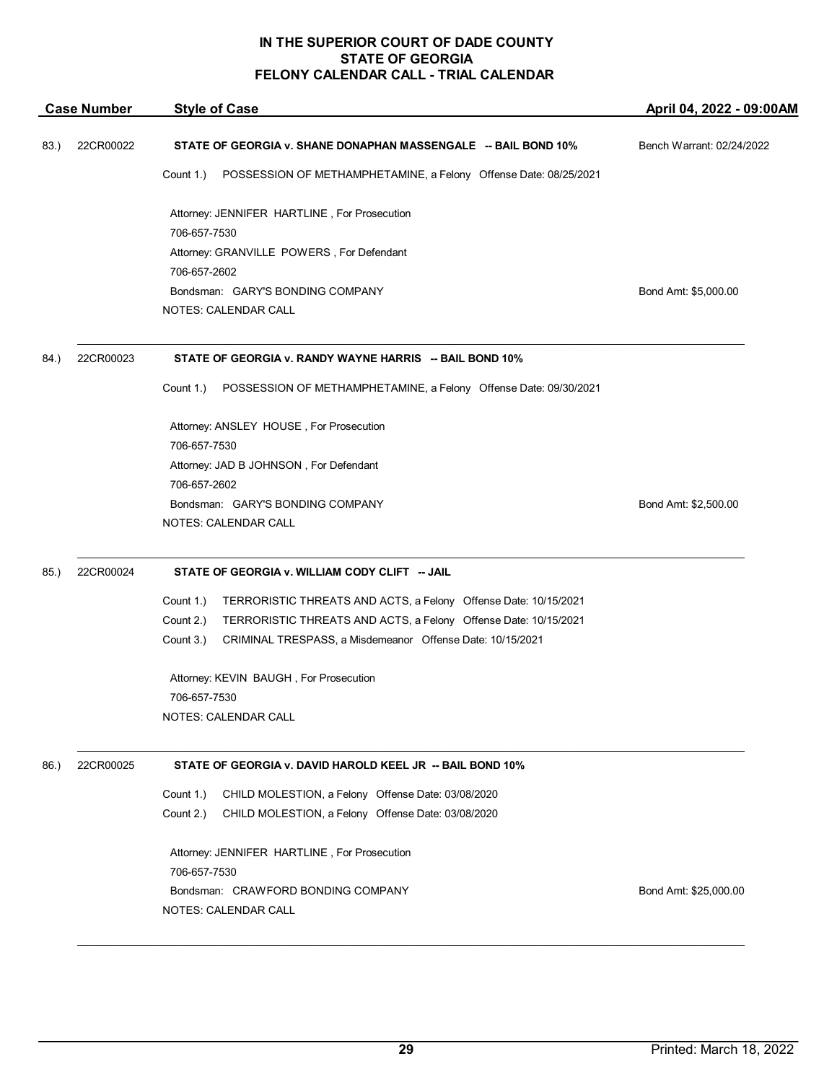|      | <b>Case Number</b> | <b>Style of Case</b>                                                          | April 04, 2022 - 09:00AM  |
|------|--------------------|-------------------------------------------------------------------------------|---------------------------|
| 83.) | 22CR00022          | STATE OF GEORGIA v. SHANE DONAPHAN MASSENGALE -- BAIL BOND 10%                | Bench Warrant: 02/24/2022 |
|      |                    | Count 1.)<br>POSSESSION OF METHAMPHETAMINE, a Felony Offense Date: 08/25/2021 |                           |
|      |                    | Attorney: JENNIFER HARTLINE, For Prosecution<br>706-657-7530                  |                           |
|      |                    | Attorney: GRANVILLE POWERS, For Defendant                                     |                           |
|      |                    | 706-657-2602                                                                  |                           |
|      |                    | Bondsman: GARY'S BONDING COMPANY                                              | Bond Amt: \$5,000.00      |
|      |                    | NOTES: CALENDAR CALL                                                          |                           |
| 84.) | 22CR00023          | STATE OF GEORGIA v. RANDY WAYNE HARRIS -- BAIL BOND 10%                       |                           |
|      |                    | Count 1.)<br>POSSESSION OF METHAMPHETAMINE, a Felony Offense Date: 09/30/2021 |                           |
|      |                    | Attorney: ANSLEY HOUSE, For Prosecution                                       |                           |
|      |                    | 706-657-7530                                                                  |                           |
|      |                    | Attorney: JAD B JOHNSON, For Defendant                                        |                           |
|      |                    | 706-657-2602                                                                  |                           |
|      |                    | Bondsman: GARY'S BONDING COMPANY                                              | Bond Amt: \$2,500.00      |
|      |                    | NOTES: CALENDAR CALL                                                          |                           |
| 85.) | 22CR00024          | STATE OF GEORGIA v. WILLIAM CODY CLIFT -- JAIL                                |                           |
|      |                    | Count 1.)<br>TERRORISTIC THREATS AND ACTS, a Felony Offense Date: 10/15/2021  |                           |
|      |                    | Count 2.)<br>TERRORISTIC THREATS AND ACTS, a Felony Offense Date: 10/15/2021  |                           |
|      |                    | Count 3.)<br>CRIMINAL TRESPASS, a Misdemeanor Offense Date: 10/15/2021        |                           |
|      |                    | Attorney: KEVIN BAUGH, For Prosecution                                        |                           |
|      |                    | 706-657-7530                                                                  |                           |
|      |                    | NOTES: CALENDAR CALL                                                          |                           |
| 86.  | 22CR00025          | STATE OF GEORGIA v. DAVID HAROLD KEEL JR -- BAIL BOND 10%                     |                           |
|      |                    | Count 1.)<br>CHILD MOLESTION, a Felony Offense Date: 03/08/2020               |                           |
|      |                    | Count 2.)<br>CHILD MOLESTION, a Felony Offense Date: 03/08/2020               |                           |
|      |                    | Attorney: JENNIFER HARTLINE, For Prosecution<br>706-657-7530                  |                           |
|      |                    | Bondsman: CRAWFORD BONDING COMPANY                                            | Bond Amt: \$25,000.00     |
|      |                    | NOTES: CALENDAR CALL                                                          |                           |
|      |                    |                                                                               |                           |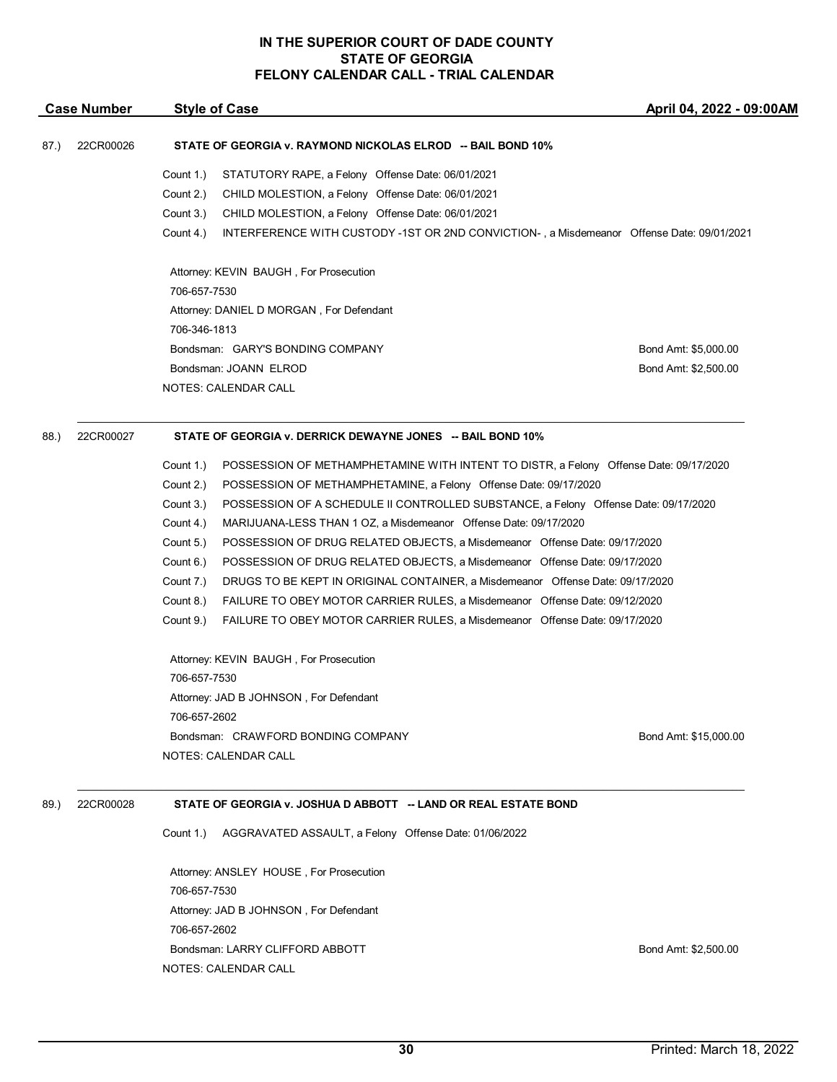| 706-657-7530<br>706-346-1813 | Attorney: KEVIN BAUGH, For Prosecution<br>Attorney: DANIEL D MORGAN, For Defendant<br>Bondsman: GARY'S BONDING COMPANY<br>Bondsman: JOANN ELROD<br><b>NOTES: CALENDAR CALL</b> | Bond Amt: \$5,000.00<br>Bond Amt: \$2,500.00                                                                         |
|------------------------------|--------------------------------------------------------------------------------------------------------------------------------------------------------------------------------|----------------------------------------------------------------------------------------------------------------------|
|                              |                                                                                                                                                                                |                                                                                                                      |
|                              |                                                                                                                                                                                |                                                                                                                      |
|                              |                                                                                                                                                                                |                                                                                                                      |
|                              |                                                                                                                                                                                |                                                                                                                      |
|                              |                                                                                                                                                                                |                                                                                                                      |
|                              |                                                                                                                                                                                |                                                                                                                      |
|                              |                                                                                                                                                                                |                                                                                                                      |
| Count 4.)                    | INTERFERENCE WITH CUSTODY -1ST OR 2ND CONVICTION-, a Misdemeanor Offense Date: 09/01/2021                                                                                      |                                                                                                                      |
| Count 3.)                    |                                                                                                                                                                                |                                                                                                                      |
| Count 2.)                    | CHILD MOLESTION, a Felony Offense Date: 06/01/2021                                                                                                                             |                                                                                                                      |
|                              |                                                                                                                                                                                |                                                                                                                      |
|                              |                                                                                                                                                                                | STATUTORY RAPE, a Felony Offense Date: 06/01/2021<br>Count 1.)<br>CHILD MOLESTION, a Felony Offense Date: 06/01/2021 |

- Count 1.) POSSESSION OF METHAMPHETAMINE WITH INTENT TO DISTR, a Felony Offense Date: 09/17/2020
- Count 2.) POSSESSION OF METHAMPHETAMINE, a Felony Offense Date: 09/17/2020
- Count 3.) POSSESSION OF A SCHEDULE II CONTROLLED SUBSTANCE, a Felony Offense Date: 09/17/2020
- Count 4.) MARIJUANA-LESS THAN 1 OZ, a Misdemeanor Offense Date: 09/17/2020
- Count 5.) POSSESSION OF DRUG RELATED OBJECTS, a Misdemeanor Offense Date: 09/17/2020
- Count 6.) POSSESSION OF DRUG RELATED OBJECTS, a Misdemeanor Offense Date: 09/17/2020
- Count 7.) DRUGS TO BE KEPT IN ORIGINAL CONTAINER, a Misdemeanor Offense Date: 09/17/2020
- Count 8.) FAILURE TO OBEY MOTOR CARRIER RULES, a Misdemeanor Offense Date: 09/12/2020
- Count 9.) FAILURE TO OBEY MOTOR CARRIER RULES, a Misdemeanor Offense Date: 09/17/2020

\_\_\_\_\_\_\_\_\_\_\_\_\_\_\_\_\_\_\_\_\_\_\_\_\_\_\_\_\_\_\_\_\_\_\_\_\_\_\_\_\_\_\_\_\_\_\_\_\_\_\_\_\_\_\_\_\_\_\_\_\_\_\_\_\_\_\_\_\_\_\_\_\_\_\_\_\_\_\_\_\_\_\_\_\_\_\_\_\_\_\_\_\_\_\_\_\_\_\_\_\_\_\_\_\_\_\_\_\_\_\_\_\_

Attorney: KEVIN BAUGH , For Prosecution 706-657-7530 Attorney: JAD B JOHNSON , For Defendant 706-657-2602 Bondsman: CRAWFORD BONDING COMPANY GENERAL BOND Bond Amt: \$15,000.00 NOTES: CALENDAR CALL

87.) 22CR00026 **STATE OF GEORGIA v. RAYMOND NICKOLAS ELROD -- BAIL BOND 10%**

**Case Number Style of Case**

# 89.) 22CR00028 **STATE OF GEORGIA v. JOSHUA D ABBOTT -- LAND OR REAL ESTATE BOND**

Count 1.) AGGRAVATED ASSAULT, a Felony Offense Date: 01/06/2022

Attorney: ANSLEY HOUSE , For Prosecution 706-657-7530 Attorney: JAD B JOHNSON , For Defendant 706-657-2602 Bondsman: LARRY CLIFFORD ABBOTT **Bond Amt: \$2,500.00** NOTES: CALENDAR CALL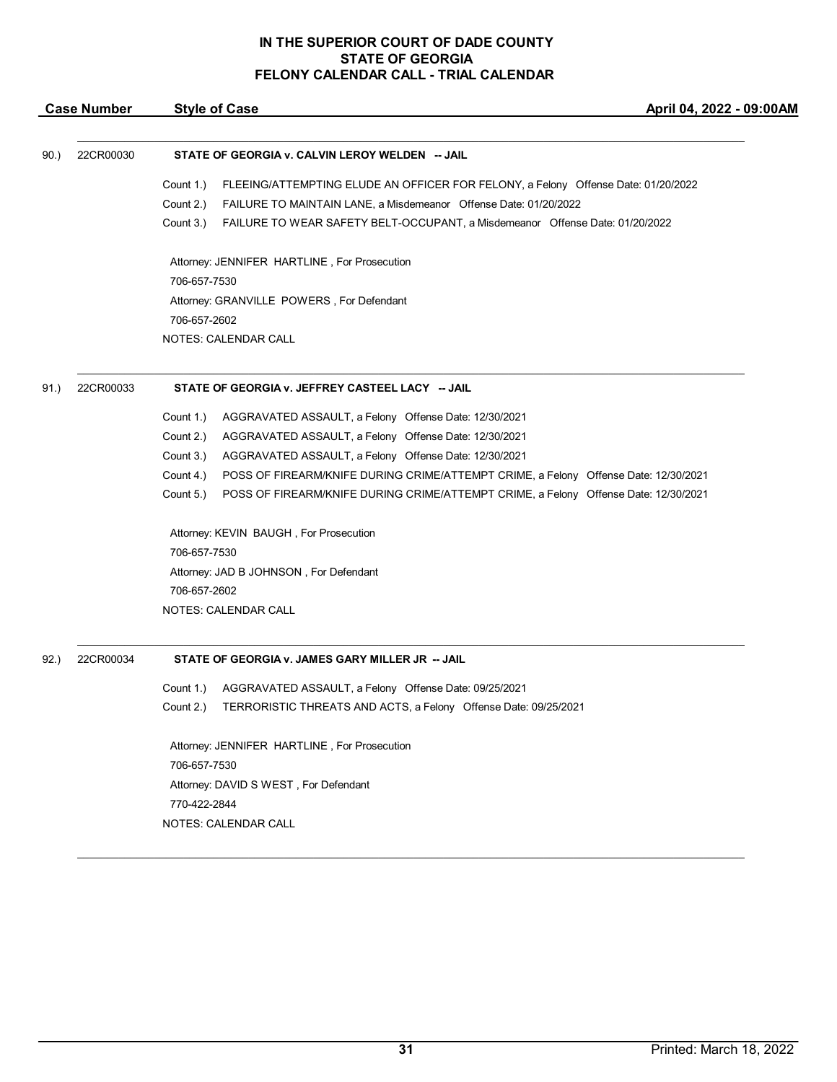|      | <b>Case Number</b> | <b>Style of Case</b>                                                                             | April 04, 2022 - 09:00AM |
|------|--------------------|--------------------------------------------------------------------------------------------------|--------------------------|
|      |                    |                                                                                                  |                          |
| 90.) | 22CR00030          | STATE OF GEORGIA v. CALVIN LEROY WELDEN -- JAIL                                                  |                          |
|      |                    | Count 1.)<br>FLEEING/ATTEMPTING ELUDE AN OFFICER FOR FELONY, a Felony Offense Date: 01/20/2022   |                          |
|      |                    | FAILURE TO MAINTAIN LANE, a Misdemeanor Offense Date: 01/20/2022<br>Count 2.)                    |                          |
|      |                    | Count 3.)<br>FAILURE TO WEAR SAFETY BELT-OCCUPANT, a Misdemeanor Offense Date: 01/20/2022        |                          |
|      |                    | Attorney: JENNIFER HARTLINE, For Prosecution                                                     |                          |
|      |                    | 706-657-7530                                                                                     |                          |
|      |                    | Attorney: GRANVILLE POWERS, For Defendant                                                        |                          |
|      |                    | 706-657-2602                                                                                     |                          |
|      |                    | NOTES: CALENDAR CALL                                                                             |                          |
| 91.) | 22CR00033          | STATE OF GEORGIA v. JEFFREY CASTEEL LACY -- JAIL                                                 |                          |
|      |                    | Count 1.)<br>AGGRAVATED ASSAULT, a Felony Offense Date: 12/30/2021                               |                          |
|      |                    | Count 2.)<br>AGGRAVATED ASSAULT, a Felony Offense Date: 12/30/2021                               |                          |
|      |                    | Count 3.)<br>AGGRAVATED ASSAULT, a Felony Offense Date: 12/30/2021                               |                          |
|      |                    | Count 4.)<br>POSS OF FIREARM/KNIFE DURING CRIME/ATTEMPT CRIME, a Felony Offense Date: 12/30/2021 |                          |
|      |                    | Count 5.)<br>POSS OF FIREARM/KNIFE DURING CRIME/ATTEMPT CRIME, a Felony Offense Date: 12/30/2021 |                          |
|      |                    | Attorney: KEVIN BAUGH, For Prosecution                                                           |                          |
|      |                    | 706-657-7530                                                                                     |                          |
|      |                    | Attorney: JAD B JOHNSON, For Defendant                                                           |                          |
|      |                    | 706-657-2602                                                                                     |                          |
|      |                    | NOTES: CALENDAR CALL                                                                             |                          |
| 92.  | 22CR00034          | STATE OF GEORGIA v. JAMES GARY MILLER JR -- JAIL                                                 |                          |
|      |                    | AGGRAVATED ASSAULT, a Felony Offense Date: 09/25/2021<br>Count 1.)                               |                          |
|      |                    | Count 2.)<br>TERRORISTIC THREATS AND ACTS, a Felony Offense Date: 09/25/2021                     |                          |
|      |                    | Attorney: JENNIFER HARTLINE, For Prosecution                                                     |                          |
|      |                    | 706-657-7530                                                                                     |                          |
|      |                    | Attorney: DAVID S WEST, For Defendant                                                            |                          |
|      |                    | 770-422-2844                                                                                     |                          |
|      |                    | NOTES: CALENDAR CALL                                                                             |                          |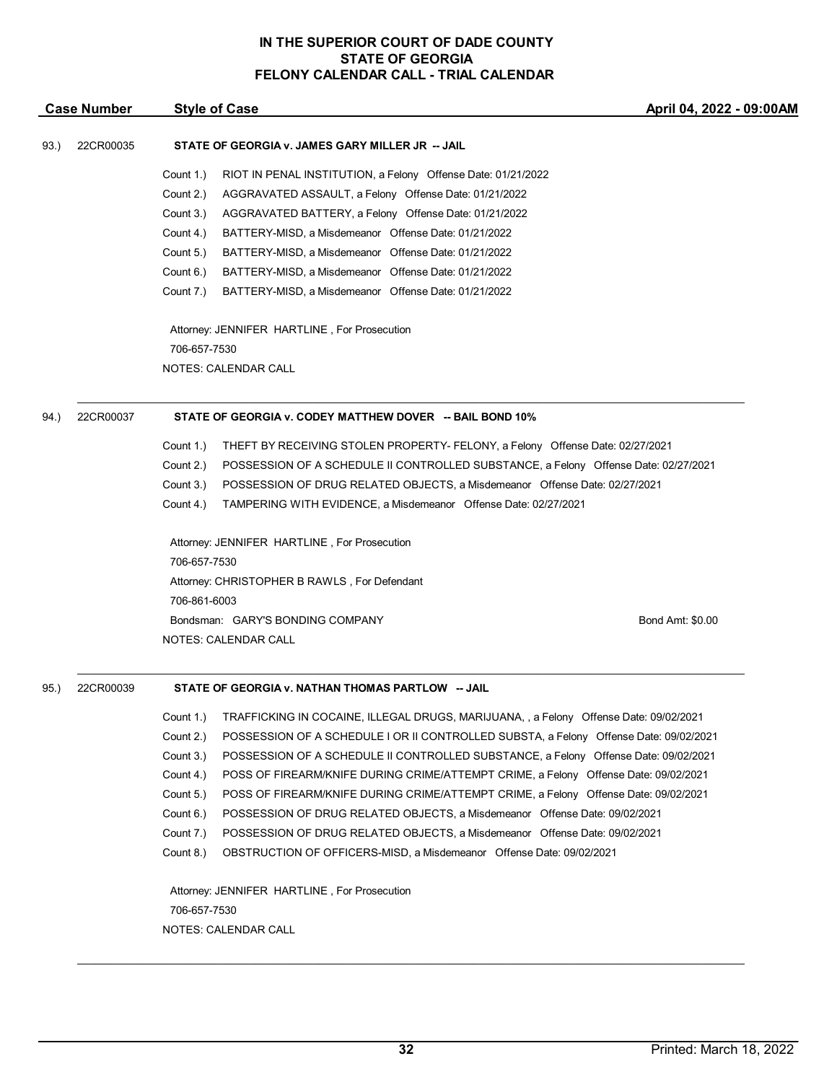|      | <b>Case Number</b> | <b>Style of Case</b>                                                                               | April 04, 2022 - 09:00AM |
|------|--------------------|----------------------------------------------------------------------------------------------------|--------------------------|
| 93.) | 22CR00035          | STATE OF GEORGIA v. JAMES GARY MILLER JR -- JAIL                                                   |                          |
|      |                    | Count 1.)<br>RIOT IN PENAL INSTITUTION, a Felony Offense Date: 01/21/2022                          |                          |
|      |                    | Count 2.)<br>AGGRAVATED ASSAULT, a Felony Offense Date: 01/21/2022                                 |                          |
|      |                    | Count 3.)<br>AGGRAVATED BATTERY, a Felony Offense Date: 01/21/2022                                 |                          |
|      |                    | Count 4.)<br>BATTERY-MISD, a Misdemeanor Offense Date: 01/21/2022                                  |                          |
|      |                    | Count 5.)<br>BATTERY-MISD, a Misdemeanor Offense Date: 01/21/2022                                  |                          |
|      |                    | Count 6.)<br>BATTERY-MISD, a Misdemeanor Offense Date: 01/21/2022                                  |                          |
|      |                    | Count 7.)<br>BATTERY-MISD, a Misdemeanor Offense Date: 01/21/2022                                  |                          |
|      |                    | Attorney: JENNIFER HARTLINE, For Prosecution                                                       |                          |
|      |                    | 706-657-7530                                                                                       |                          |
|      |                    | NOTES: CALENDAR CALL                                                                               |                          |
| 94.) | 22CR00037          | STATE OF GEORGIA v. CODEY MATTHEW DOVER -- BAIL BOND 10%                                           |                          |
|      |                    | Count 1.)<br>THEFT BY RECEIVING STOLEN PROPERTY- FELONY, a Felony Offense Date: 02/27/2021         |                          |
|      |                    | Count 2.)<br>POSSESSION OF A SCHEDULE II CONTROLLED SUBSTANCE, a Felony Offense Date: 02/27/2021   |                          |
|      |                    | Count 3.)<br>POSSESSION OF DRUG RELATED OBJECTS, a Misdemeanor Offense Date: 02/27/2021            |                          |
|      |                    | Count 4.)<br>TAMPERING WITH EVIDENCE, a Misdemeanor Offense Date: 02/27/2021                       |                          |
|      |                    | Attorney: JENNIFER HARTLINE, For Prosecution                                                       |                          |
|      |                    | 706-657-7530                                                                                       |                          |
|      |                    | Attorney: CHRISTOPHER B RAWLS, For Defendant                                                       |                          |
|      |                    | 706-861-6003                                                                                       |                          |
|      |                    | Bondsman: GARY'S BONDING COMPANY                                                                   | Bond Amt: \$0.00         |
|      |                    | NOTES: CALENDAR CALL                                                                               |                          |
| 95.) | 22CR00039          | STATE OF GEORGIA v. NATHAN THOMAS PARTLOW -- JAIL                                                  |                          |
|      |                    | Count 1.)<br>TRAFFICKING IN COCAINE, ILLEGAL DRUGS, MARIJUANA, , a Felony Offense Date: 09/02/2021 |                          |
|      |                    | Count 2.)<br>POSSESSION OF A SCHEDULE I OR II CONTROLLED SUBSTA, a Felony Offense Date: 09/02/2021 |                          |
|      |                    | Count 3.)<br>POSSESSION OF A SCHEDULE II CONTROLLED SUBSTANCE, a Felony Offense Date: 09/02/2021   |                          |
|      |                    | POSS OF FIREARM/KNIFE DURING CRIME/ATTEMPT CRIME, a Felony Offense Date: 09/02/2021<br>Count 4.)   |                          |
|      |                    | Count 5.)<br>POSS OF FIREARM/KNIFE DURING CRIME/ATTEMPT CRIME, a Felony Offense Date: 09/02/2021   |                          |
|      |                    | Count 6.)<br>POSSESSION OF DRUG RELATED OBJECTS, a Misdemeanor Offense Date: 09/02/2021            |                          |
|      |                    | Count 7.)<br>POSSESSION OF DRUG RELATED OBJECTS, a Misdemeanor Offense Date: 09/02/2021            |                          |
|      |                    | Count 8.)<br>OBSTRUCTION OF OFFICERS-MISD, a Misdemeanor Offense Date: 09/02/2021                  |                          |
|      |                    | Attorney: JENNIFER HARTLINE, For Prosecution                                                       |                          |
|      |                    | 706-657-7530                                                                                       |                          |
|      |                    | NOTES: CALENDAR CALL                                                                               |                          |

**32** Printed: March 18, 2022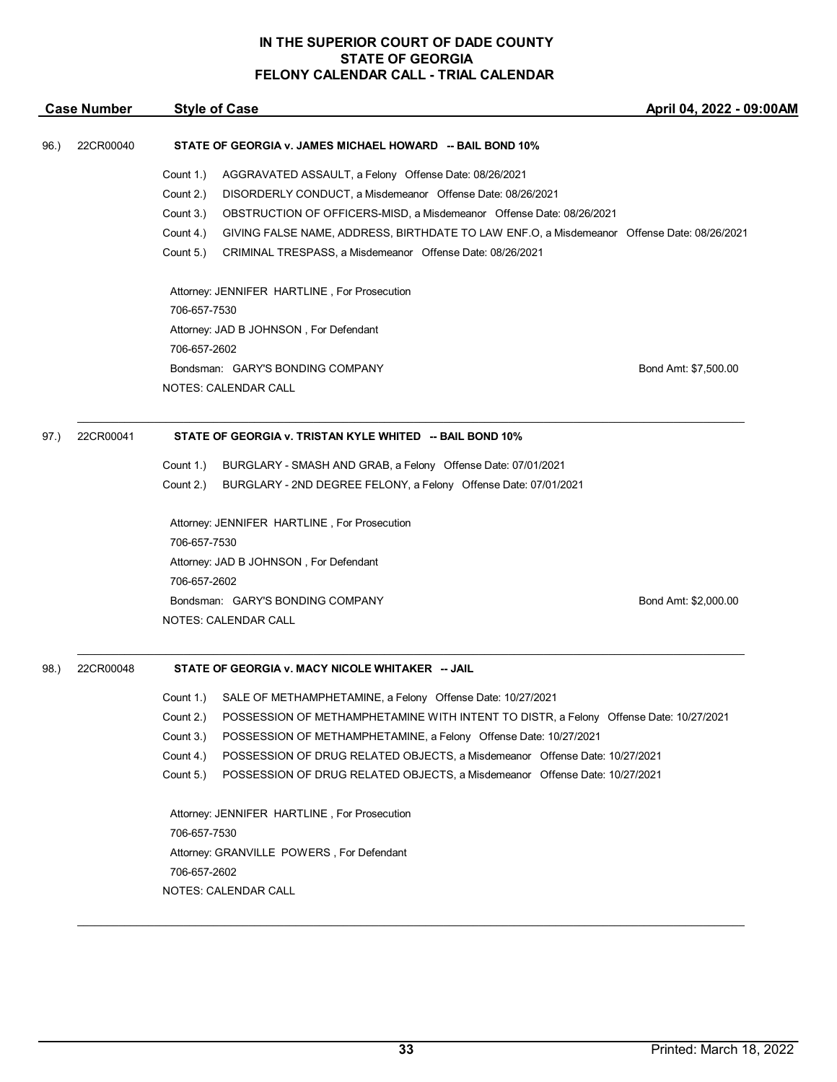|      | <b>Case Number</b> | <b>Style of Case</b>                                                                                                                                                                                                                                                                                                                                                                                                                                                                                                                                                              | April 04, 2022 - 09:00AM |
|------|--------------------|-----------------------------------------------------------------------------------------------------------------------------------------------------------------------------------------------------------------------------------------------------------------------------------------------------------------------------------------------------------------------------------------------------------------------------------------------------------------------------------------------------------------------------------------------------------------------------------|--------------------------|
| 96.) | 22CR00040          | STATE OF GEORGIA v. JAMES MICHAEL HOWARD -- BAIL BOND 10%                                                                                                                                                                                                                                                                                                                                                                                                                                                                                                                         |                          |
|      |                    | Count 1.)<br>AGGRAVATED ASSAULT, a Felony Offense Date: 08/26/2021<br>Count 2.)<br>DISORDERLY CONDUCT, a Misdemeanor Offense Date: 08/26/2021<br>Count 3.)<br>OBSTRUCTION OF OFFICERS-MISD, a Misdemeanor Offense Date: 08/26/2021<br>Count 4.)<br>GIVING FALSE NAME, ADDRESS, BIRTHDATE TO LAW ENF.O, a Misdemeanor Offense Date: 08/26/2021<br>CRIMINAL TRESPASS, a Misdemeanor Offense Date: 08/26/2021<br>Count 5.)                                                                                                                                                           |                          |
|      |                    | Attorney: JENNIFER HARTLINE, For Prosecution<br>706-657-7530<br>Attorney: JAD B JOHNSON, For Defendant<br>706-657-2602                                                                                                                                                                                                                                                                                                                                                                                                                                                            |                          |
|      |                    | Bondsman: GARY'S BONDING COMPANY<br><b>NOTES: CALENDAR CALL</b>                                                                                                                                                                                                                                                                                                                                                                                                                                                                                                                   | Bond Amt: \$7,500.00     |
| 97.) | 22CR00041          | STATE OF GEORGIA v. TRISTAN KYLE WHITED -- BAIL BOND 10%                                                                                                                                                                                                                                                                                                                                                                                                                                                                                                                          |                          |
|      |                    | Count 1.)<br>BURGLARY - SMASH AND GRAB, a Felony Offense Date: 07/01/2021                                                                                                                                                                                                                                                                                                                                                                                                                                                                                                         |                          |
|      |                    | Count 2.)<br>BURGLARY - 2ND DEGREE FELONY, a Felony Offense Date: 07/01/2021                                                                                                                                                                                                                                                                                                                                                                                                                                                                                                      |                          |
|      |                    | Attorney: JENNIFER HARTLINE, For Prosecution<br>706-657-7530<br>Attorney: JAD B JOHNSON, For Defendant<br>706-657-2602<br>Bondsman: GARY'S BONDING COMPANY<br>NOTES: CALENDAR CALL                                                                                                                                                                                                                                                                                                                                                                                                | Bond Amt: \$2,000.00     |
|      |                    |                                                                                                                                                                                                                                                                                                                                                                                                                                                                                                                                                                                   |                          |
| 98.) | 22CR00048          | STATE OF GEORGIA v. MACY NICOLE WHITAKER -- JAIL                                                                                                                                                                                                                                                                                                                                                                                                                                                                                                                                  |                          |
|      |                    | SALE OF METHAMPHETAMINE, a Felony Offense Date: 10/27/2021<br>Count 1.)<br>Count 2.)<br>POSSESSION OF METHAMPHETAMINE WITH INTENT TO DISTR, a Felony Offense Date: 10/27/2021<br>Count 3.)<br>POSSESSION OF METHAMPHETAMINE, a Felony Offense Date: 10/27/2021<br>Count 4.)<br>POSSESSION OF DRUG RELATED OBJECTS, a Misdemeanor Offense Date: 10/27/2021<br>Count 5.)<br>POSSESSION OF DRUG RELATED OBJECTS, a Misdemeanor Offense Date: 10/27/2021<br>Attorney: JENNIFER HARTLINE, For Prosecution<br>706-657-7530<br>Attorney: GRANVILLE POWERS, For Defendant<br>706-657-2602 |                          |
|      |                    | NOTES: CALENDAR CALL                                                                                                                                                                                                                                                                                                                                                                                                                                                                                                                                                              |                          |